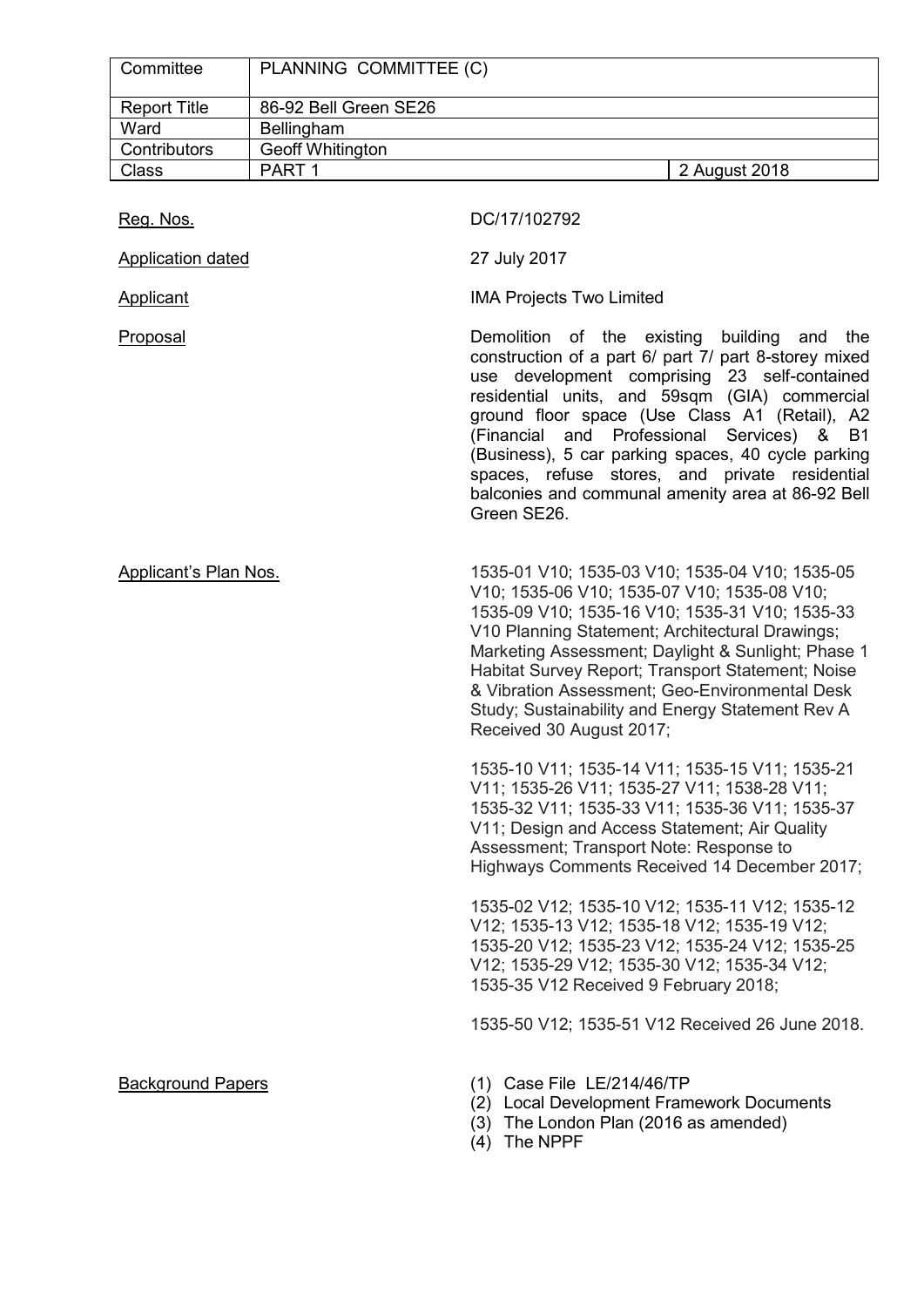| Committee           | PLANNING COMMITTEE (C)  |               |
|---------------------|-------------------------|---------------|
| <b>Report Title</b> | 86-92 Bell Green SE26   |               |
| Ward                | <b>Bellingham</b>       |               |
| Contributors        | <b>Geoff Whitington</b> |               |
| <b>Class</b>        | PART <sub>1</sub>       | 2 August 2018 |

| Reg. Nos.                    | DC/17/102792                                                                                                                                                                                                                                                                                                                                                                                                                                                                        |  |  |
|------------------------------|-------------------------------------------------------------------------------------------------------------------------------------------------------------------------------------------------------------------------------------------------------------------------------------------------------------------------------------------------------------------------------------------------------------------------------------------------------------------------------------|--|--|
| Application dated            | 27 July 2017                                                                                                                                                                                                                                                                                                                                                                                                                                                                        |  |  |
| Applicant                    | <b>IMA Projects Two Limited</b>                                                                                                                                                                                                                                                                                                                                                                                                                                                     |  |  |
| Proposal                     | Demolition of the existing building and<br>the<br>construction of a part 6/ part 7/ part 8-storey mixed<br>use development comprising 23 self-contained<br>residential units, and 59sqm (GIA) commercial<br>ground floor space (Use Class A1 (Retail), A2<br>(Financial and Professional Services) & B1<br>(Business), 5 car parking spaces, 40 cycle parking<br>spaces, refuse stores, and private residential<br>balconies and communal amenity area at 86-92 Bell<br>Green SE26. |  |  |
| <b>Applicant's Plan Nos.</b> | 1535-01 V10; 1535-03 V10; 1535-04 V10; 1535-05<br>V10; 1535-06 V10; 1535-07 V10; 1535-08 V10;<br>1535-09 V10; 1535-16 V10; 1535-31 V10; 1535-33<br>V10 Planning Statement; Architectural Drawings;<br>Marketing Assessment; Daylight & Sunlight; Phase 1<br>Habitat Survey Report; Transport Statement; Noise<br>& Vibration Assessment; Geo-Environmental Desk<br>Study; Sustainability and Energy Statement Rev A<br>Received 30 August 2017;                                     |  |  |
|                              | 1535-10 V11; 1535-14 V11; 1535-15 V11; 1535-21<br>V11; 1535-26 V11; 1535-27 V11; 1538-28 V11;<br>1535-32 V11; 1535-33 V11; 1535-36 V11; 1535-37<br>V11; Design and Access Statement; Air Quality<br>Assessment; Transport Note: Response to<br>Highways Comments Received 14 December 2017;                                                                                                                                                                                         |  |  |
|                              | 1535-02 V12; 1535-10 V12; 1535-11 V12; 1535-12<br>V12; 1535-13 V12; 1535-18 V12; 1535-19 V12;<br>1535-20 V12; 1535-23 V12; 1535-24 V12; 1535-25<br>V12; 1535-29 V12; 1535-30 V12; 1535-34 V12;<br>1535-35 V12 Received 9 February 2018;                                                                                                                                                                                                                                             |  |  |
|                              | 1535-50 V12; 1535-51 V12 Received 26 June 2018.                                                                                                                                                                                                                                                                                                                                                                                                                                     |  |  |
| <b>Background Papers</b>     | (1) Case File LE/214/46/TP<br>(2) Local Development Framework Documents<br>(3) The London Plan (2016 as amended)<br>(4) The NPPF                                                                                                                                                                                                                                                                                                                                                    |  |  |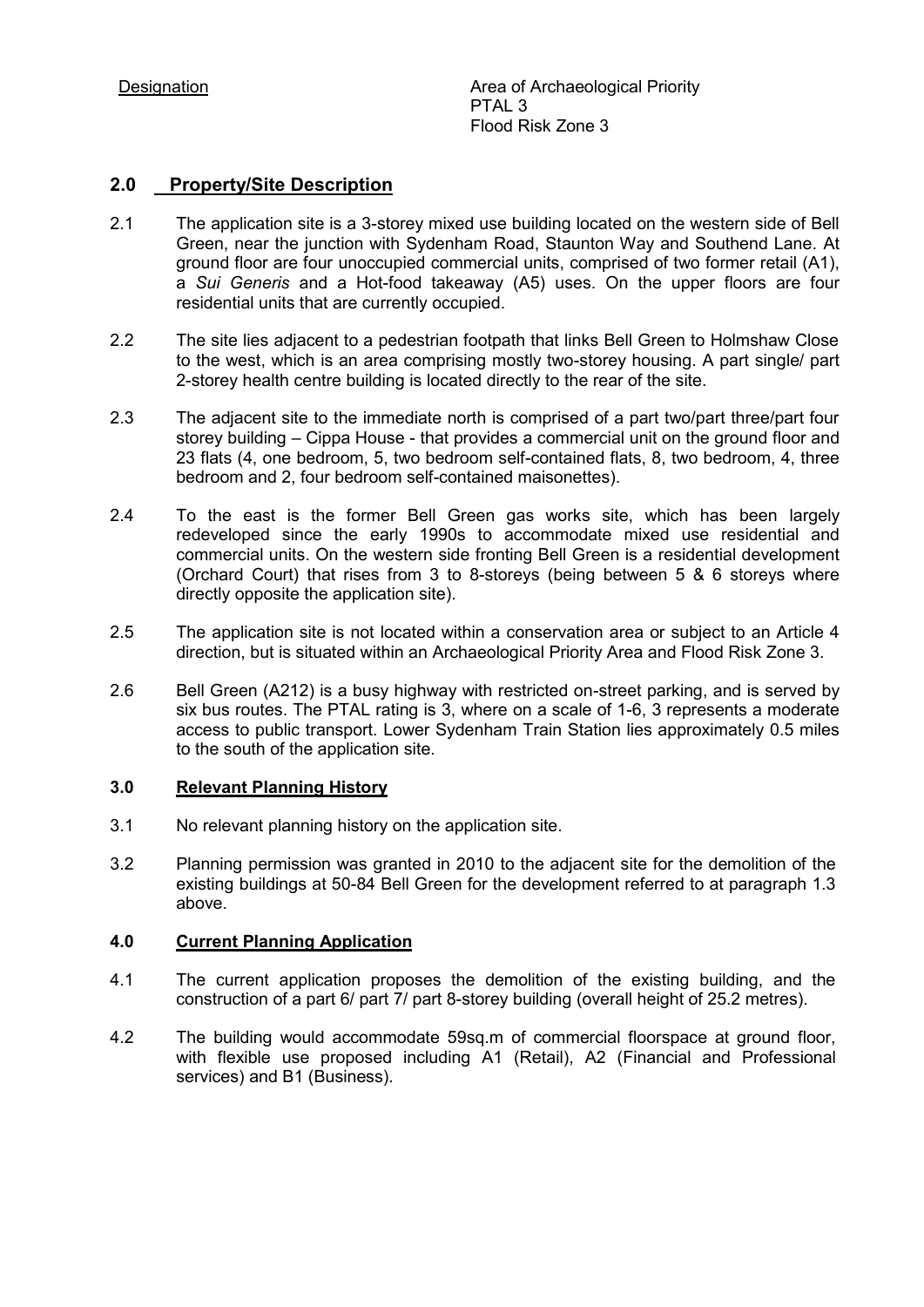# **2.0 Property/Site Description**

- 2.1 The application site is a 3-storey mixed use building located on the western side of Bell Green, near the junction with Sydenham Road, Staunton Way and Southend Lane. At ground floor are four unoccupied commercial units, comprised of two former retail (A1), a *Sui Generis* and a Hot-food takeaway (A5) uses. On the upper floors are four residential units that are currently occupied.
- 2.2 The site lies adjacent to a pedestrian footpath that links Bell Green to Holmshaw Close to the west, which is an area comprising mostly two-storey housing. A part single/ part 2-storey health centre building is located directly to the rear of the site.
- 2.3 The adjacent site to the immediate north is comprised of a part two/part three/part four storey building – Cippa House - that provides a commercial unit on the ground floor and 23 flats (4, one bedroom, 5, two bedroom self-contained flats, 8, two bedroom, 4, three bedroom and 2, four bedroom self-contained maisonettes).
- 2.4 To the east is the former Bell Green gas works site, which has been largely redeveloped since the early 1990s to accommodate mixed use residential and commercial units. On the western side fronting Bell Green is a residential development (Orchard Court) that rises from 3 to 8-storeys (being between 5 & 6 storeys where directly opposite the application site).
- 2.5 The application site is not located within a conservation area or subject to an Article 4 direction, but is situated within an Archaeological Priority Area and Flood Risk Zone 3.
- 2.6 Bell Green (A212) is a busy highway with restricted on-street parking, and is served by six bus routes. The PTAL rating is 3, where on a scale of 1-6, 3 represents a moderate access to public transport. Lower Sydenham Train Station lies approximately 0.5 miles to the south of the application site.

# **3.0 Relevant Planning History**

- 3.1 No relevant planning history on the application site.
- 3.2 Planning permission was granted in 2010 to the adjacent site for the demolition of the existing buildings at 50-84 Bell Green for the development referred to at paragraph 1.3 above.

# **4.0 Current Planning Application**

- 4.1 The current application proposes the demolition of the existing building, and the construction of a part 6/ part 7/ part 8-storey building (overall height of 25.2 metres).
- 4.2 The building would accommodate 59sq.m of commercial floorspace at ground floor, with flexible use proposed including A1 (Retail), A2 (Financial and Professional services) and B1 (Business).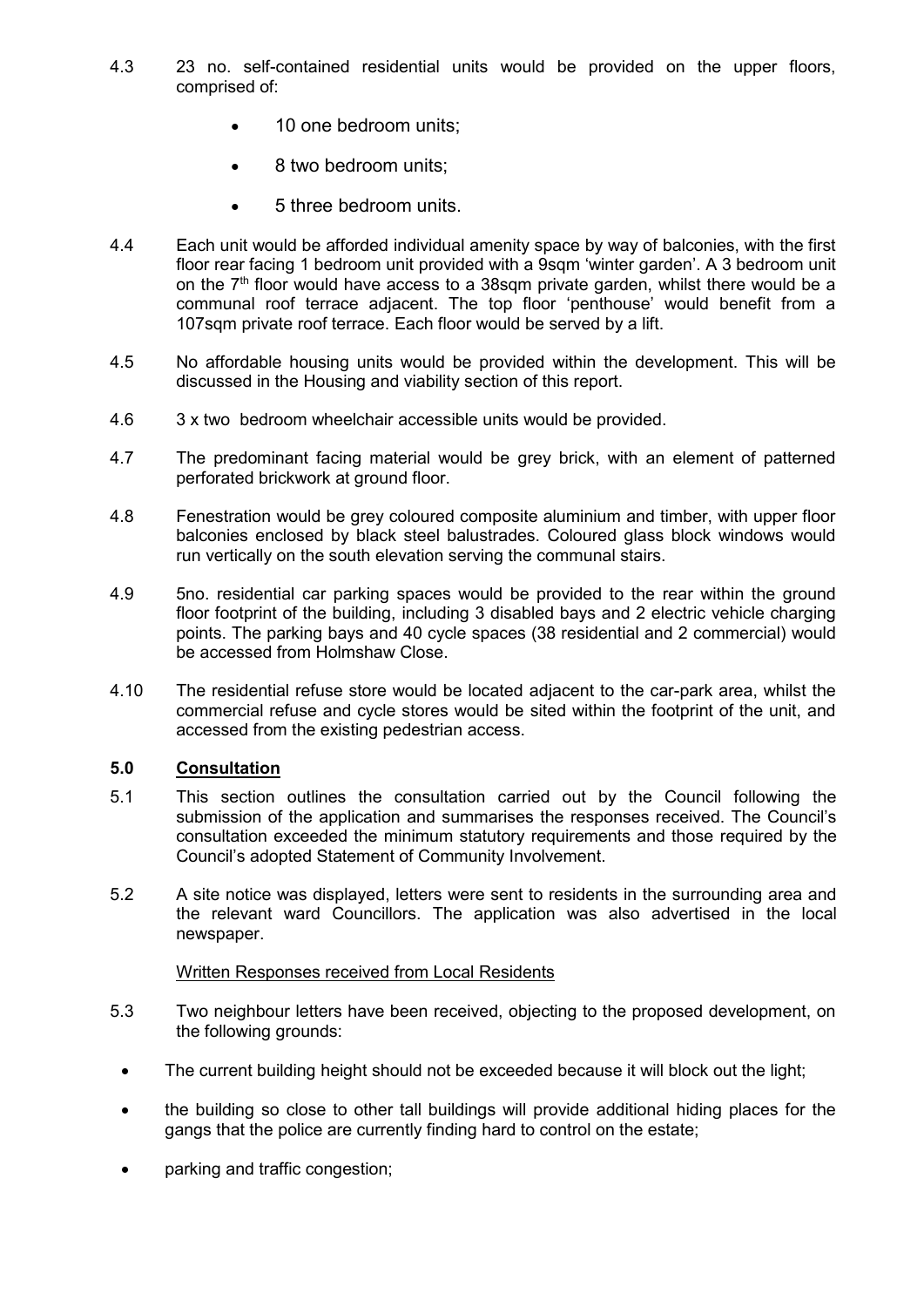- 4.3 23 no. self-contained residential units would be provided on the upper floors, comprised of:
	- 10 one bedroom units;
	- 8 two bedroom units;
	- 5 three bedroom units.
- 4.4 Each unit would be afforded individual amenity space by way of balconies, with the first floor rear facing 1 bedroom unit provided with a 9sam 'winter garden'. A 3 bedroom unit on the  $7<sup>th</sup>$  floor would have access to a 38sqm private garden, whilst there would be a communal roof terrace adjacent. The top floor 'penthouse' would benefit from a 107sqm private roof terrace. Each floor would be served by a lift.
- 4.5 No affordable housing units would be provided within the development. This will be discussed in the Housing and viability section of this report.
- 4.6 3 x two bedroom wheelchair accessible units would be provided.
- 4.7 The predominant facing material would be grey brick, with an element of patterned perforated brickwork at ground floor.
- 4.8 Fenestration would be grey coloured composite aluminium and timber, with upper floor balconies enclosed by black steel balustrades. Coloured glass block windows would run vertically on the south elevation serving the communal stairs.
- 4.9 5no. residential car parking spaces would be provided to the rear within the ground floor footprint of the building, including 3 disabled bays and 2 electric vehicle charging points. The parking bays and 40 cycle spaces (38 residential and 2 commercial) would be accessed from Holmshaw Close.
- 4.10 The residential refuse store would be located adjacent to the car-park area, whilst the commercial refuse and cycle stores would be sited within the footprint of the unit, and accessed from the existing pedestrian access.

# **5.0 Consultation**

- 5.1 This section outlines the consultation carried out by the Council following the submission of the application and summarises the responses received. The Council's consultation exceeded the minimum statutory requirements and those required by the Council's adopted Statement of Community Involvement.
- 5.2 A site notice was displayed, letters were sent to residents in the surrounding area and the relevant ward Councillors. The application was also advertised in the local newspaper.

# Written Responses received from Local Residents

- 5.3 Two neighbour letters have been received, objecting to the proposed development, on the following grounds:
	- The current building height should not be exceeded because it will block out the light;
	- the building so close to other tall buildings will provide additional hiding places for the gangs that the police are currently finding hard to control on the estate;
	- parking and traffic congestion;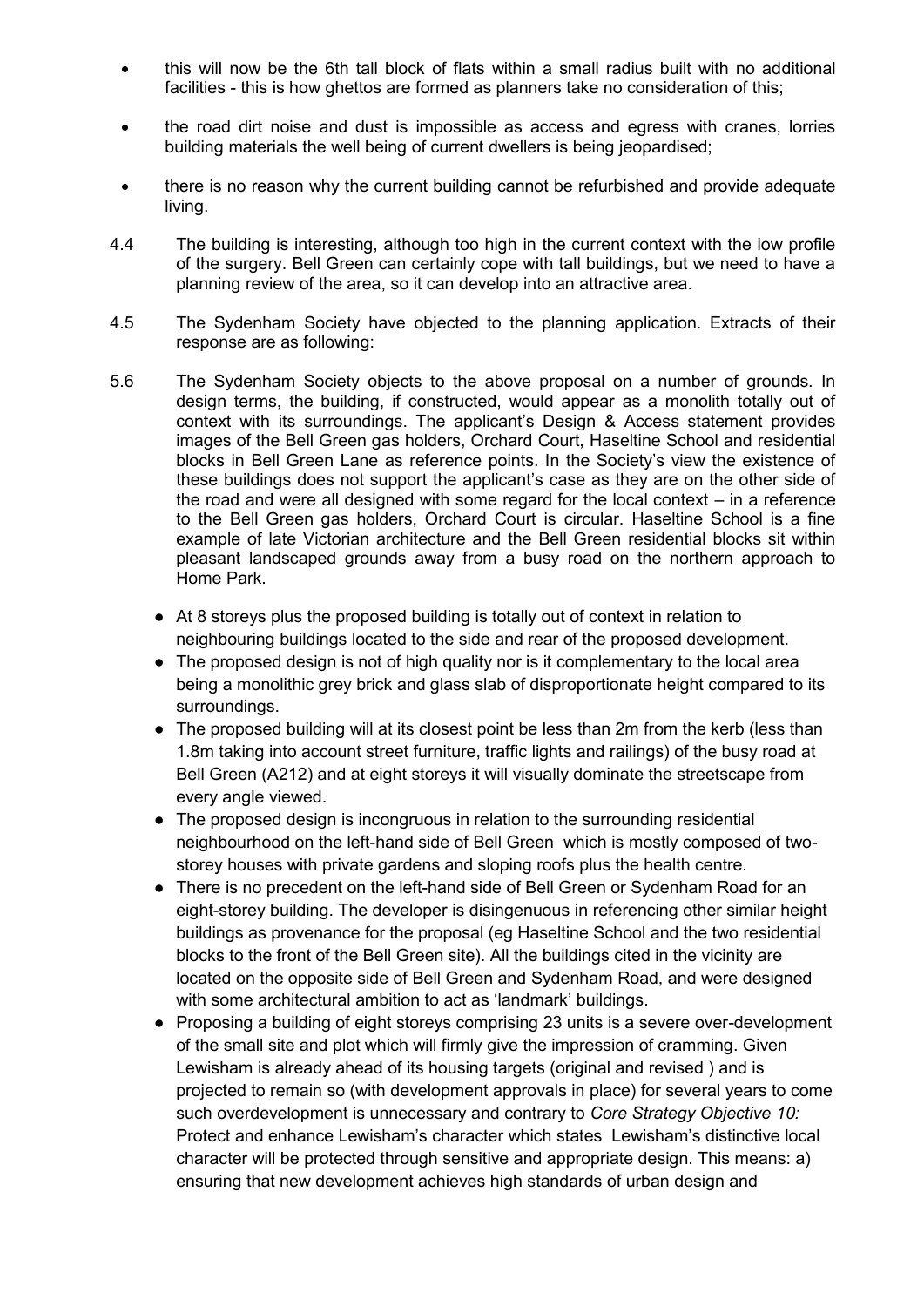- this will now be the 6th tall block of flats within a small radius built with no additional facilities - this is how ghettos are formed as planners take no consideration of this;
- the road dirt noise and dust is impossible as access and egress with cranes, lorries building materials the well being of current dwellers is being jeopardised;
- there is no reason why the current building cannot be refurbished and provide adequate living.
- 4.4 The building is interesting, although too high in the current context with the low profile of the surgery. Bell Green can certainly cope with tall buildings, but we need to have a planning review of the area, so it can develop into an attractive area.
- 4.5 The Sydenham Society have objected to the planning application. Extracts of their response are as following:
- 5.6 The Sydenham Society objects to the above proposal on a number of grounds. In design terms, the building, if constructed, would appear as a monolith totally out of context with its surroundings. The applicant's Design & Access statement provides images of the Bell Green gas holders, Orchard Court, Haseltine School and residential blocks in Bell Green Lane as reference points. In the Society's view the existence of these buildings does not support the applicant's case as they are on the other side of the road and were all designed with some regard for the local context – in a reference to the Bell Green gas holders, Orchard Court is circular. Haseltine School is a fine example of late Victorian architecture and the Bell Green residential blocks sit within pleasant landscaped grounds away from a busy road on the northern approach to Home Park.
	- At 8 storeys plus the proposed building is totally out of context in relation to neighbouring buildings located to the side and rear of the proposed development.
	- The proposed design is not of high quality nor is it complementary to the local area being a monolithic grey brick and glass slab of disproportionate height compared to its surroundings.
	- The proposed building will at its closest point be less than 2m from the kerb (less than 1.8m taking into account street furniture, traffic lights and railings) of the busy road at Bell Green (A212) and at eight storeys it will visually dominate the streetscape from every angle viewed.
	- The proposed design is incongruous in relation to the surrounding residential neighbourhood on the left-hand side of Bell Green which is mostly composed of twostorey houses with private gardens and sloping roofs plus the health centre.
	- There is no precedent on the left-hand side of Bell Green or Sydenham Road for an eight-storey building. The developer is disingenuous in referencing other similar height buildings as provenance for the proposal (eg Haseltine School and the two residential blocks to the front of the Bell Green site). All the buildings cited in the vicinity are located on the opposite side of Bell Green and Sydenham Road, and were designed with some architectural ambition to act as 'landmark' buildings.
	- Proposing a building of eight storeys comprising 23 units is a severe over-development of the small site and plot which will firmly give the impression of cramming. Given Lewisham is already ahead of its housing targets (original and revised ) and is projected to remain so (with development approvals in place) for several years to come such overdevelopment is unnecessary and contrary to *Core Strategy Objective 10:* Protect and enhance Lewisham's character which states Lewisham's distinctive local character will be protected through sensitive and appropriate design. This means: a) ensuring that new development achieves high standards of urban design and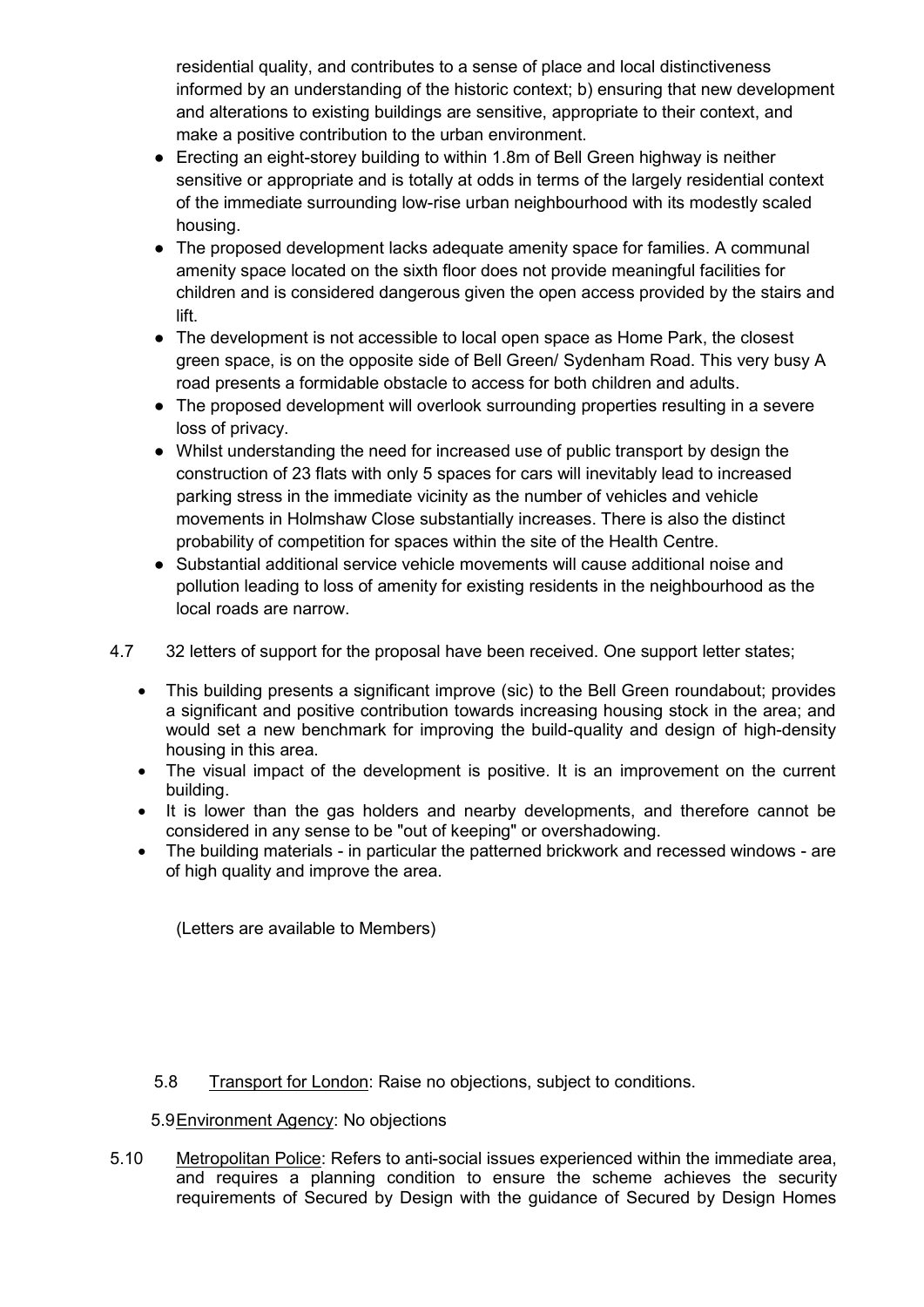residential quality, and contributes to a sense of place and local distinctiveness informed by an understanding of the historic context; b) ensuring that new development and alterations to existing buildings are sensitive, appropriate to their context, and make a positive contribution to the urban environment.

- Erecting an eight-storey building to within 1.8m of Bell Green highway is neither sensitive or appropriate and is totally at odds in terms of the largely residential context of the immediate surrounding low-rise urban neighbourhood with its modestly scaled housing.
- The proposed development lacks adequate amenity space for families. A communal amenity space located on the sixth floor does not provide meaningful facilities for children and is considered dangerous given the open access provided by the stairs and lift.
- The development is not accessible to local open space as Home Park, the closest green space, is on the opposite side of Bell Green/ Sydenham Road. This very busy A road presents a formidable obstacle to access for both children and adults.
- The proposed development will overlook surrounding properties resulting in a severe loss of privacy.
- Whilst understanding the need for increased use of public transport by design the construction of 23 flats with only 5 spaces for cars will inevitably lead to increased parking stress in the immediate vicinity as the number of vehicles and vehicle movements in Holmshaw Close substantially increases. There is also the distinct probability of competition for spaces within the site of the Health Centre.
- Substantial additional service vehicle movements will cause additional noise and pollution leading to loss of amenity for existing residents in the neighbourhood as the local roads are narrow.
- 4.7 32 letters of support for the proposal have been received. One support letter states;
	- This building presents a significant improve (sic) to the Bell Green roundabout; provides a significant and positive contribution towards increasing housing stock in the area; and would set a new benchmark for improving the build-quality and design of high-density housing in this area.
	- The visual impact of the development is positive. It is an improvement on the current building.
	- It is lower than the gas holders and nearby developments, and therefore cannot be considered in any sense to be "out of keeping" or overshadowing.
	- The building materials in particular the patterned brickwork and recessed windows are of high quality and improve the area.

(Letters are available to Members)

- 5.8 Transport for London: Raise no objections, subject to conditions.
- 5.9Environment Agency: No objections
- 5.10 Metropolitan Police: Refers to anti-social issues experienced within the immediate area, and requires a planning condition to ensure the scheme achieves the security requirements of Secured by Design with the guidance of Secured by Design Homes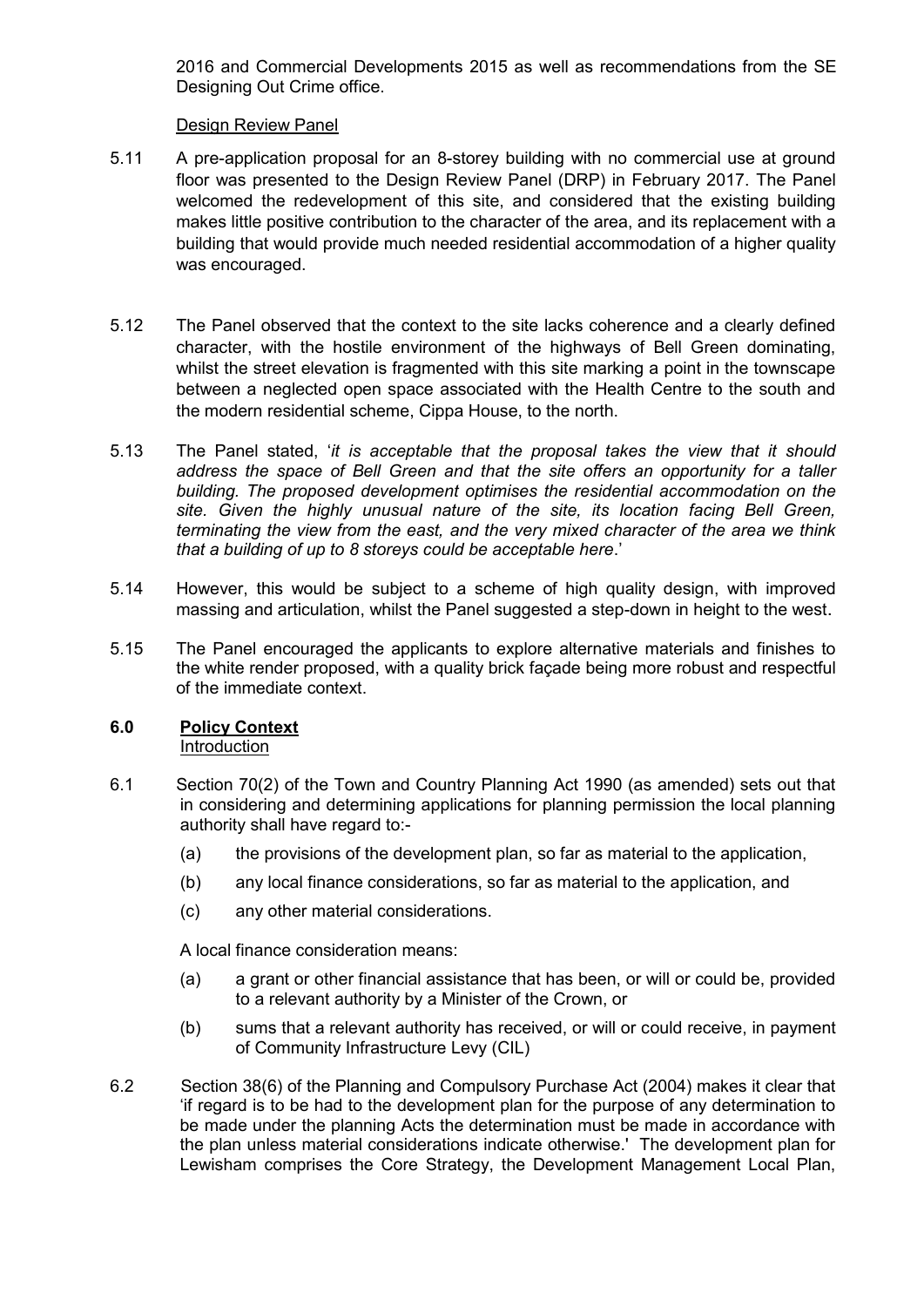2016 and Commercial Developments 2015 as well as recommendations from the SE Designing Out Crime office.

## Design Review Panel

- 5.11 A pre-application proposal for an 8-storey building with no commercial use at ground floor was presented to the Design Review Panel (DRP) in February 2017. The Panel welcomed the redevelopment of this site, and considered that the existing building makes little positive contribution to the character of the area, and its replacement with a building that would provide much needed residential accommodation of a higher quality was encouraged.
- 5.12 The Panel observed that the context to the site lacks coherence and a clearly defined character, with the hostile environment of the highways of Bell Green dominating, whilst the street elevation is fragmented with this site marking a point in the townscape between a neglected open space associated with the Health Centre to the south and the modern residential scheme, Cippa House, to the north.
- 5.13 The Panel stated, '*it is acceptable that the proposal takes the view that it should address the space of Bell Green and that the site offers an opportunity for a taller building. The proposed development optimises the residential accommodation on the site. Given the highly unusual nature of the site, its location facing Bell Green, terminating the view from the east, and the very mixed character of the area we think that a building of up to 8 storeys could be acceptable here*.'
- 5.14 However, this would be subject to a scheme of high quality design, with improved massing and articulation, whilst the Panel suggested a step-down in height to the west.
- 5.15 The Panel encouraged the applicants to explore alternative materials and finishes to the white render proposed, with a quality brick façade being more robust and respectful of the immediate context.

#### **6.0 Policy Context** Introduction

- 6.1 Section 70(2) of the Town and Country Planning Act 1990 (as amended) sets out that in considering and determining applications for planning permission the local planning authority shall have regard to:-
	- (a) the provisions of the development plan, so far as material to the application,
	- (b) any local finance considerations, so far as material to the application, and
	- (c) any other material considerations.

A local finance consideration means:

- (a) a grant or other financial assistance that has been, or will or could be, provided to a relevant authority by a Minister of the Crown, or
- (b) sums that a relevant authority has received, or will or could receive, in payment of Community Infrastructure Levy (CIL)
- 6.2 Section 38(6) of the Planning and Compulsory Purchase Act (2004) makes it clear that 'if regard is to be had to the development plan for the purpose of any determination to be made under the planning Acts the determination must be made in accordance with the plan unless material considerations indicate otherwise.' The development plan for Lewisham comprises the Core Strategy, the Development Management Local Plan,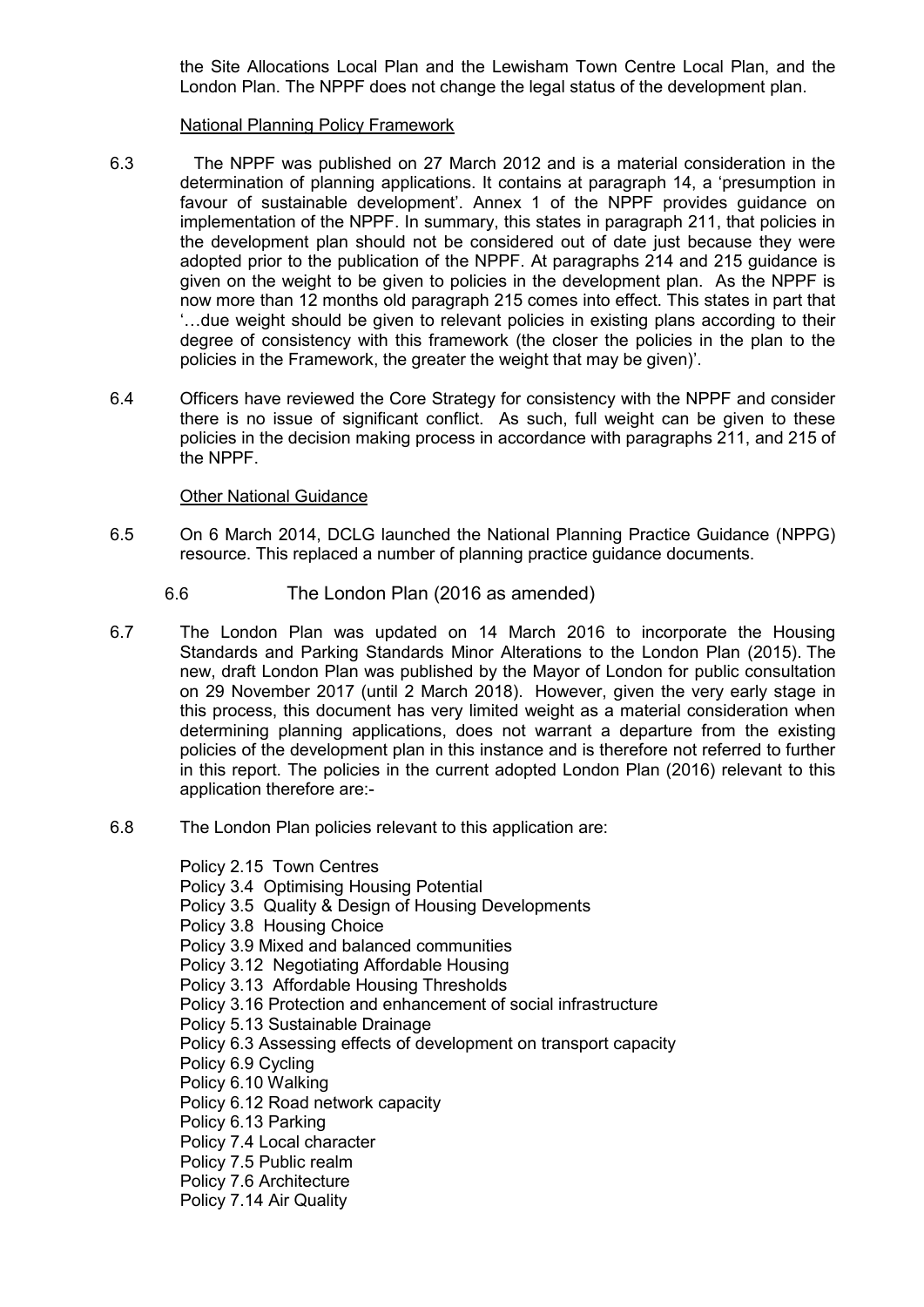the Site Allocations Local Plan and the Lewisham Town Centre Local Plan, and the London Plan. The NPPF does not change the legal status of the development plan.

## National Planning Policy Framework

- 6.3 The NPPF was published on 27 March 2012 and is a material consideration in the determination of planning applications. It contains at paragraph 14, a 'presumption in favour of sustainable development'. Annex 1 of the NPPF provides guidance on implementation of the NPPF. In summary, this states in paragraph 211, that policies in the development plan should not be considered out of date just because they were adopted prior to the publication of the NPPF. At paragraphs 214 and 215 guidance is given on the weight to be given to policies in the development plan. As the NPPF is now more than 12 months old paragraph 215 comes into effect. This states in part that '…due weight should be given to relevant policies in existing plans according to their degree of consistency with this framework (the closer the policies in the plan to the policies in the Framework, the greater the weight that may be given)'.
- 6.4 Officers have reviewed the Core Strategy for consistency with the NPPF and consider there is no issue of significant conflict. As such, full weight can be given to these policies in the decision making process in accordance with paragraphs 211, and 215 of the NPPF.

# Other National Guidance

- 6.5 On 6 March 2014, DCLG launched the National Planning Practice Guidance (NPPG) resource. This replaced a number of planning practice guidance documents.
	- 6.6 The London Plan (2016 as amended)
- 6.7 The London Plan was updated on 14 March 2016 to incorporate the Housing Standards and Parking Standards Minor Alterations to the London Plan (2015). The new, draft London Plan was published by the Mayor of London for public consultation on 29 November 2017 (until 2 March 2018). However, given the very early stage in this process, this document has very limited weight as a material consideration when determining planning applications, does not warrant a departure from the existing policies of the development plan in this instance and is therefore not referred to further in this report. The policies in the current adopted London Plan (2016) relevant to this application therefore are:-
- 6.8 The London Plan policies relevant to this application are:

Policy 2.15 Town Centres Policy 3.4 Optimising Housing Potential Policy 3.5 Quality & Design of Housing Developments Policy 3.8 Housing Choice Policy 3.9 Mixed and balanced communities Policy 3.12 Negotiating Affordable Housing Policy 3.13 Affordable Housing Thresholds Policy 3.16 Protection and enhancement of social infrastructure Policy 5.13 Sustainable Drainage Policy 6.3 Assessing effects of development on transport capacity Policy 6.9 Cycling Policy 6.10 Walking Policy 6.12 Road network capacity Policy 6.13 Parking Policy 7.4 Local character Policy 7.5 Public realm Policy 7.6 Architecture Policy 7.14 Air Quality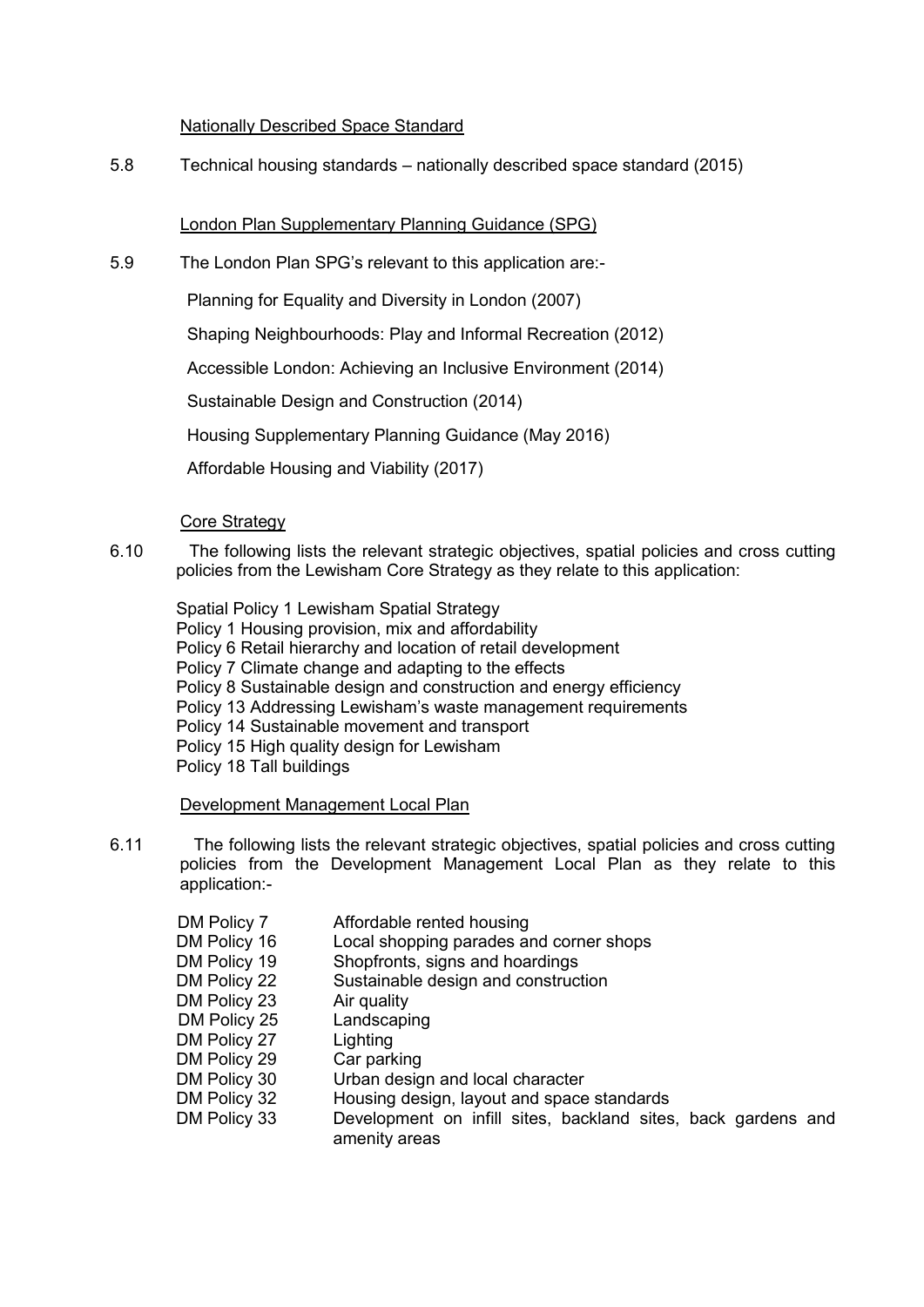# Nationally Described Space Standard

5.8 Technical housing standards – nationally described space standard (2015)

# London Plan Supplementary Planning Guidance (SPG)

5.9 The London Plan SPG's relevant to this application are:-

Planning for Equality and Diversity in London (2007)

Shaping Neighbourhoods: Play and Informal Recreation (2012)

Accessible London: Achieving an Inclusive Environment (2014)

Sustainable Design and Construction (2014)

Housing Supplementary Planning Guidance (May 2016)

Affordable Housing and Viability (2017)

# Core Strategy

6.10 The following lists the relevant strategic objectives, spatial policies and cross cutting policies from the Lewisham Core Strategy as they relate to this application:

Spatial Policy 1 Lewisham Spatial Strategy Policy 1 Housing provision, mix and affordability Policy 6 Retail hierarchy and location of retail development Policy 7 Climate change and adapting to the effects Policy 8 Sustainable design and construction and energy efficiency Policy 13 Addressing Lewisham's waste management requirements Policy 14 Sustainable movement and transport Policy 15 High quality design for Lewisham Policy 18 Tall buildings

# Development Management Local Plan

- 6.11 The following lists the relevant strategic objectives, spatial policies and cross cutting policies from the Development Management Local Plan as they relate to this application:-
	- DM Policy 7 Affordable rented housing DM Policy 16 Local shopping parades and corner shops DM Policy 19 Shopfronts, signs and hoardings DM Policy 22 Sustainable design and construction DM Policy 23 Air quality DM Policy 25 Landscaping DM Policy 27 Lighting DM Policy 29 Car parking DM Policy 30 Urban design and local character DM Policy 32 Housing design, layout and space standards DM Policy 33 Development on infill sites, backland sites, back gardens and amenity areas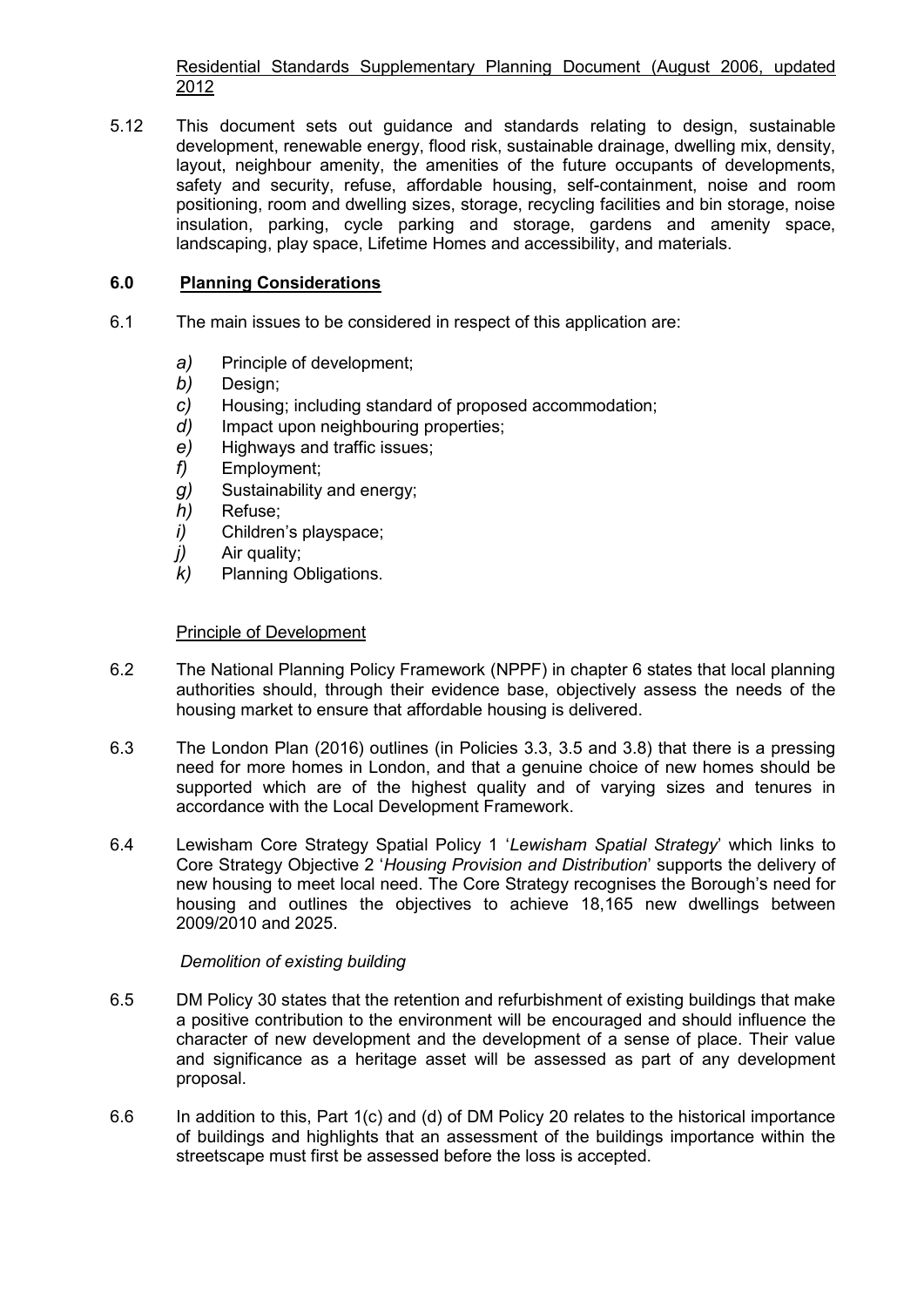Residential Standards Supplementary Planning Document (August 2006, updated 2012

5.12 This document sets out guidance and standards relating to design, sustainable development, renewable energy, flood risk, sustainable drainage, dwelling mix, density, layout, neighbour amenity, the amenities of the future occupants of developments, safety and security, refuse, affordable housing, self-containment, noise and room positioning, room and dwelling sizes, storage, recycling facilities and bin storage, noise insulation, parking, cycle parking and storage, gardens and amenity space, landscaping, play space, Lifetime Homes and accessibility, and materials.

# **6.0 Planning Considerations**

- 6.1 The main issues to be considered in respect of this application are:
	- *a)* Principle of development;
	- *b)* Design;
	- *c)* Housing; including standard of proposed accommodation;
	- *d)* Impact upon neighbouring properties;
	- *e)* Highways and traffic issues;
	- *f)* Employment;
	- *g)* Sustainability and energy;
	- *h)* Refuse;
	- *i)* Children's playspace;
	- *j)* Air quality;
	- *k)* Planning Obligations.

# Principle of Development

- 6.2 The National Planning Policy Framework (NPPF) in chapter 6 states that local planning authorities should, through their evidence base, objectively assess the needs of the housing market to ensure that affordable housing is delivered.
- 6.3 The London Plan (2016) outlines (in Policies 3.3, 3.5 and 3.8) that there is a pressing need for more homes in London, and that a genuine choice of new homes should be supported which are of the highest quality and of varying sizes and tenures in accordance with the Local Development Framework.
- 6.4 Lewisham Core Strategy Spatial Policy 1 '*Lewisham Spatial Strategy*' which links to Core Strategy Objective 2 '*Housing Provision and Distribution*' supports the delivery of new housing to meet local need. The Core Strategy recognises the Borough's need for housing and outlines the objectives to achieve 18,165 new dwellings between 2009/2010 and 2025.

# *Demolition of existing building*

- 6.5 DM Policy 30 states that the retention and refurbishment of existing buildings that make a positive contribution to the environment will be encouraged and should influence the character of new development and the development of a sense of place. Their value and significance as a heritage asset will be assessed as part of any development proposal.
- 6.6 In addition to this, Part 1(c) and (d) of DM Policy 20 relates to the historical importance of buildings and highlights that an assessment of the buildings importance within the streetscape must first be assessed before the loss is accepted.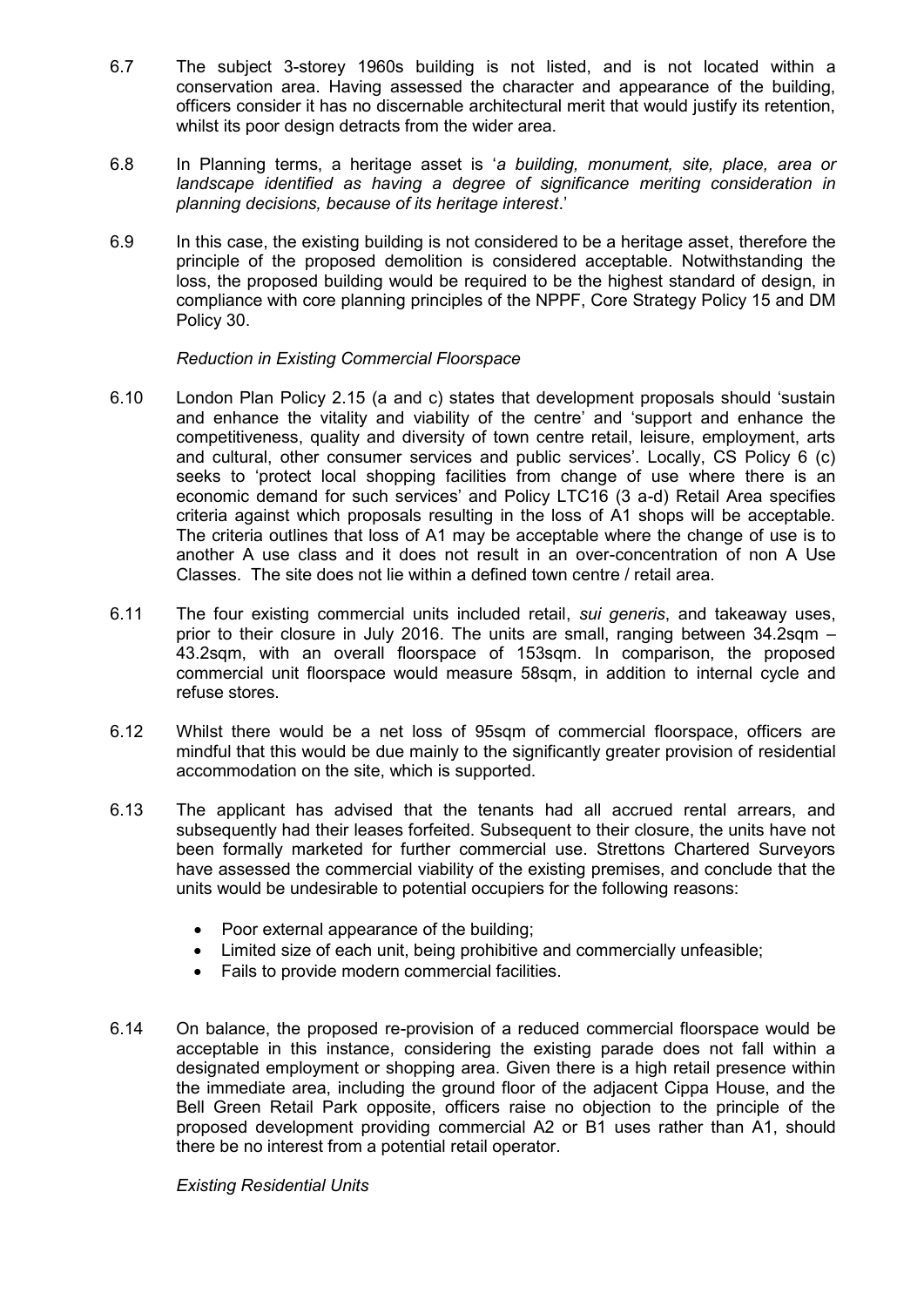- 6.7 The subject 3-storey 1960s building is not listed, and is not located within a conservation area. Having assessed the character and appearance of the building, officers consider it has no discernable architectural merit that would justify its retention, whilst its poor design detracts from the wider area.
- 6.8 In Planning terms, a heritage asset is '*a building, monument, site, place, area or landscape identified as having a degree of significance meriting consideration in planning decisions, because of its heritage interest*.'
- 6.9 In this case, the existing building is not considered to be a heritage asset, therefore the principle of the proposed demolition is considered acceptable. Notwithstanding the loss, the proposed building would be required to be the highest standard of design, in compliance with core planning principles of the NPPF, Core Strategy Policy 15 and DM Policy 30.

## *Reduction in Existing Commercial Floorspace*

- 6.10 London Plan Policy 2.15 (a and c) states that development proposals should 'sustain and enhance the vitality and viability of the centre' and 'support and enhance the competitiveness, quality and diversity of town centre retail, leisure, employment, arts and cultural, other consumer services and public services'. Locally, CS Policy 6 (c) seeks to 'protect local shopping facilities from change of use where there is an economic demand for such services' and Policy LTC16 (3 a-d) Retail Area specifies criteria against which proposals resulting in the loss of A1 shops will be acceptable. The criteria outlines that loss of A1 may be acceptable where the change of use is to another A use class and it does not result in an over-concentration of non A Use Classes. The site does not lie within a defined town centre / retail area.
- 6.11 The four existing commercial units included retail, *sui generis*, and takeaway uses, prior to their closure in July 2016. The units are small, ranging between 34.2sqm – 43.2sqm, with an overall floorspace of 153sqm. In comparison, the proposed commercial unit floorspace would measure 58sqm, in addition to internal cycle and refuse stores.
- 6.12 Whilst there would be a net loss of 95sqm of commercial floorspace, officers are mindful that this would be due mainly to the significantly greater provision of residential accommodation on the site, which is supported.
- 6.13 The applicant has advised that the tenants had all accrued rental arrears, and subsequently had their leases forfeited. Subsequent to their closure, the units have not been formally marketed for further commercial use. Strettons Chartered Surveyors have assessed the commercial viability of the existing premises, and conclude that the units would be undesirable to potential occupiers for the following reasons:
	- Poor external appearance of the building;
	- Limited size of each unit, being prohibitive and commercially unfeasible;
	- Fails to provide modern commercial facilities.
- 6.14 On balance, the proposed re-provision of a reduced commercial floorspace would be acceptable in this instance, considering the existing parade does not fall within a designated employment or shopping area. Given there is a high retail presence within the immediate area, including the ground floor of the adjacent Cippa House, and the Bell Green Retail Park opposite, officers raise no objection to the principle of the proposed development providing commercial A2 or B1 uses rather than A1, should there be no interest from a potential retail operator.

*Existing Residential Units*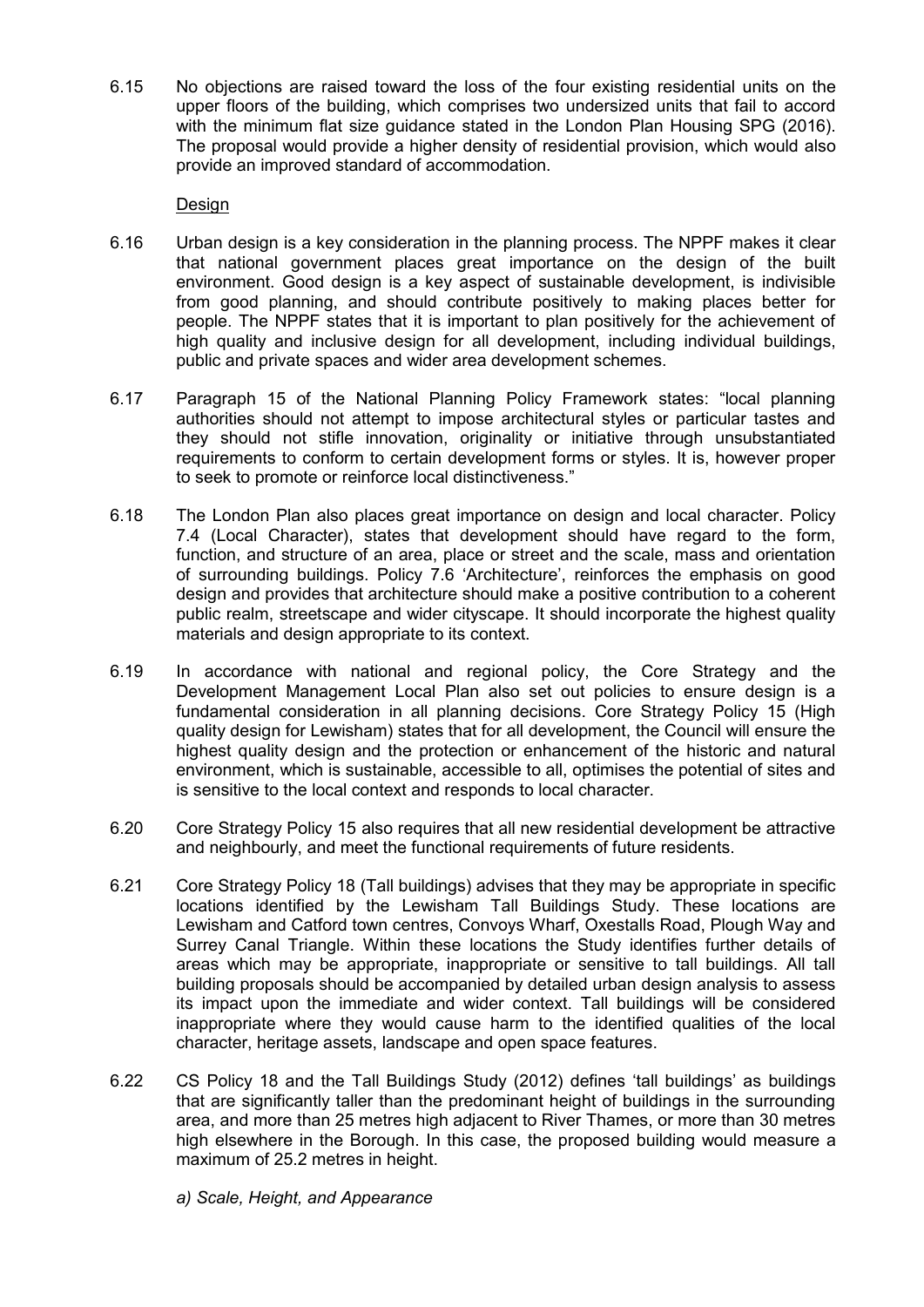6.15 No objections are raised toward the loss of the four existing residential units on the upper floors of the building, which comprises two undersized units that fail to accord with the minimum flat size guidance stated in the London Plan Housing SPG (2016). The proposal would provide a higher density of residential provision, which would also provide an improved standard of accommodation.

# **Design**

- 6.16 Urban design is a key consideration in the planning process. The NPPF makes it clear that national government places great importance on the design of the built environment. Good design is a key aspect of sustainable development, is indivisible from good planning, and should contribute positively to making places better for people. The NPPF states that it is important to plan positively for the achievement of high quality and inclusive design for all development, including individual buildings, public and private spaces and wider area development schemes.
- 6.17 Paragraph 15 of the National Planning Policy Framework states: "local planning authorities should not attempt to impose architectural styles or particular tastes and they should not stifle innovation, originality or initiative through unsubstantiated requirements to conform to certain development forms or styles. It is, however proper to seek to promote or reinforce local distinctiveness."
- 6.18 The London Plan also places great importance on design and local character. Policy 7.4 (Local Character), states that development should have regard to the form, function, and structure of an area, place or street and the scale, mass and orientation of surrounding buildings. Policy 7.6 'Architecture', reinforces the emphasis on good design and provides that architecture should make a positive contribution to a coherent public realm, streetscape and wider cityscape. It should incorporate the highest quality materials and design appropriate to its context.
- 6.19 In accordance with national and regional policy, the Core Strategy and the Development Management Local Plan also set out policies to ensure design is a fundamental consideration in all planning decisions. Core Strategy Policy 15 (High quality design for Lewisham) states that for all development, the Council will ensure the highest quality design and the protection or enhancement of the historic and natural environment, which is sustainable, accessible to all, optimises the potential of sites and is sensitive to the local context and responds to local character.
- 6.20 Core Strategy Policy 15 also requires that all new residential development be attractive and neighbourly, and meet the functional requirements of future residents.
- 6.21 Core Strategy Policy 18 (Tall buildings) advises that they may be appropriate in specific locations identified by the Lewisham Tall Buildings Study. These locations are Lewisham and Catford town centres, Convoys Wharf, Oxestalls Road, Plough Way and Surrey Canal Triangle. Within these locations the Study identifies further details of areas which may be appropriate, inappropriate or sensitive to tall buildings. All tall building proposals should be accompanied by detailed urban design analysis to assess its impact upon the immediate and wider context. Tall buildings will be considered inappropriate where they would cause harm to the identified qualities of the local character, heritage assets, landscape and open space features.
- 6.22 CS Policy 18 and the Tall Buildings Study (2012) defines 'tall buildings' as buildings that are significantly taller than the predominant height of buildings in the surrounding area, and more than 25 metres high adjacent to River Thames, or more than 30 metres high elsewhere in the Borough. In this case, the proposed building would measure a maximum of 25.2 metres in height.
	- *a) Scale, Height, and Appearance*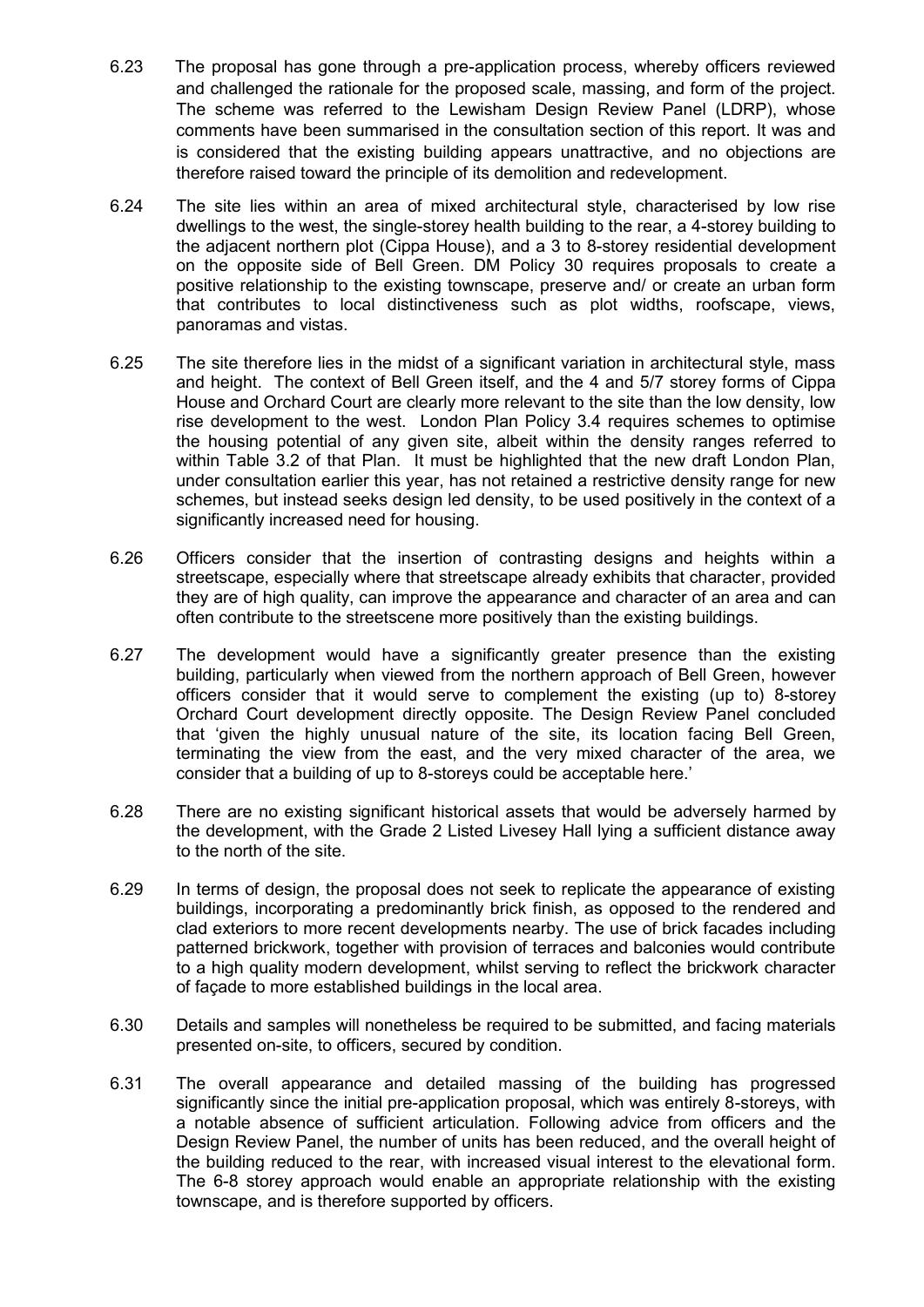- 6.23 The proposal has gone through a pre-application process, whereby officers reviewed and challenged the rationale for the proposed scale, massing, and form of the project. The scheme was referred to the Lewisham Design Review Panel (LDRP), whose comments have been summarised in the consultation section of this report. It was and is considered that the existing building appears unattractive, and no objections are therefore raised toward the principle of its demolition and redevelopment.
- 6.24 The site lies within an area of mixed architectural style, characterised by low rise dwellings to the west, the single-storey health building to the rear, a 4-storey building to the adjacent northern plot (Cippa House), and a 3 to 8-storey residential development on the opposite side of Bell Green. DM Policy 30 requires proposals to create a positive relationship to the existing townscape, preserve and/ or create an urban form that contributes to local distinctiveness such as plot widths, roofscape, views, panoramas and vistas.
- 6.25 The site therefore lies in the midst of a significant variation in architectural style, mass and height. The context of Bell Green itself, and the 4 and 5/7 storey forms of Cippa House and Orchard Court are clearly more relevant to the site than the low density, low rise development to the west. London Plan Policy 3.4 requires schemes to optimise the housing potential of any given site, albeit within the density ranges referred to within Table 3.2 of that Plan. It must be highlighted that the new draft London Plan, under consultation earlier this year, has not retained a restrictive density range for new schemes, but instead seeks design led density, to be used positively in the context of a significantly increased need for housing.
- 6.26 Officers consider that the insertion of contrasting designs and heights within a streetscape, especially where that streetscape already exhibits that character, provided they are of high quality, can improve the appearance and character of an area and can often contribute to the streetscene more positively than the existing buildings.
- 6.27 The development would have a significantly greater presence than the existing building, particularly when viewed from the northern approach of Bell Green, however officers consider that it would serve to complement the existing (up to) 8-storey Orchard Court development directly opposite. The Design Review Panel concluded that 'given the highly unusual nature of the site, its location facing Bell Green, terminating the view from the east, and the very mixed character of the area, we consider that a building of up to 8-storeys could be acceptable here.'
- 6.28 There are no existing significant historical assets that would be adversely harmed by the development, with the Grade 2 Listed Livesey Hall lying a sufficient distance away to the north of the site.
- 6.29 In terms of design, the proposal does not seek to replicate the appearance of existing buildings, incorporating a predominantly brick finish, as opposed to the rendered and clad exteriors to more recent developments nearby. The use of brick facades including patterned brickwork, together with provision of terraces and balconies would contribute to a high quality modern development, whilst serving to reflect the brickwork character of façade to more established buildings in the local area.
- 6.30 Details and samples will nonetheless be required to be submitted, and facing materials presented on-site, to officers, secured by condition.
- 6.31 The overall appearance and detailed massing of the building has progressed significantly since the initial pre-application proposal, which was entirely 8-storeys, with a notable absence of sufficient articulation. Following advice from officers and the Design Review Panel, the number of units has been reduced, and the overall height of the building reduced to the rear, with increased visual interest to the elevational form. The 6-8 storey approach would enable an appropriate relationship with the existing townscape, and is therefore supported by officers.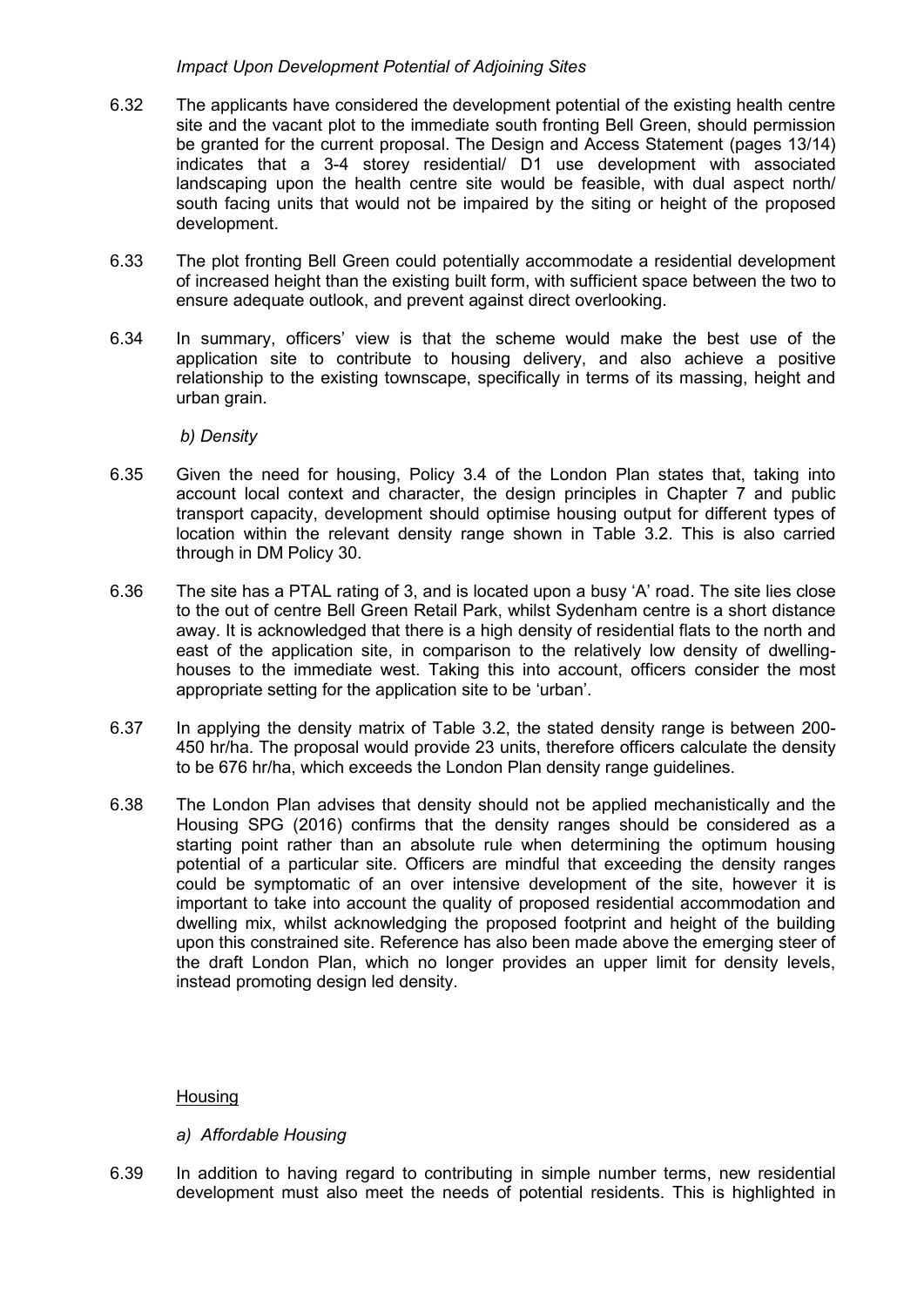## *Impact Upon Development Potential of Adjoining Sites*

- 6.32 The applicants have considered the development potential of the existing health centre site and the vacant plot to the immediate south fronting Bell Green, should permission be granted for the current proposal. The Design and Access Statement (pages 13/14) indicates that a 3-4 storey residential/ D1 use development with associated landscaping upon the health centre site would be feasible, with dual aspect north/ south facing units that would not be impaired by the siting or height of the proposed development.
- 6.33 The plot fronting Bell Green could potentially accommodate a residential development of increased height than the existing built form, with sufficient space between the two to ensure adequate outlook, and prevent against direct overlooking.
- 6.34 In summary, officers' view is that the scheme would make the best use of the application site to contribute to housing delivery, and also achieve a positive relationship to the existing townscape, specifically in terms of its massing, height and urban grain.

## *b) Density*

- 6.35 Given the need for housing, Policy 3.4 of the London Plan states that, taking into account local context and character, the design principles in Chapter 7 and public transport capacity, development should optimise housing output for different types of location within the relevant density range shown in Table 3.2. This is also carried through in DM Policy 30.
- 6.36 The site has a PTAL rating of 3, and is located upon a busy 'A' road. The site lies close to the out of centre Bell Green Retail Park, whilst Sydenham centre is a short distance away. It is acknowledged that there is a high density of residential flats to the north and east of the application site, in comparison to the relatively low density of dwellinghouses to the immediate west. Taking this into account, officers consider the most appropriate setting for the application site to be 'urban'.
- 6.37 In applying the density matrix of Table 3.2, the stated density range is between 200- 450 hr/ha. The proposal would provide 23 units, therefore officers calculate the density to be 676 hr/ha, which exceeds the London Plan density range guidelines.
- 6.38 The London Plan advises that density should not be applied mechanistically and the Housing SPG (2016) confirms that the density ranges should be considered as a starting point rather than an absolute rule when determining the optimum housing potential of a particular site. Officers are mindful that exceeding the density ranges could be symptomatic of an over intensive development of the site, however it is important to take into account the quality of proposed residential accommodation and dwelling mix, whilst acknowledging the proposed footprint and height of the building upon this constrained site. Reference has also been made above the emerging steer of the draft London Plan, which no longer provides an upper limit for density levels, instead promoting design led density.

# **Housing**

# *a) Affordable Housing*

6.39 In addition to having regard to contributing in simple number terms, new residential development must also meet the needs of potential residents. This is highlighted in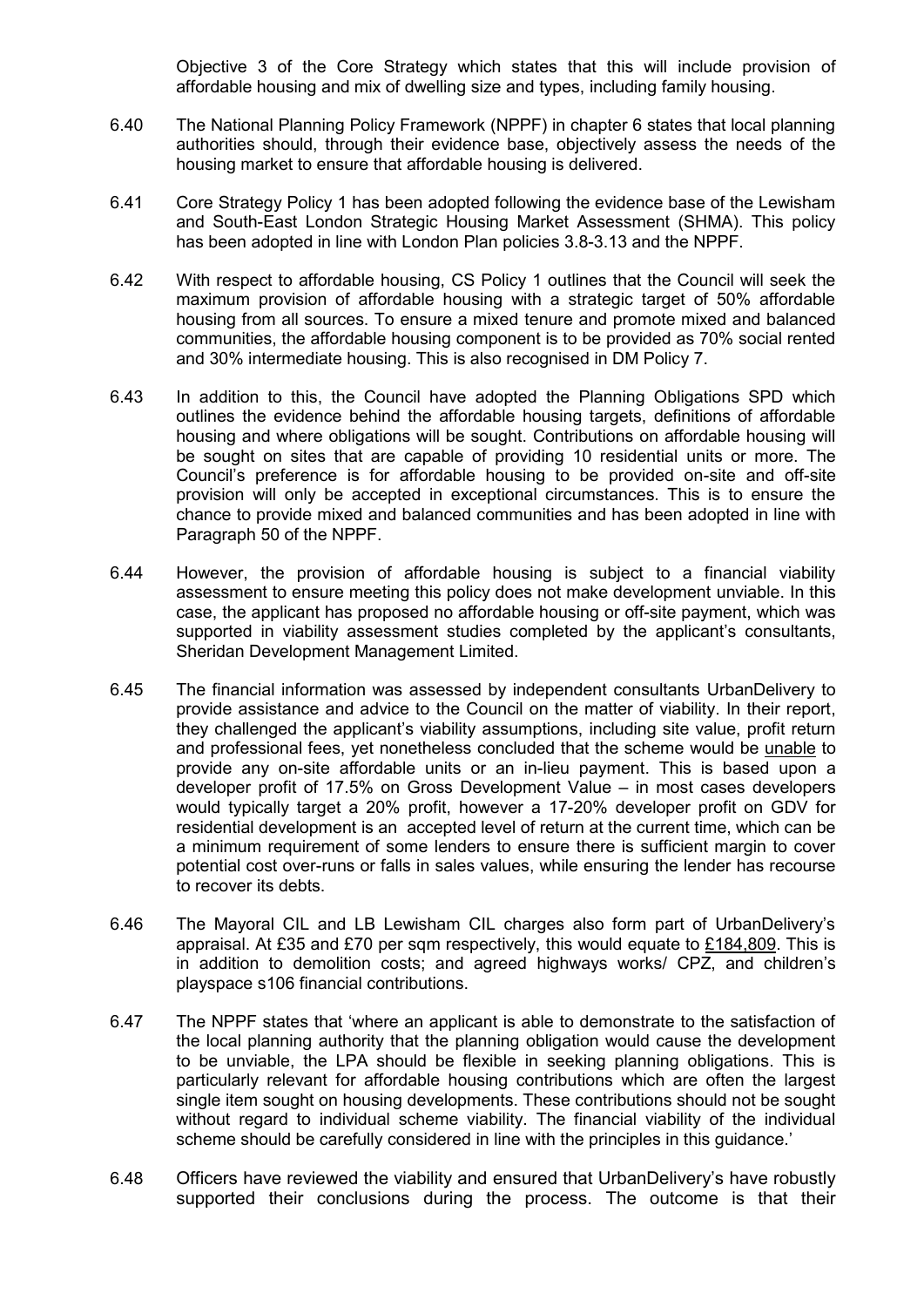Objective 3 of the Core Strategy which states that this will include provision of affordable housing and mix of dwelling size and types, including family housing.

- 6.40 The National Planning Policy Framework (NPPF) in chapter 6 states that local planning authorities should, through their evidence base, objectively assess the needs of the housing market to ensure that affordable housing is delivered.
- 6.41 Core Strategy Policy 1 has been adopted following the evidence base of the Lewisham and South-East London Strategic Housing Market Assessment (SHMA). This policy has been adopted in line with London Plan policies 3.8-3.13 and the NPPF.
- 6.42 With respect to affordable housing, CS Policy 1 outlines that the Council will seek the maximum provision of affordable housing with a strategic target of 50% affordable housing from all sources. To ensure a mixed tenure and promote mixed and balanced communities, the affordable housing component is to be provided as 70% social rented and 30% intermediate housing. This is also recognised in DM Policy 7.
- 6.43 In addition to this, the Council have adopted the Planning Obligations SPD which outlines the evidence behind the affordable housing targets, definitions of affordable housing and where obligations will be sought. Contributions on affordable housing will be sought on sites that are capable of providing 10 residential units or more. The Council's preference is for affordable housing to be provided on-site and off-site provision will only be accepted in exceptional circumstances. This is to ensure the chance to provide mixed and balanced communities and has been adopted in line with Paragraph 50 of the NPPF.
- 6.44 However, the provision of affordable housing is subject to a financial viability assessment to ensure meeting this policy does not make development unviable. In this case, the applicant has proposed no affordable housing or off-site payment, which was supported in viability assessment studies completed by the applicant's consultants, Sheridan Development Management Limited.
- 6.45 The financial information was assessed by independent consultants UrbanDelivery to provide assistance and advice to the Council on the matter of viability. In their report, they challenged the applicant's viability assumptions, including site value, profit return and professional fees, yet nonetheless concluded that the scheme would be unable to provide any on-site affordable units or an in-lieu payment. This is based upon a developer profit of 17.5% on Gross Development Value – in most cases developers would typically target a 20% profit, however a 17-20% developer profit on GDV for residential development is an accepted level of return at the current time, which can be a minimum requirement of some lenders to ensure there is sufficient margin to cover potential cost over-runs or falls in sales values, while ensuring the lender has recourse to recover its debts.
- 6.46 The Mayoral CIL and LB Lewisham CIL charges also form part of UrbanDelivery's appraisal. At £35 and £70 per sqm respectively, this would equate to £184,809. This is in addition to demolition costs; and agreed highways works/ CPZ, and children's playspace s106 financial contributions.
- 6.47 The NPPF states that 'where an applicant is able to demonstrate to the satisfaction of the local planning authority that the planning obligation would cause the development to be unviable, the LPA should be flexible in seeking planning obligations. This is particularly relevant for affordable housing contributions which are often the largest single item sought on housing developments. These contributions should not be sought without regard to individual scheme viability. The financial viability of the individual scheme should be carefully considered in line with the principles in this guidance.'
- 6.48 Officers have reviewed the viability and ensured that UrbanDelivery's have robustly supported their conclusions during the process. The outcome is that their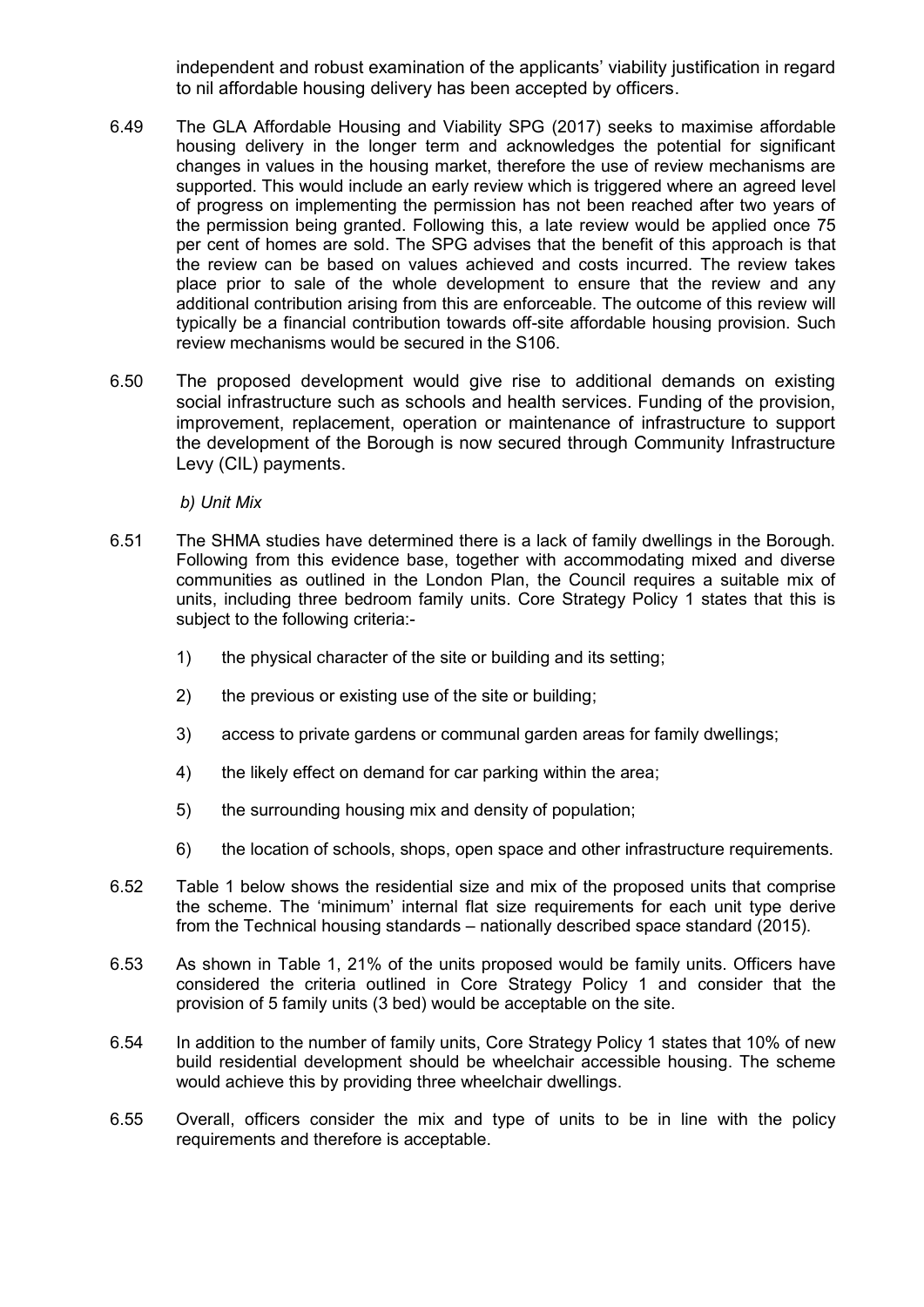independent and robust examination of the applicants' viability justification in regard to nil affordable housing delivery has been accepted by officers.

- 6.49 The GLA Affordable Housing and Viability SPG (2017) seeks to maximise affordable housing delivery in the longer term and acknowledges the potential for significant changes in values in the housing market, therefore the use of review mechanisms are supported. This would include an early review which is triggered where an agreed level of progress on implementing the permission has not been reached after two years of the permission being granted. Following this, a late review would be applied once 75 per cent of homes are sold. The SPG advises that the benefit of this approach is that the review can be based on values achieved and costs incurred. The review takes place prior to sale of the whole development to ensure that the review and any additional contribution arising from this are enforceable. The outcome of this review will typically be a financial contribution towards off-site affordable housing provision. Such review mechanisms would be secured in the S106.
- 6.50 The proposed development would give rise to additional demands on existing social infrastructure such as schools and health services. Funding of the provision, improvement, replacement, operation or maintenance of infrastructure to support the development of the Borough is now secured through Community Infrastructure Levy (CIL) payments.

*b) Unit Mix*

- 6.51 The SHMA studies have determined there is a lack of family dwellings in the Borough. Following from this evidence base, together with accommodating mixed and diverse communities as outlined in the London Plan, the Council requires a suitable mix of units, including three bedroom family units. Core Strategy Policy 1 states that this is subject to the following criteria:-
	- 1) the physical character of the site or building and its setting;
	- 2) the previous or existing use of the site or building;
	- 3) access to private gardens or communal garden areas for family dwellings;
	- 4) the likely effect on demand for car parking within the area;
	- 5) the surrounding housing mix and density of population;
	- 6) the location of schools, shops, open space and other infrastructure requirements.
- 6.52 Table 1 below shows the residential size and mix of the proposed units that comprise the scheme. The 'minimum' internal flat size requirements for each unit type derive from the Technical housing standards – nationally described space standard (2015).
- 6.53 As shown in Table 1, 21% of the units proposed would be family units. Officers have considered the criteria outlined in Core Strategy Policy 1 and consider that the provision of 5 family units (3 bed) would be acceptable on the site.
- 6.54 In addition to the number of family units, Core Strategy Policy 1 states that 10% of new build residential development should be wheelchair accessible housing. The scheme would achieve this by providing three wheelchair dwellings.
- 6.55 Overall, officers consider the mix and type of units to be in line with the policy requirements and therefore is acceptable.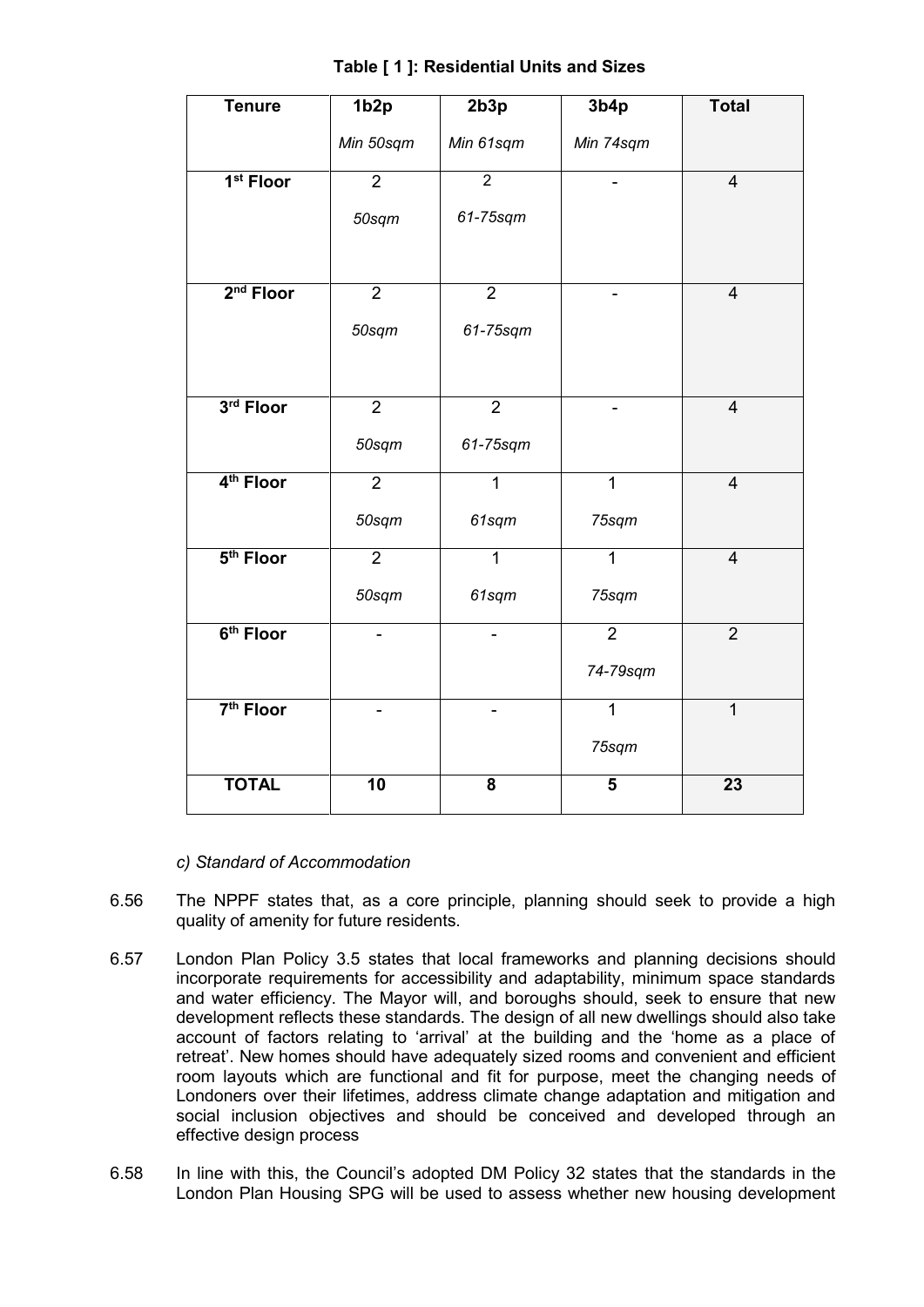| <b>Tenure</b>         | 1b <sub>2p</sub> | 2b3p                     | 3b4p                    | <b>Total</b>            |
|-----------------------|------------------|--------------------------|-------------------------|-------------------------|
|                       | Min 50sqm        | Min 61sqm                | Min 74sqm               |                         |
| 1 <sup>st</sup> Floor | $\overline{2}$   | $\overline{2}$           |                         | $\overline{\mathbf{4}}$ |
|                       | 50sqm            | 61-75sqm                 |                         |                         |
| $2nd$ Floor           | $\overline{2}$   | $\overline{2}$           |                         | $\overline{4}$          |
|                       | 50sqm            | 61-75sqm                 |                         |                         |
| 3rd Floor             | $\overline{2}$   | $\overline{2}$           |                         | $\overline{4}$          |
|                       | 50sqm            | 61-75sqm                 |                         |                         |
| 4 <sup>th</sup> Floor | $\overline{2}$   | $\overline{1}$           | $\overline{1}$          | $\overline{4}$          |
|                       | 50sqm            | 61sqm                    | 75sqm                   |                         |
| $5th$ Floor           | $\overline{2}$   | $\overline{1}$           | $\mathbf{1}$            | $\overline{4}$          |
|                       | 50sqm            | 61sqm                    | 75sqm                   |                         |
| 6 <sup>th</sup> Floor | ÷,               | $\overline{\phantom{0}}$ | $\overline{2}$          | $\overline{2}$          |
|                       |                  |                          | 74-79sqm                |                         |
| 7 <sup>th</sup> Floor |                  |                          | $\overline{1}$          | $\overline{1}$          |
|                       |                  |                          | 75sqm                   |                         |
| <b>TOTAL</b>          | 10               | $\overline{\mathbf{8}}$  | $\overline{\mathbf{5}}$ | $\overline{23}$         |

**Table [ 1 ]: Residential Units and Sizes**

*c) Standard of Accommodation*

- 6.56 The NPPF states that, as a core principle, planning should seek to provide a high quality of amenity for future residents.
- 6.57 London Plan Policy 3.5 states that local frameworks and planning decisions should incorporate requirements for accessibility and adaptability, minimum space standards and water efficiency. The Mayor will, and boroughs should, seek to ensure that new development reflects these standards. The design of all new dwellings should also take account of factors relating to 'arrival' at the building and the 'home as a place of retreat'. New homes should have adequately sized rooms and convenient and efficient room layouts which are functional and fit for purpose, meet the changing needs of Londoners over their lifetimes, address climate change adaptation and mitigation and social inclusion objectives and should be conceived and developed through an effective design process
- 6.58 In line with this, the Council's adopted DM Policy 32 states that the standards in the London Plan Housing SPG will be used to assess whether new housing development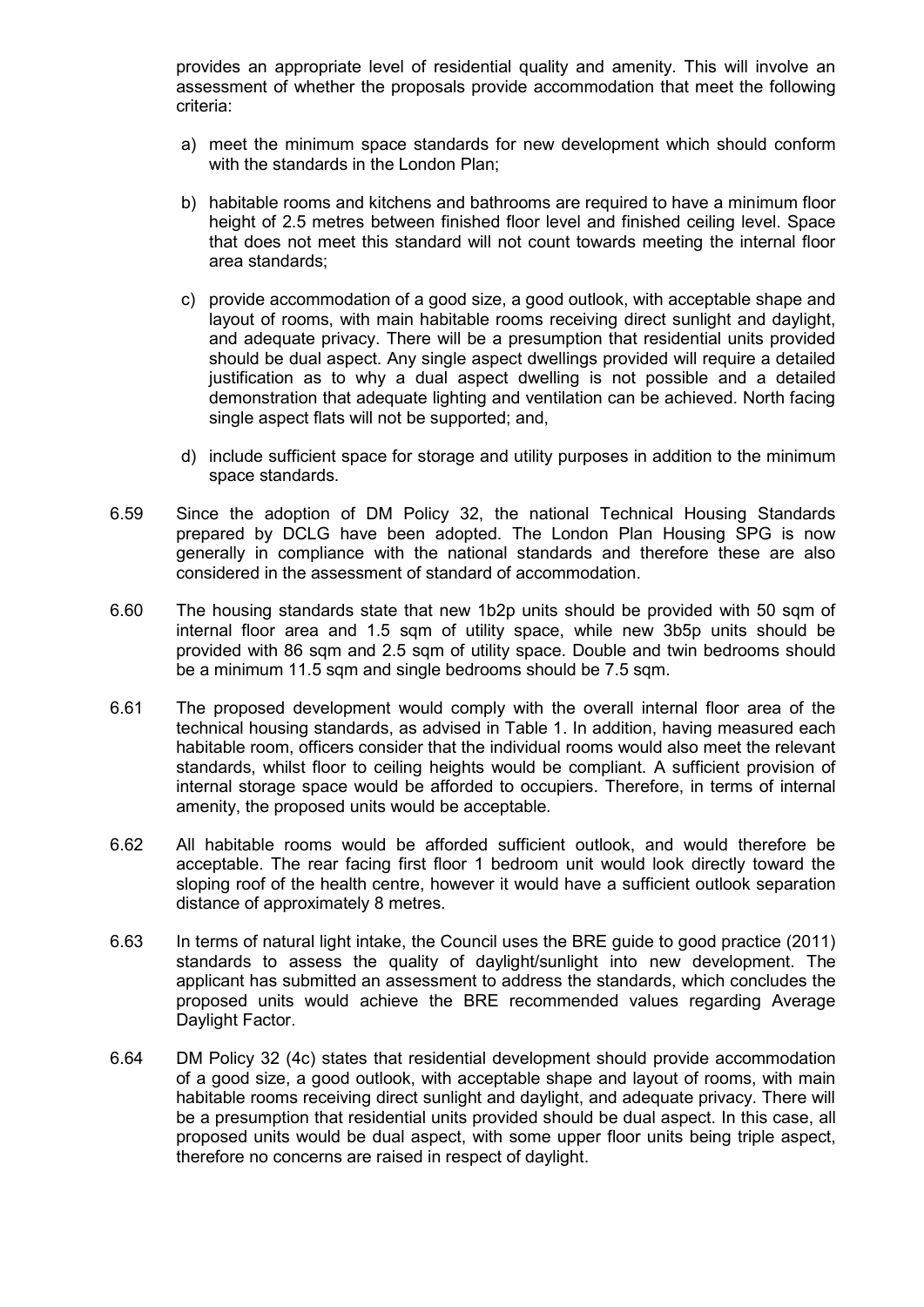provides an appropriate level of residential quality and amenity. This will involve an assessment of whether the proposals provide accommodation that meet the following criteria:

- a) meet the minimum space standards for new development which should conform with the standards in the London Plan:
- b) habitable rooms and kitchens and bathrooms are required to have a minimum floor height of 2.5 metres between finished floor level and finished ceiling level. Space that does not meet this standard will not count towards meeting the internal floor area standards;
- c) provide accommodation of a good size, a good outlook, with acceptable shape and layout of rooms, with main habitable rooms receiving direct sunlight and daylight, and adequate privacy. There will be a presumption that residential units provided should be dual aspect. Any single aspect dwellings provided will require a detailed justification as to why a dual aspect dwelling is not possible and a detailed demonstration that adequate lighting and ventilation can be achieved. North facing single aspect flats will not be supported; and,
- d) include sufficient space for storage and utility purposes in addition to the minimum space standards.
- 6.59 Since the adoption of DM Policy 32, the national Technical Housing Standards prepared by DCLG have been adopted. The London Plan Housing SPG is now generally in compliance with the national standards and therefore these are also considered in the assessment of standard of accommodation.
- 6.60 The housing standards state that new 1b2p units should be provided with 50 sqm of internal floor area and 1.5 sqm of utility space, while new 3b5p units should be provided with 86 sqm and 2.5 sqm of utility space. Double and twin bedrooms should be a minimum 11.5 sqm and single bedrooms should be 7.5 sqm.
- 6.61 The proposed development would comply with the overall internal floor area of the technical housing standards, as advised in Table 1. In addition, having measured each habitable room, officers consider that the individual rooms would also meet the relevant standards, whilst floor to ceiling heights would be compliant. A sufficient provision of internal storage space would be afforded to occupiers. Therefore, in terms of internal amenity, the proposed units would be acceptable.
- 6.62 All habitable rooms would be afforded sufficient outlook, and would therefore be acceptable. The rear facing first floor 1 bedroom unit would look directly toward the sloping roof of the health centre, however it would have a sufficient outlook separation distance of approximately 8 metres.
- 6.63 In terms of natural light intake, the Council uses the BRE guide to good practice (2011) standards to assess the quality of daylight/sunlight into new development. The applicant has submitted an assessment to address the standards, which concludes the proposed units would achieve the BRE recommended values regarding Average Daylight Factor.
- 6.64 DM Policy 32 (4c) states that residential development should provide accommodation of a good size, a good outlook, with acceptable shape and layout of rooms, with main habitable rooms receiving direct sunlight and daylight, and adequate privacy. There will be a presumption that residential units provided should be dual aspect. In this case, all proposed units would be dual aspect, with some upper floor units being triple aspect, therefore no concerns are raised in respect of daylight.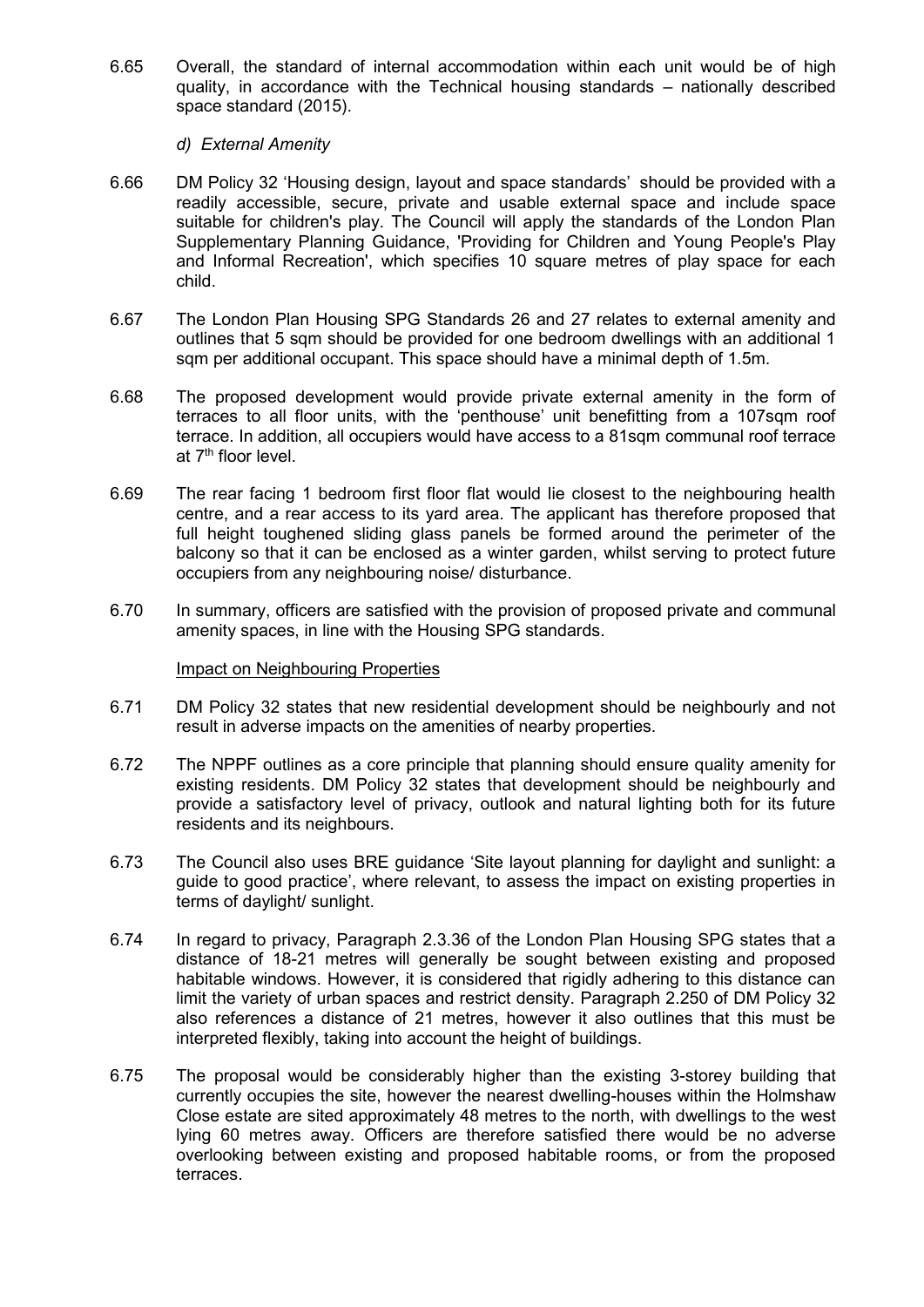6.65 Overall, the standard of internal accommodation within each unit would be of high quality, in accordance with the Technical housing standards – nationally described space standard (2015).

## *d) External Amenity*

- 6.66 DM Policy 32 'Housing design, layout and space standards' should be provided with a readily accessible, secure, private and usable external space and include space suitable for children's play. The Council will apply the standards of the London Plan Supplementary Planning Guidance, 'Providing for Children and Young People's Play and Informal Recreation', which specifies 10 square metres of play space for each child.
- 6.67 The London Plan Housing SPG Standards 26 and 27 relates to external amenity and outlines that 5 sqm should be provided for one bedroom dwellings with an additional 1 sqm per additional occupant. This space should have a minimal depth of 1.5m.
- 6.68 The proposed development would provide private external amenity in the form of terraces to all floor units, with the 'penthouse' unit benefitting from a 107sqm roof terrace. In addition, all occupiers would have access to a 81sqm communal roof terrace at 7<sup>th</sup> floor level.
- 6.69 The rear facing 1 bedroom first floor flat would lie closest to the neighbouring health centre, and a rear access to its yard area. The applicant has therefore proposed that full height toughened sliding glass panels be formed around the perimeter of the balcony so that it can be enclosed as a winter garden, whilst serving to protect future occupiers from any neighbouring noise/ disturbance.
- 6.70 In summary, officers are satisfied with the provision of proposed private and communal amenity spaces, in line with the Housing SPG standards.

#### Impact on Neighbouring Properties

- 6.71 DM Policy 32 states that new residential development should be neighbourly and not result in adverse impacts on the amenities of nearby properties.
- 6.72 The NPPF outlines as a core principle that planning should ensure quality amenity for existing residents. DM Policy 32 states that development should be neighbourly and provide a satisfactory level of privacy, outlook and natural lighting both for its future residents and its neighbours.
- 6.73 The Council also uses BRE guidance 'Site layout planning for daylight and sunlight: a guide to good practice', where relevant, to assess the impact on existing properties in terms of daylight/ sunlight.
- 6.74 In regard to privacy, Paragraph 2.3.36 of the London Plan Housing SPG states that a distance of 18-21 metres will generally be sought between existing and proposed habitable windows. However, it is considered that rigidly adhering to this distance can limit the variety of urban spaces and restrict density. Paragraph 2.250 of DM Policy 32 also references a distance of 21 metres, however it also outlines that this must be interpreted flexibly, taking into account the height of buildings.
- 6.75 The proposal would be considerably higher than the existing 3-storey building that currently occupies the site, however the nearest dwelling-houses within the Holmshaw Close estate are sited approximately 48 metres to the north, with dwellings to the west lying 60 metres away. Officers are therefore satisfied there would be no adverse overlooking between existing and proposed habitable rooms, or from the proposed terraces.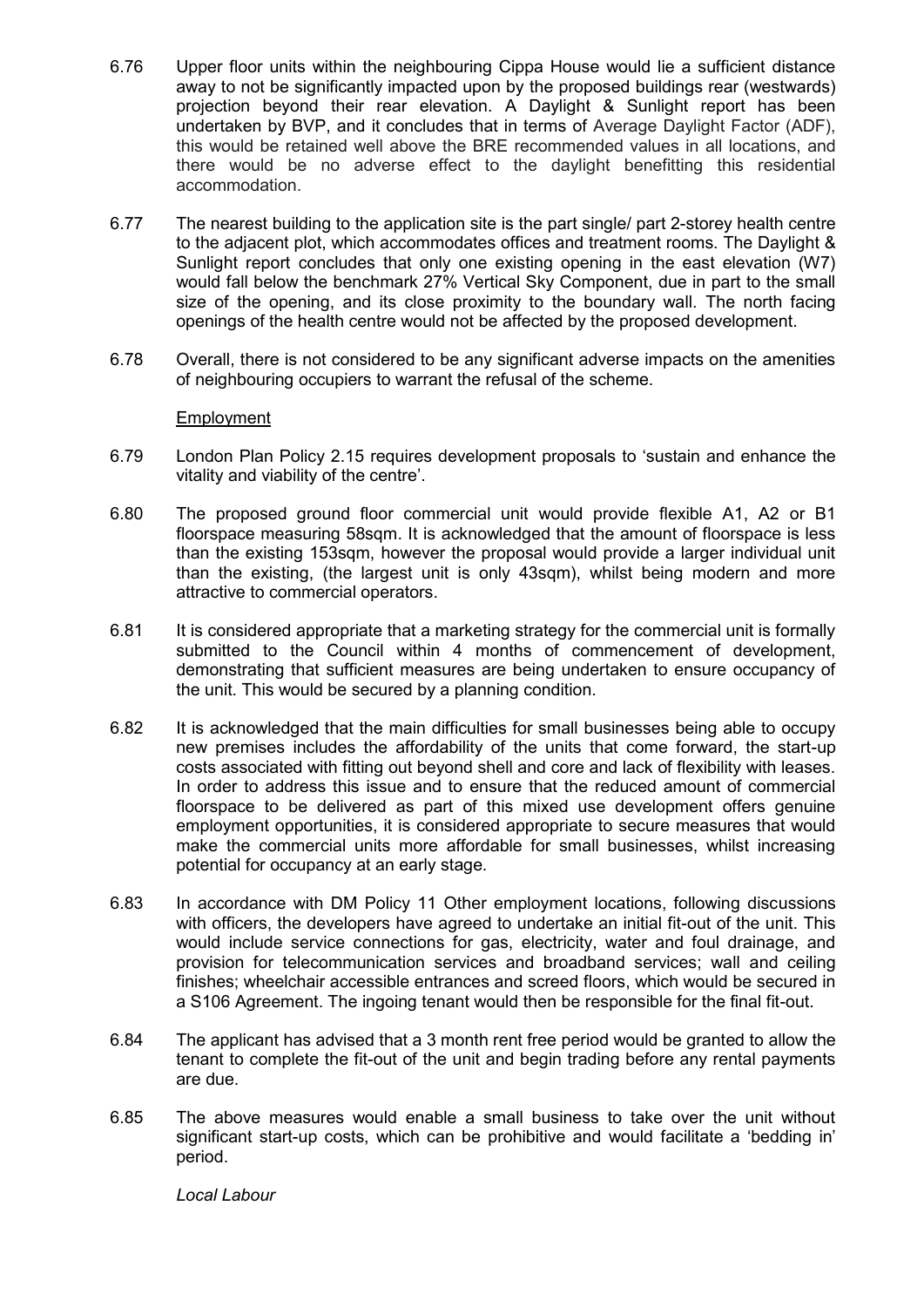- 6.76 Upper floor units within the neighbouring Cippa House would lie a sufficient distance away to not be significantly impacted upon by the proposed buildings rear (westwards) projection beyond their rear elevation. A Daylight & Sunlight report has been undertaken by BVP, and it concludes that in terms of Average Daylight Factor (ADF), this would be retained well above the BRE recommended values in all locations, and there would be no adverse effect to the daylight benefitting this residential accommodation.
- 6.77 The nearest building to the application site is the part single/ part 2-storey health centre to the adjacent plot, which accommodates offices and treatment rooms. The Daylight & Sunlight report concludes that only one existing opening in the east elevation (W7) would fall below the benchmark 27% Vertical Sky Component, due in part to the small size of the opening, and its close proximity to the boundary wall. The north facing openings of the health centre would not be affected by the proposed development.
- 6.78 Overall, there is not considered to be any significant adverse impacts on the amenities of neighbouring occupiers to warrant the refusal of the scheme.

## Employment

- 6.79 London Plan Policy 2.15 requires development proposals to 'sustain and enhance the vitality and viability of the centre'.
- 6.80 The proposed ground floor commercial unit would provide flexible A1, A2 or B1 floorspace measuring 58sqm. It is acknowledged that the amount of floorspace is less than the existing 153sqm, however the proposal would provide a larger individual unit than the existing, (the largest unit is only 43sqm), whilst being modern and more attractive to commercial operators.
- 6.81 It is considered appropriate that a marketing strategy for the commercial unit is formally submitted to the Council within 4 months of commencement of development, demonstrating that sufficient measures are being undertaken to ensure occupancy of the unit. This would be secured by a planning condition.
- 6.82 It is acknowledged that the main difficulties for small businesses being able to occupy new premises includes the affordability of the units that come forward, the start-up costs associated with fitting out beyond shell and core and lack of flexibility with leases. In order to address this issue and to ensure that the reduced amount of commercial floorspace to be delivered as part of this mixed use development offers genuine employment opportunities, it is considered appropriate to secure measures that would make the commercial units more affordable for small businesses, whilst increasing potential for occupancy at an early stage.
- 6.83 In accordance with DM Policy 11 Other employment locations, following discussions with officers, the developers have agreed to undertake an initial fit-out of the unit. This would include service connections for gas, electricity, water and foul drainage, and provision for telecommunication services and broadband services; wall and ceiling finishes; wheelchair accessible entrances and screed floors, which would be secured in a S106 Agreement. The ingoing tenant would then be responsible for the final fit-out.
- 6.84 The applicant has advised that a 3 month rent free period would be granted to allow the tenant to complete the fit-out of the unit and begin trading before any rental payments are due.
- 6.85 The above measures would enable a small business to take over the unit without significant start-up costs, which can be prohibitive and would facilitate a 'bedding in' period.

*Local Labour*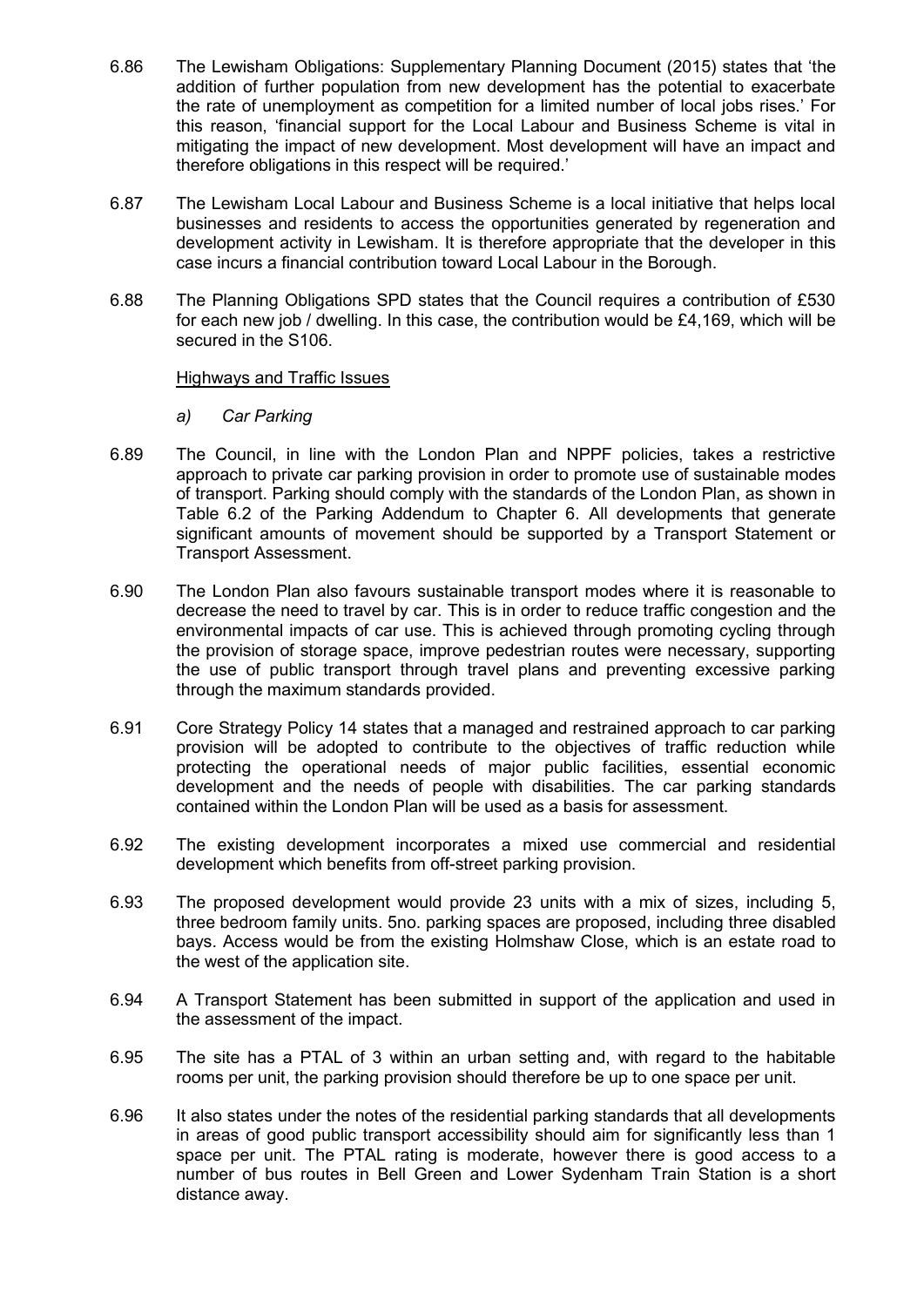- 6.86 The Lewisham Obligations: Supplementary Planning Document (2015) states that 'the addition of further population from new development has the potential to exacerbate the rate of unemployment as competition for a limited number of local jobs rises.' For this reason, 'financial support for the Local Labour and Business Scheme is vital in mitigating the impact of new development. Most development will have an impact and therefore obligations in this respect will be required.'
- 6.87 The Lewisham Local Labour and Business Scheme is a local initiative that helps local businesses and residents to access the opportunities generated by regeneration and development activity in Lewisham. It is therefore appropriate that the developer in this case incurs a financial contribution toward Local Labour in the Borough.
- 6.88 The Planning Obligations SPD states that the Council requires a contribution of £530 for each new job / dwelling. In this case, the contribution would be £4,169, which will be secured in the S106.

## Highways and Traffic Issues

- *a) Car Parking*
- 6.89 The Council, in line with the London Plan and NPPF policies, takes a restrictive approach to private car parking provision in order to promote use of sustainable modes of transport. Parking should comply with the standards of the London Plan, as shown in Table 6.2 of the Parking Addendum to Chapter 6. All developments that generate significant amounts of movement should be supported by a Transport Statement or Transport Assessment.
- 6.90 The London Plan also favours sustainable transport modes where it is reasonable to decrease the need to travel by car. This is in order to reduce traffic congestion and the environmental impacts of car use. This is achieved through promoting cycling through the provision of storage space, improve pedestrian routes were necessary, supporting the use of public transport through travel plans and preventing excessive parking through the maximum standards provided.
- 6.91 Core Strategy Policy 14 states that a managed and restrained approach to car parking provision will be adopted to contribute to the objectives of traffic reduction while protecting the operational needs of major public facilities, essential economic development and the needs of people with disabilities. The car parking standards contained within the London Plan will be used as a basis for assessment.
- 6.92 The existing development incorporates a mixed use commercial and residential development which benefits from off-street parking provision.
- 6.93 The proposed development would provide 23 units with a mix of sizes, including 5, three bedroom family units. 5no. parking spaces are proposed, including three disabled bays. Access would be from the existing Holmshaw Close, which is an estate road to the west of the application site.
- 6.94 A Transport Statement has been submitted in support of the application and used in the assessment of the impact.
- 6.95 The site has a PTAL of 3 within an urban setting and, with regard to the habitable rooms per unit, the parking provision should therefore be up to one space per unit.
- 6.96 It also states under the notes of the residential parking standards that all developments in areas of good public transport accessibility should aim for significantly less than 1 space per unit. The PTAL rating is moderate, however there is good access to a number of bus routes in Bell Green and Lower Sydenham Train Station is a short distance away.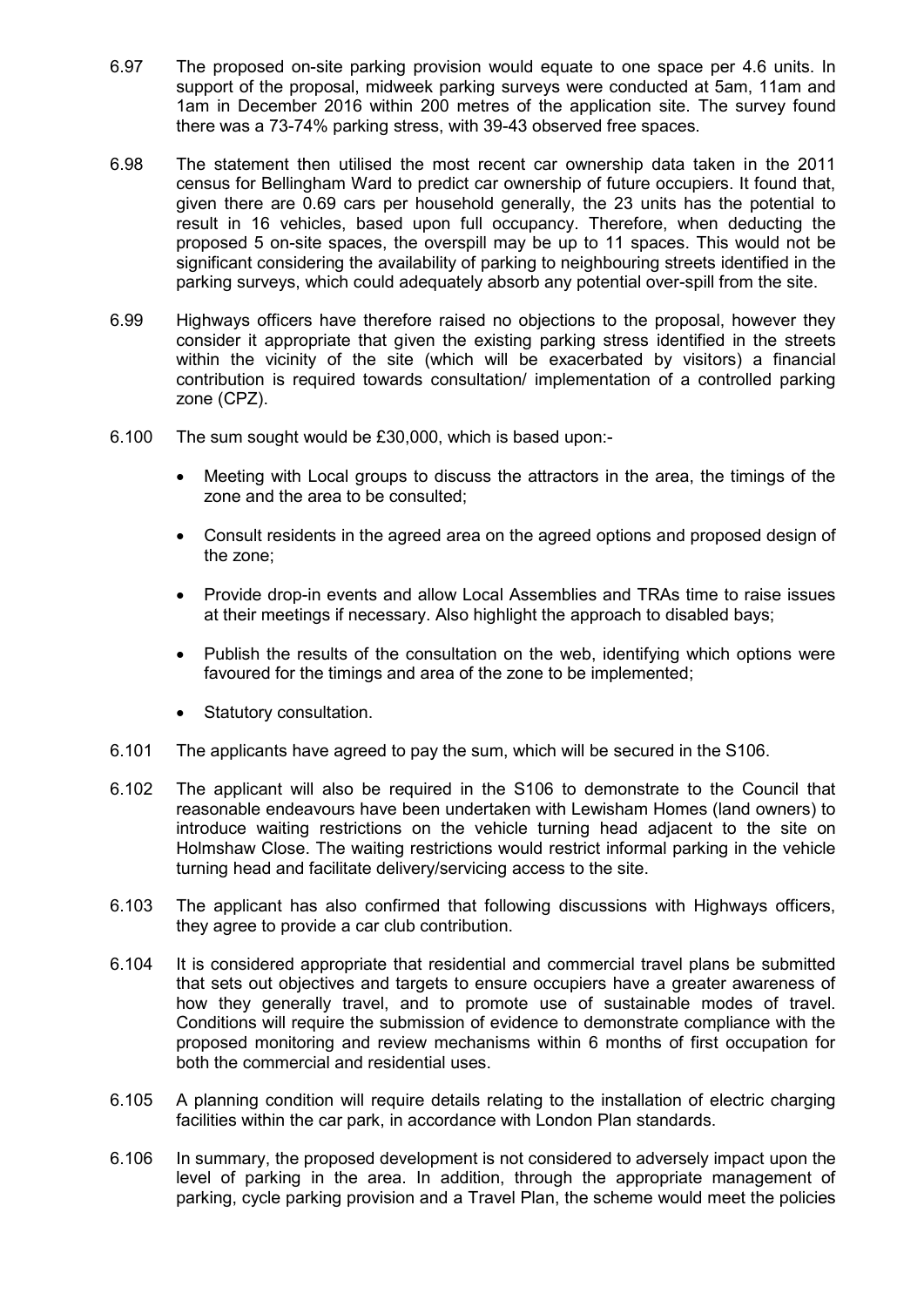- 6.97 The proposed on-site parking provision would equate to one space per 4.6 units. In support of the proposal, midweek parking surveys were conducted at 5am, 11am and 1am in December 2016 within 200 metres of the application site. The survey found there was a 73-74% parking stress, with 39-43 observed free spaces.
- 6.98 The statement then utilised the most recent car ownership data taken in the 2011 census for Bellingham Ward to predict car ownership of future occupiers. It found that, given there are 0.69 cars per household generally, the 23 units has the potential to result in 16 vehicles, based upon full occupancy. Therefore, when deducting the proposed 5 on-site spaces, the overspill may be up to 11 spaces. This would not be significant considering the availability of parking to neighbouring streets identified in the parking surveys, which could adequately absorb any potential over-spill from the site.
- 6.99 Highways officers have therefore raised no objections to the proposal, however they consider it appropriate that given the existing parking stress identified in the streets within the vicinity of the site (which will be exacerbated by visitors) a financial contribution is required towards consultation/ implementation of a controlled parking zone (CPZ).
- 6.100 The sum sought would be £30,000, which is based upon:-
	- Meeting with Local groups to discuss the attractors in the area, the timings of the zone and the area to be consulted;
	- Consult residents in the agreed area on the agreed options and proposed design of the zone;
	- Provide drop-in events and allow Local Assemblies and TRAs time to raise issues at their meetings if necessary. Also highlight the approach to disabled bays;
	- Publish the results of the consultation on the web, identifying which options were favoured for the timings and area of the zone to be implemented;
	- Statutory consultation.
- 6.101 The applicants have agreed to pay the sum, which will be secured in the S106.
- 6.102 The applicant will also be required in the S106 to demonstrate to the Council that reasonable endeavours have been undertaken with Lewisham Homes (land owners) to introduce waiting restrictions on the vehicle turning head adjacent to the site on Holmshaw Close. The waiting restrictions would restrict informal parking in the vehicle turning head and facilitate delivery/servicing access to the site.
- 6.103 The applicant has also confirmed that following discussions with Highways officers, they agree to provide a car club contribution.
- 6.104 It is considered appropriate that residential and commercial travel plans be submitted that sets out objectives and targets to ensure occupiers have a greater awareness of how they generally travel, and to promote use of sustainable modes of travel. Conditions will require the submission of evidence to demonstrate compliance with the proposed monitoring and review mechanisms within 6 months of first occupation for both the commercial and residential uses.
- 6.105 A planning condition will require details relating to the installation of electric charging facilities within the car park, in accordance with London Plan standards.
- 6.106 In summary, the proposed development is not considered to adversely impact upon the level of parking in the area. In addition, through the appropriate management of parking, cycle parking provision and a Travel Plan, the scheme would meet the policies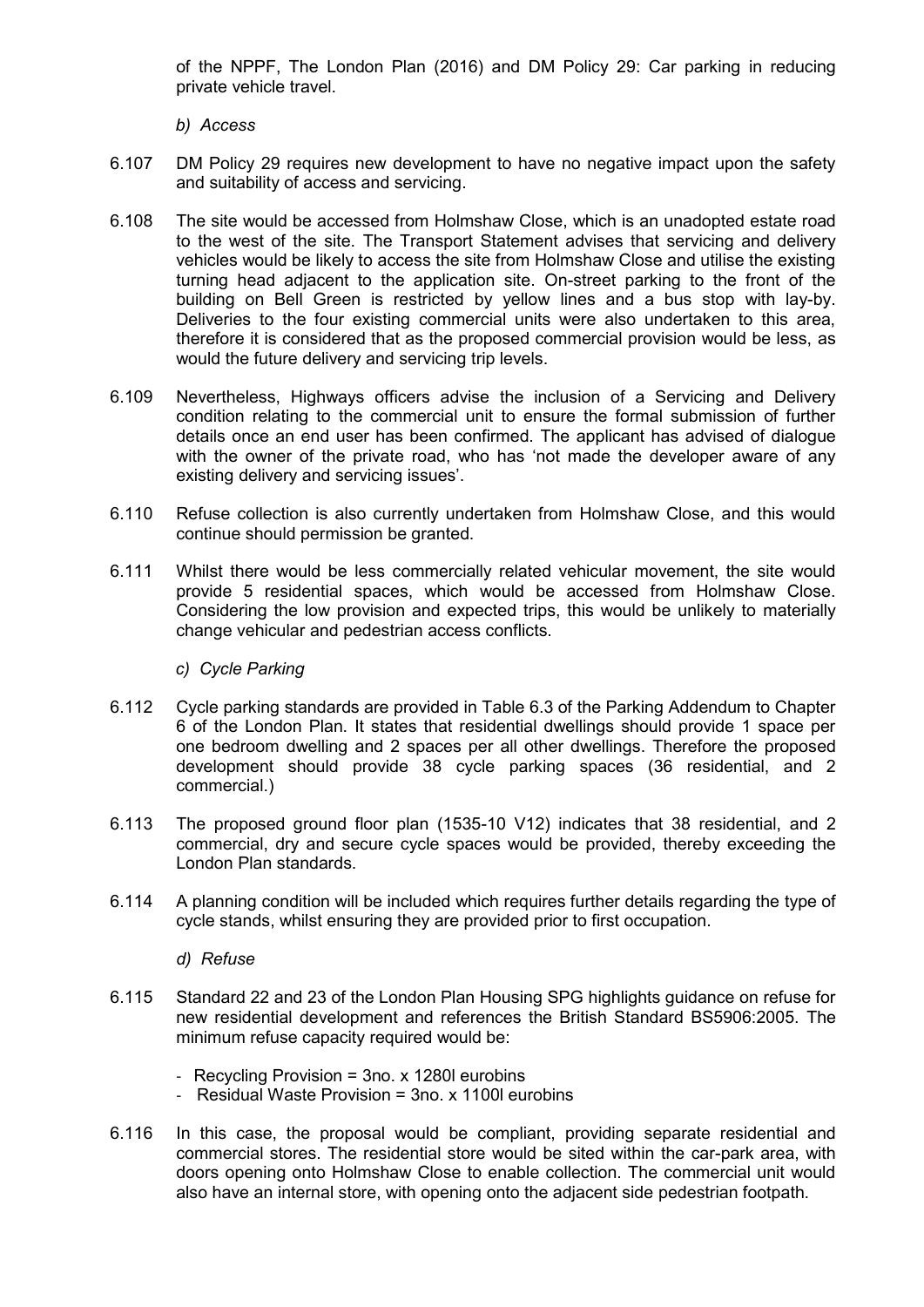of the NPPF, The London Plan (2016) and DM Policy 29: Car parking in reducing private vehicle travel.

*b) Access*

- 6.107 DM Policy 29 requires new development to have no negative impact upon the safety and suitability of access and servicing.
- 6.108 The site would be accessed from Holmshaw Close, which is an unadopted estate road to the west of the site. The Transport Statement advises that servicing and delivery vehicles would be likely to access the site from Holmshaw Close and utilise the existing turning head adjacent to the application site. On-street parking to the front of the building on Bell Green is restricted by yellow lines and a bus stop with lay-by. Deliveries to the four existing commercial units were also undertaken to this area, therefore it is considered that as the proposed commercial provision would be less, as would the future delivery and servicing trip levels.
- 6.109 Nevertheless, Highways officers advise the inclusion of a Servicing and Delivery condition relating to the commercial unit to ensure the formal submission of further details once an end user has been confirmed. The applicant has advised of dialogue with the owner of the private road, who has 'not made the developer aware of any existing delivery and servicing issues'.
- 6.110 Refuse collection is also currently undertaken from Holmshaw Close, and this would continue should permission be granted.
- 6.111 Whilst there would be less commercially related vehicular movement, the site would provide 5 residential spaces, which would be accessed from Holmshaw Close. Considering the low provision and expected trips, this would be unlikely to materially change vehicular and pedestrian access conflicts.

#### *c) Cycle Parking*

- 6.112 Cycle parking standards are provided in Table 6.3 of the Parking Addendum to Chapter 6 of the London Plan. It states that residential dwellings should provide 1 space per one bedroom dwelling and 2 spaces per all other dwellings. Therefore the proposed development should provide 38 cycle parking spaces (36 residential, and 2 commercial.)
- 6.113 The proposed ground floor plan (1535-10 V12) indicates that 38 residential, and 2 commercial, dry and secure cycle spaces would be provided, thereby exceeding the London Plan standards.
- 6.114 A planning condition will be included which requires further details regarding the type of cycle stands, whilst ensuring they are provided prior to first occupation.

#### *d) Refuse*

- 6.115 Standard 22 and 23 of the London Plan Housing SPG highlights guidance on refuse for new residential development and references the British Standard BS5906:2005. The minimum refuse capacity required would be:
	- Recycling Provision = 3no. x 1280l eurobins
	- Residual Waste Provision = 3no. x 1100l eurobins
- 6.116 In this case, the proposal would be compliant, providing separate residential and commercial stores. The residential store would be sited within the car-park area, with doors opening onto Holmshaw Close to enable collection. The commercial unit would also have an internal store, with opening onto the adjacent side pedestrian footpath.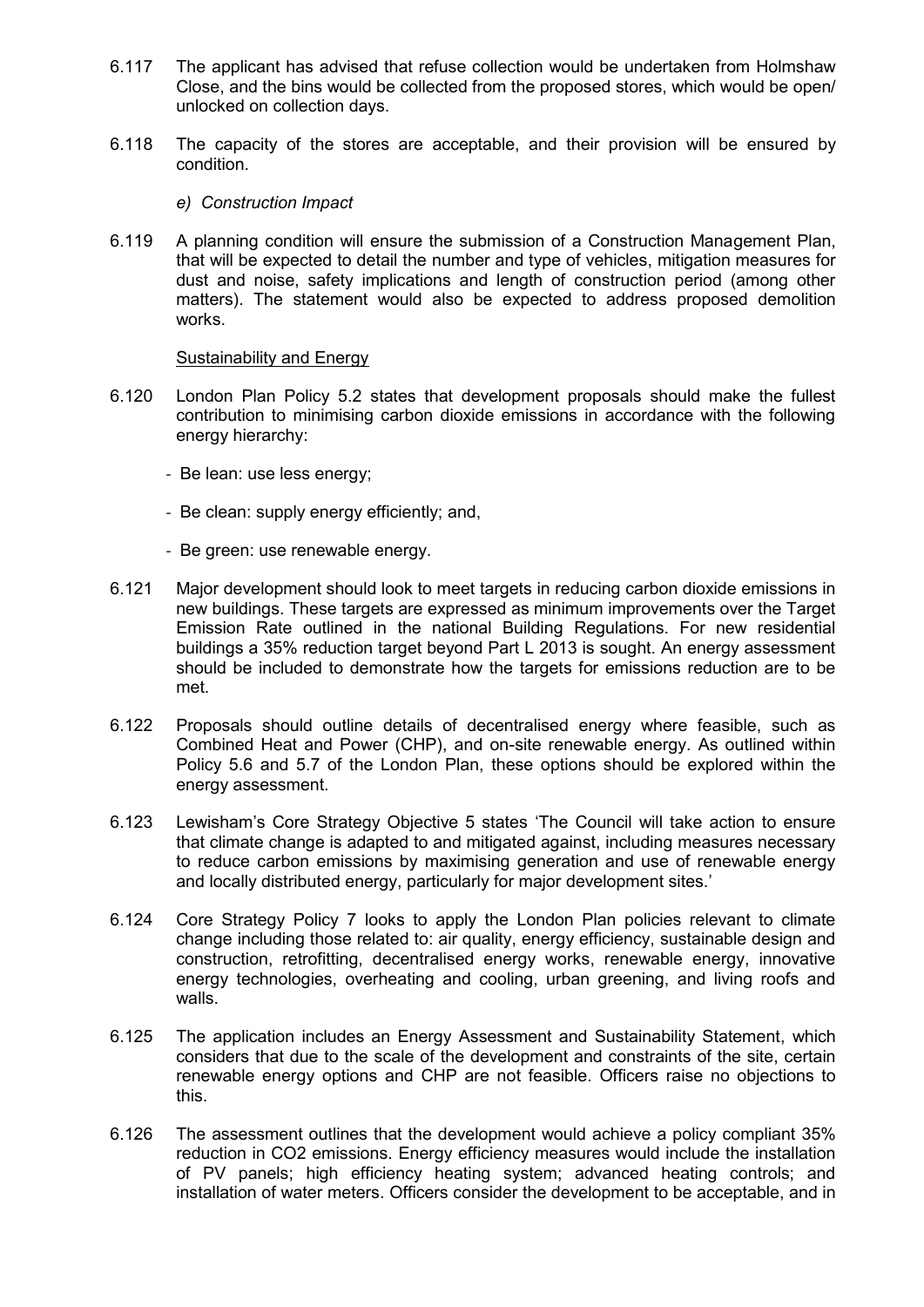- 6.117 The applicant has advised that refuse collection would be undertaken from Holmshaw Close, and the bins would be collected from the proposed stores, which would be open/ unlocked on collection days.
- 6.118 The capacity of the stores are acceptable, and their provision will be ensured by condition.
	- *e) Construction Impact*
- 6.119 A planning condition will ensure the submission of a Construction Management Plan, that will be expected to detail the number and type of vehicles, mitigation measures for dust and noise, safety implications and length of construction period (among other matters). The statement would also be expected to address proposed demolition works.

#### Sustainability and Energy

- 6.120 London Plan Policy 5.2 states that development proposals should make the fullest contribution to minimising carbon dioxide emissions in accordance with the following energy hierarchy:
	- Be lean: use less energy;
	- Be clean: supply energy efficiently; and,
	- Be green: use renewable energy.
- 6.121 Major development should look to meet targets in reducing carbon dioxide emissions in new buildings. These targets are expressed as minimum improvements over the Target Emission Rate outlined in the national Building Regulations. For new residential buildings a 35% reduction target beyond Part L 2013 is sought. An energy assessment should be included to demonstrate how the targets for emissions reduction are to be met.
- 6.122 Proposals should outline details of decentralised energy where feasible, such as Combined Heat and Power (CHP), and on-site renewable energy. As outlined within Policy 5.6 and 5.7 of the London Plan, these options should be explored within the energy assessment.
- 6.123 Lewisham's Core Strategy Objective 5 states 'The Council will take action to ensure that climate change is adapted to and mitigated against, including measures necessary to reduce carbon emissions by maximising generation and use of renewable energy and locally distributed energy, particularly for major development sites.'
- 6.124 Core Strategy Policy 7 looks to apply the London Plan policies relevant to climate change including those related to: air quality, energy efficiency, sustainable design and construction, retrofitting, decentralised energy works, renewable energy, innovative energy technologies, overheating and cooling, urban greening, and living roofs and walls.
- 6.125 The application includes an Energy Assessment and Sustainability Statement, which considers that due to the scale of the development and constraints of the site, certain renewable energy options and CHP are not feasible. Officers raise no objections to this.
- 6.126 The assessment outlines that the development would achieve a policy compliant 35% reduction in CO2 emissions. Energy efficiency measures would include the installation of PV panels; high efficiency heating system; advanced heating controls; and installation of water meters. Officers consider the development to be acceptable, and in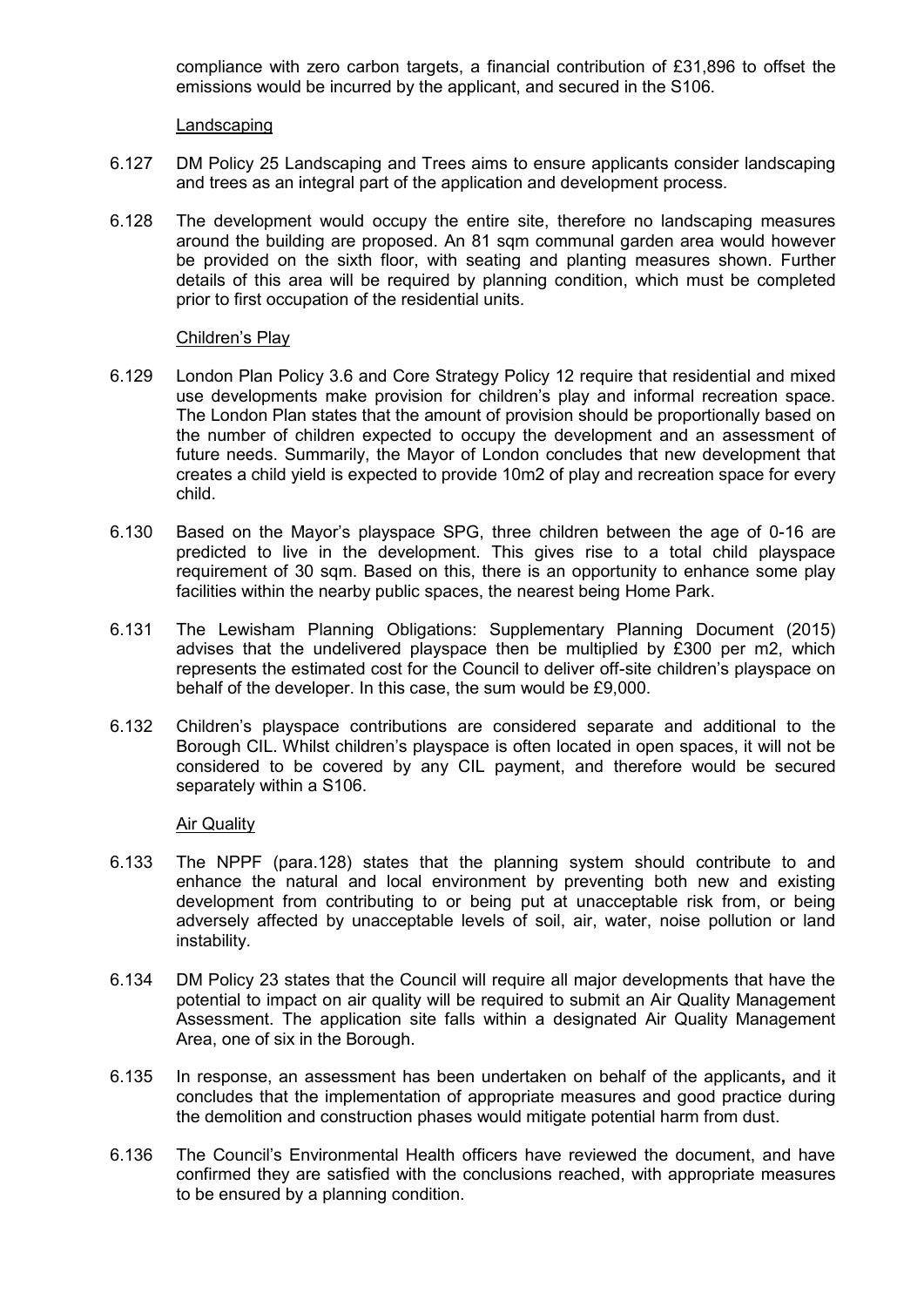compliance with zero carbon targets, a financial contribution of £31,896 to offset the emissions would be incurred by the applicant, and secured in the S106.

Landscaping

- 6.127 DM Policy 25 Landscaping and Trees aims to ensure applicants consider landscaping and trees as an integral part of the application and development process.
- 6.128 The development would occupy the entire site, therefore no landscaping measures around the building are proposed. An 81 sqm communal garden area would however be provided on the sixth floor, with seating and planting measures shown. Further details of this area will be required by planning condition, which must be completed prior to first occupation of the residential units.

## Children's Play

- 6.129 London Plan Policy 3.6 and Core Strategy Policy 12 require that residential and mixed use developments make provision for children's play and informal recreation space. The London Plan states that the amount of provision should be proportionally based on the number of children expected to occupy the development and an assessment of future needs. Summarily, the Mayor of London concludes that new development that creates a child yield is expected to provide 10m2 of play and recreation space for every child.
- 6.130 Based on the Mayor's playspace SPG, three children between the age of 0-16 are predicted to live in the development. This gives rise to a total child playspace requirement of 30 sqm. Based on this, there is an opportunity to enhance some play facilities within the nearby public spaces, the nearest being Home Park.
- 6.131 The Lewisham Planning Obligations: Supplementary Planning Document (2015) advises that the undelivered playspace then be multiplied by £300 per m2, which represents the estimated cost for the Council to deliver off-site children's playspace on behalf of the developer. In this case, the sum would be £9,000.
- 6.132 Children's playspace contributions are considered separate and additional to the Borough CIL. Whilst children's playspace is often located in open spaces, it will not be considered to be covered by any CIL payment, and therefore would be secured separately within a S106.

# Air Quality

- 6.133 The NPPF (para.128) states that the planning system should contribute to and enhance the natural and local environment by preventing both new and existing development from contributing to or being put at unacceptable risk from, or being adversely affected by unacceptable levels of soil, air, water, noise pollution or land instability.
- 6.134 DM Policy 23 states that the Council will require all major developments that have the potential to impact on air quality will be required to submit an Air Quality Management Assessment. The application site falls within a designated Air Quality Management Area, one of six in the Borough.
- 6.135 In response, an assessment has been undertaken on behalf of the applicants**,** and it concludes that the implementation of appropriate measures and good practice during the demolition and construction phases would mitigate potential harm from dust.
- 6.136 The Council's Environmental Health officers have reviewed the document, and have confirmed they are satisfied with the conclusions reached, with appropriate measures to be ensured by a planning condition.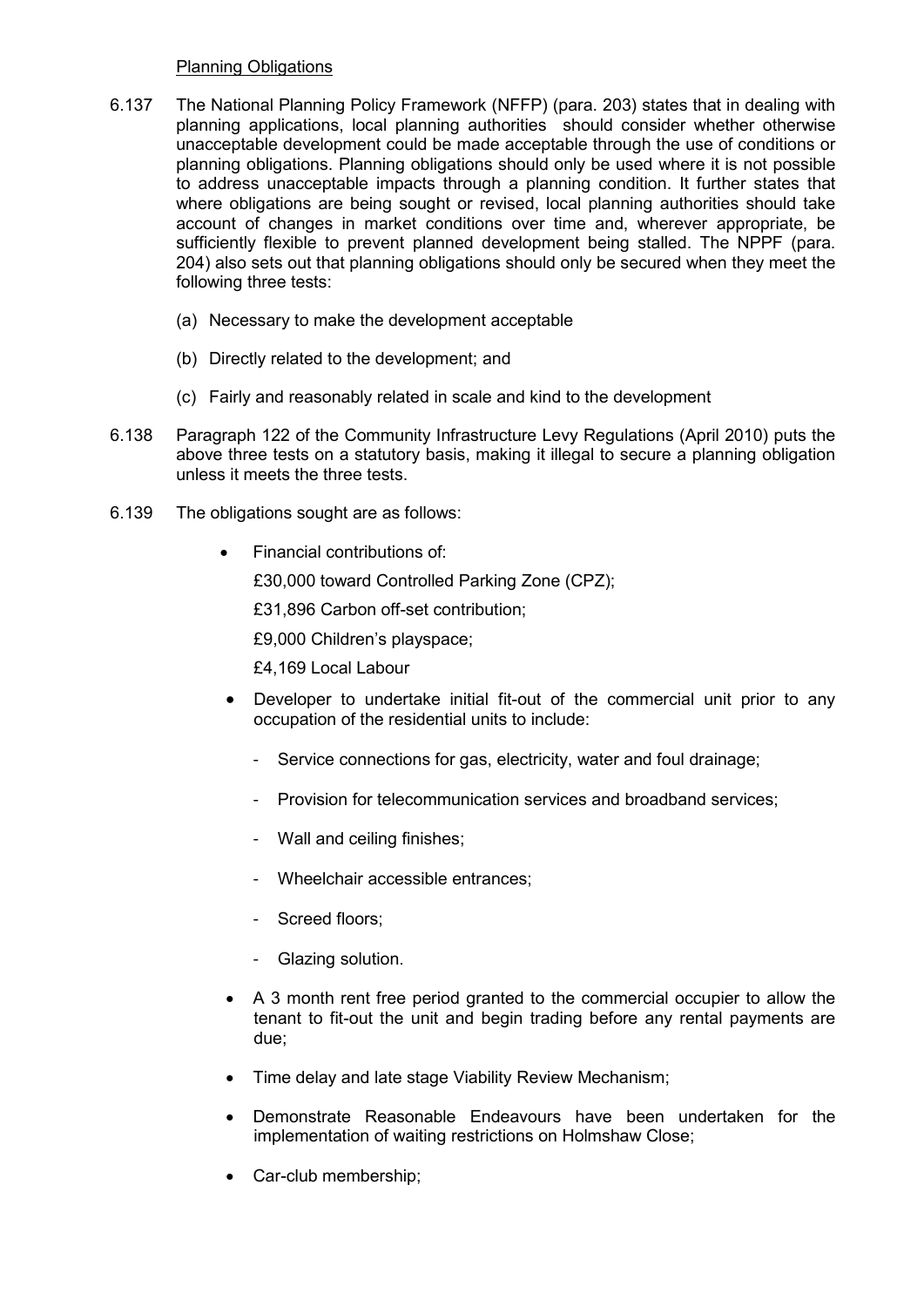### Planning Obligations

- 6.137 The National Planning Policy Framework (NFFP) (para. 203) states that in dealing with planning applications, local planning authorities should consider whether otherwise unacceptable development could be made acceptable through the use of conditions or planning obligations. Planning obligations should only be used where it is not possible to address unacceptable impacts through a planning condition. It further states that where obligations are being sought or revised, local planning authorities should take account of changes in market conditions over time and, wherever appropriate, be sufficiently flexible to prevent planned development being stalled. The NPPF (para. 204) also sets out that planning obligations should only be secured when they meet the following three tests:
	- (a) Necessary to make the development acceptable
	- (b) Directly related to the development; and
	- (c) Fairly and reasonably related in scale and kind to the development
- 6.138 Paragraph 122 of the Community Infrastructure Levy Regulations (April 2010) puts the above three tests on a statutory basis, making it illegal to secure a planning obligation unless it meets the three tests.
- 6.139 The obligations sought are as follows:
	- Financial contributions of:

£30,000 toward Controlled Parking Zone (CPZ);

£31,896 Carbon off-set contribution;

£9,000 Children's playspace;

£4,169 Local Labour

- Developer to undertake initial fit-out of the commercial unit prior to any occupation of the residential units to include:
	- Service connections for gas, electricity, water and foul drainage;
	- Provision for telecommunication services and broadband services;
	- Wall and ceiling finishes;
	- Wheelchair accessible entrances;
	- Screed floors;
	- Glazing solution.
- A 3 month rent free period granted to the commercial occupier to allow the tenant to fit-out the unit and begin trading before any rental payments are due;
- Time delay and late stage Viability Review Mechanism;
- Demonstrate Reasonable Endeavours have been undertaken for the implementation of waiting restrictions on Holmshaw Close;
- Car-club membership: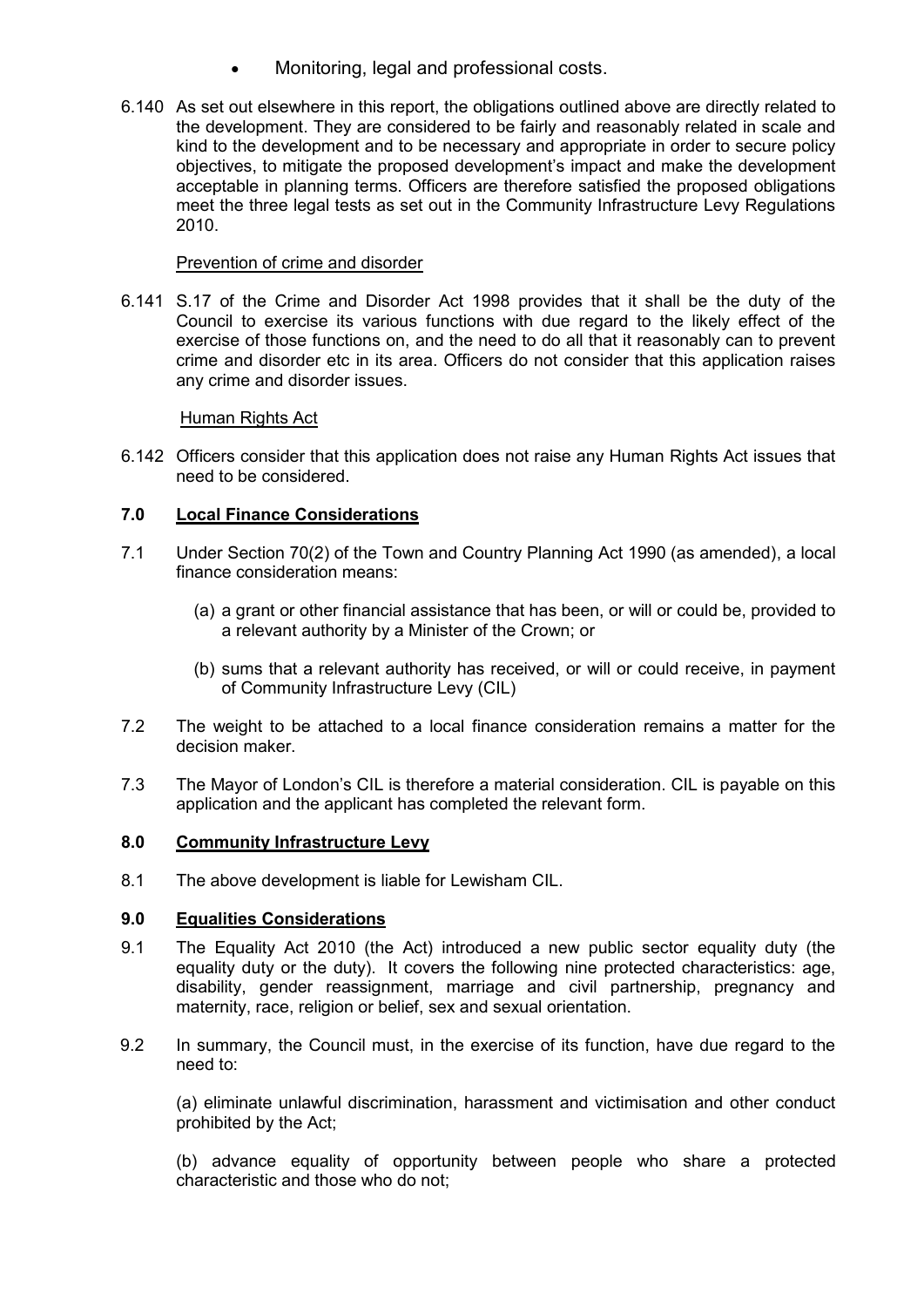- Monitoring, legal and professional costs.
- 6.140 As set out elsewhere in this report, the obligations outlined above are directly related to the development. They are considered to be fairly and reasonably related in scale and kind to the development and to be necessary and appropriate in order to secure policy objectives, to mitigate the proposed development's impact and make the development acceptable in planning terms. Officers are therefore satisfied the proposed obligations meet the three legal tests as set out in the Community Infrastructure Levy Regulations 2010.

# Prevention of crime and disorder

6.141 S.17 of the Crime and Disorder Act 1998 provides that it shall be the duty of the Council to exercise its various functions with due regard to the likely effect of the exercise of those functions on, and the need to do all that it reasonably can to prevent crime and disorder etc in its area. Officers do not consider that this application raises any crime and disorder issues.

# Human Rights Act

6.142 Officers consider that this application does not raise any Human Rights Act issues that need to be considered.

# **7.0 Local Finance Considerations**

- 7.1 Under Section 70(2) of the Town and Country Planning Act 1990 (as amended), a local finance consideration means:
	- (a) a grant or other financial assistance that has been, or will or could be, provided to a relevant authority by a Minister of the Crown; or
	- (b) sums that a relevant authority has received, or will or could receive, in payment of Community Infrastructure Levy (CIL)
- 7.2 The weight to be attached to a local finance consideration remains a matter for the decision maker.
- 7.3 The Mayor of London's CIL is therefore a material consideration. CIL is payable on this application and the applicant has completed the relevant form.

# **8.0 Community Infrastructure Levy**

8.1 The above development is liable for Lewisham CIL.

# **9.0 Equalities Considerations**

- 9.1 The Equality Act 2010 (the Act) introduced a new public sector equality duty (the equality duty or the duty). It covers the following nine protected characteristics: age, disability, gender reassignment, marriage and civil partnership, pregnancy and maternity, race, religion or belief, sex and sexual orientation.
- 9.2 In summary, the Council must, in the exercise of its function, have due regard to the need to:

(a) eliminate unlawful discrimination, harassment and victimisation and other conduct prohibited by the Act;

(b) advance equality of opportunity between people who share a protected characteristic and those who do not;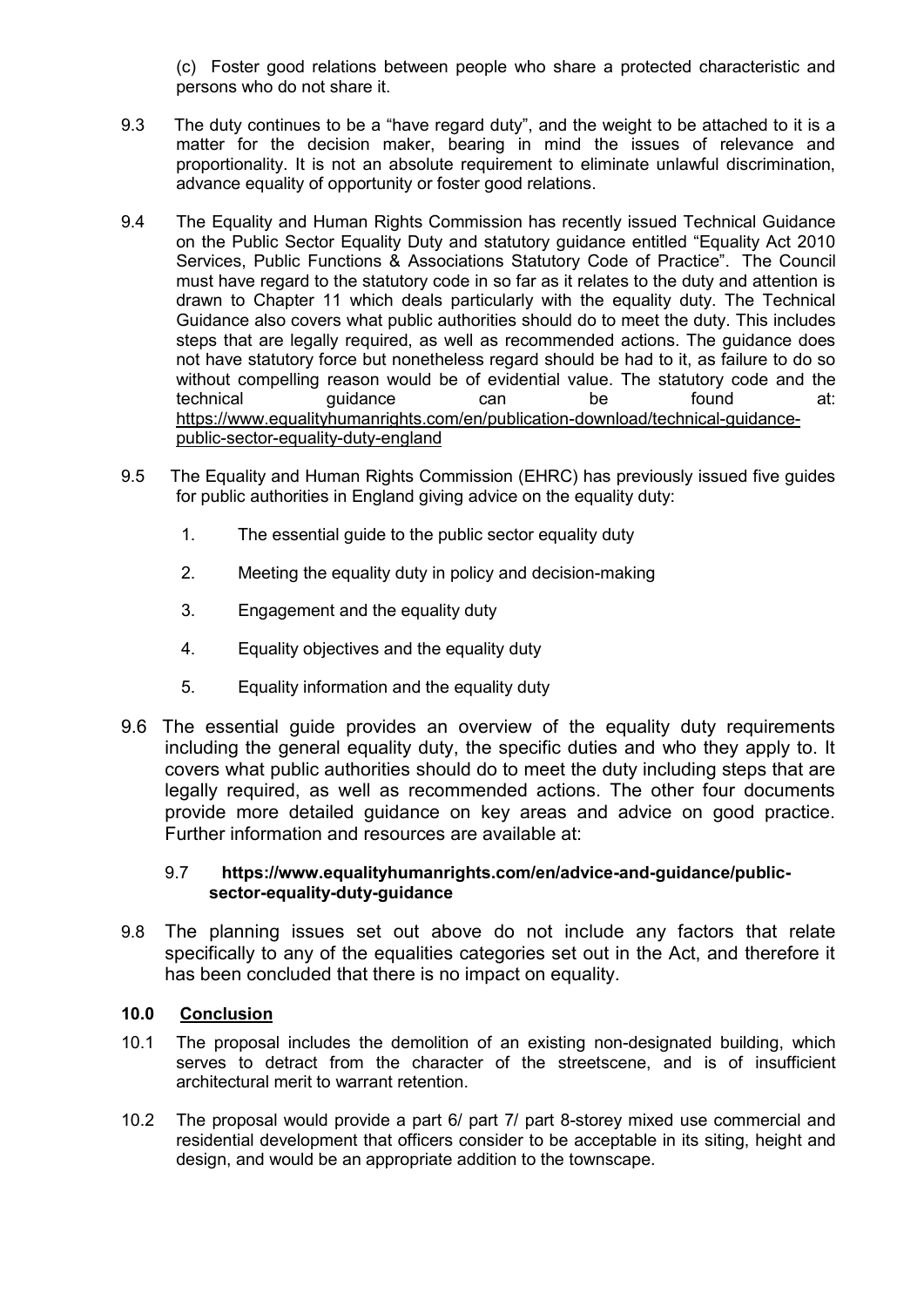(c) Foster good relations between people who share a protected characteristic and persons who do not share it.

- 9.3 The duty continues to be a "have regard duty", and the weight to be attached to it is a matter for the decision maker, bearing in mind the issues of relevance and proportionality. It is not an absolute requirement to eliminate unlawful discrimination, advance equality of opportunity or foster good relations.
- 9.4 The Equality and Human Rights Commission has recently issued Technical Guidance on the Public Sector Equality Duty and statutory guidance entitled "Equality Act 2010 Services, Public Functions & Associations Statutory Code of Practice". The Council must have regard to the statutory code in so far as it relates to the duty and attention is drawn to Chapter 11 which deals particularly with the equality duty. The Technical Guidance also covers what public authorities should do to meet the duty. This includes steps that are legally required, as well as recommended actions. The guidance does not have statutory force but nonetheless regard should be had to it, as failure to do so without compelling reason would be of evidential value. The statutory code and the technical guidance can be found at: [https://www.equalityhumanrights.com/en/publication-download/technical-guidance](https://www.equalityhumanrights.com/en/publication-download/technical-guidance-public-sector-equality-duty-england)[public-sector-equality-duty-england](https://www.equalityhumanrights.com/en/publication-download/technical-guidance-public-sector-equality-duty-england)
- 9.5 The Equality and Human Rights Commission (EHRC) has previously issued five guides for public authorities in England giving advice on the equality duty:
	- 1. The essential guide to the public sector equality duty
	- 2. Meeting the equality duty in policy and decision-making
	- 3. Engagement and the equality duty
	- 4. Equality objectives and the equality duty
	- 5. Equality information and the equality duty
- 9.6 The essential guide provides an overview of the equality duty requirements including the general equality duty, the specific duties and who they apply to. It covers what public authorities should do to meet the duty including steps that are legally required, as well as recommended actions. The other four documents provide more detailed guidance on key areas and advice on good practice. Further information and resources are available at:

# 9.7 **[https://www.equalityhumanrights.com/en/advice-and-guidance/public](https://www.equalityhumanrights.com/en/advice-and-guidance/public-sector-equality-duty-guidance)[sector-equality-duty-guidance](https://www.equalityhumanrights.com/en/advice-and-guidance/public-sector-equality-duty-guidance)**

9.8 The planning issues set out above do not include any factors that relate specifically to any of the equalities categories set out in the Act, and therefore it has been concluded that there is no impact on equality.

# **10.0 Conclusion**

- 10.1 The proposal includes the demolition of an existing non-designated building, which serves to detract from the character of the streetscene, and is of insufficient architectural merit to warrant retention.
- 10.2 The proposal would provide a part 6/ part 7/ part 8-storey mixed use commercial and residential development that officers consider to be acceptable in its siting, height and design, and would be an appropriate addition to the townscape.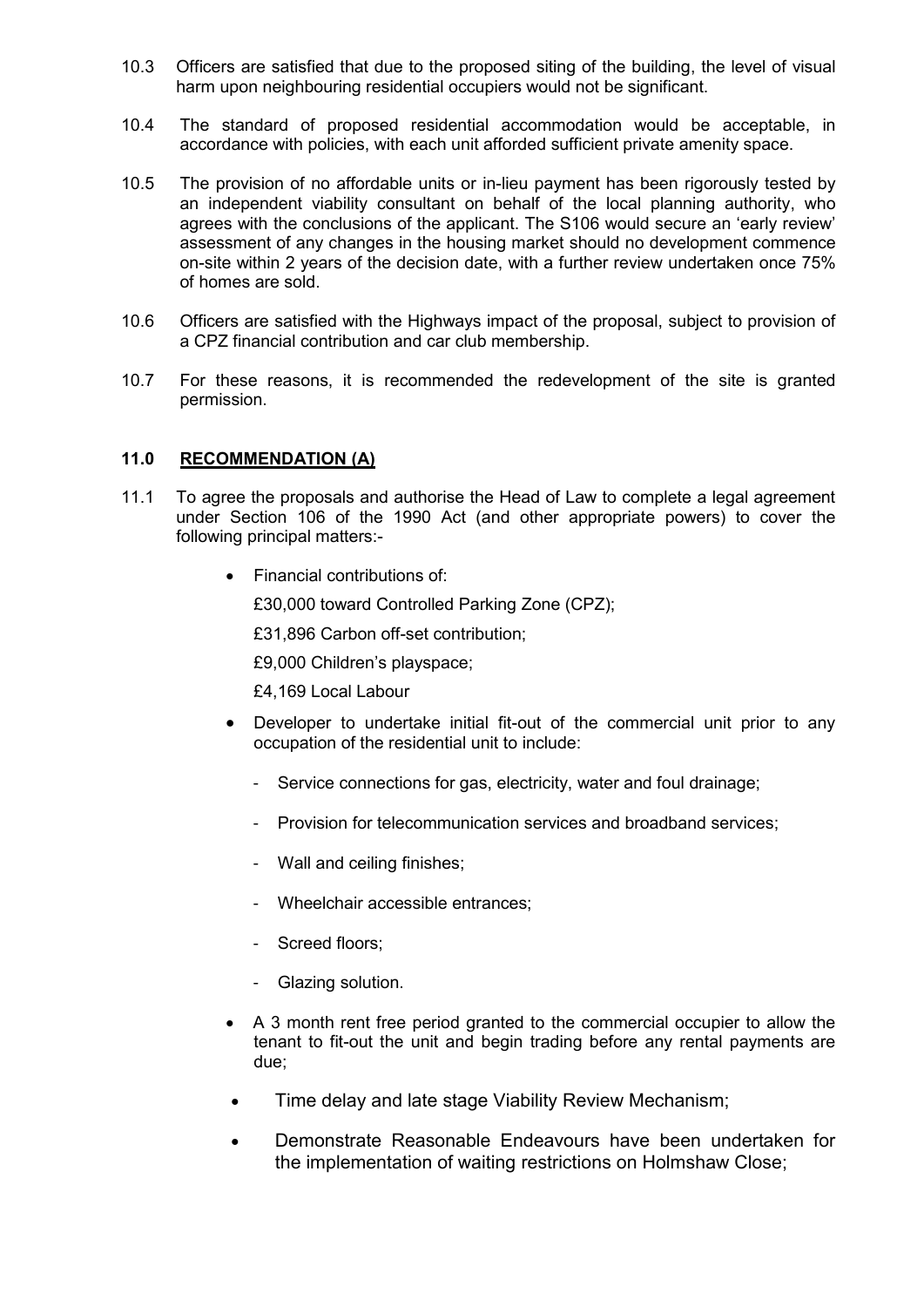- 10.3 Officers are satisfied that due to the proposed siting of the building, the level of visual harm upon neighbouring residential occupiers would not be significant.
- 10.4 The standard of proposed residential accommodation would be acceptable, in accordance with policies, with each unit afforded sufficient private amenity space.
- 10.5 The provision of no affordable units or in-lieu payment has been rigorously tested by an independent viability consultant on behalf of the local planning authority, who agrees with the conclusions of the applicant. The S106 would secure an 'early review' assessment of any changes in the housing market should no development commence on-site within 2 years of the decision date, with a further review undertaken once 75% of homes are sold.
- 10.6 Officers are satisfied with the Highways impact of the proposal, subject to provision of a CPZ financial contribution and car club membership.
- 10.7 For these reasons, it is recommended the redevelopment of the site is granted permission.

# **11.0 RECOMMENDATION (A)**

- 11.1 To agree the proposals and authorise the Head of Law to complete a legal agreement under Section 106 of the 1990 Act (and other appropriate powers) to cover the following principal matters:-
	- Financial contributions of:

£30,000 toward Controlled Parking Zone (CPZ);

£31,896 Carbon off-set contribution;

£9,000 Children's playspace;

£4,169 Local Labour

- Developer to undertake initial fit-out of the commercial unit prior to any occupation of the residential unit to include:
	- Service connections for gas, electricity, water and foul drainage;
	- Provision for telecommunication services and broadband services;
	- Wall and ceiling finishes;
	- Wheelchair accessible entrances;
	- Screed floors;
	- Glazing solution.
- A 3 month rent free period granted to the commercial occupier to allow the tenant to fit-out the unit and begin trading before any rental payments are due;
- Time delay and late stage Viability Review Mechanism;
- Demonstrate Reasonable Endeavours have been undertaken for the implementation of waiting restrictions on Holmshaw Close;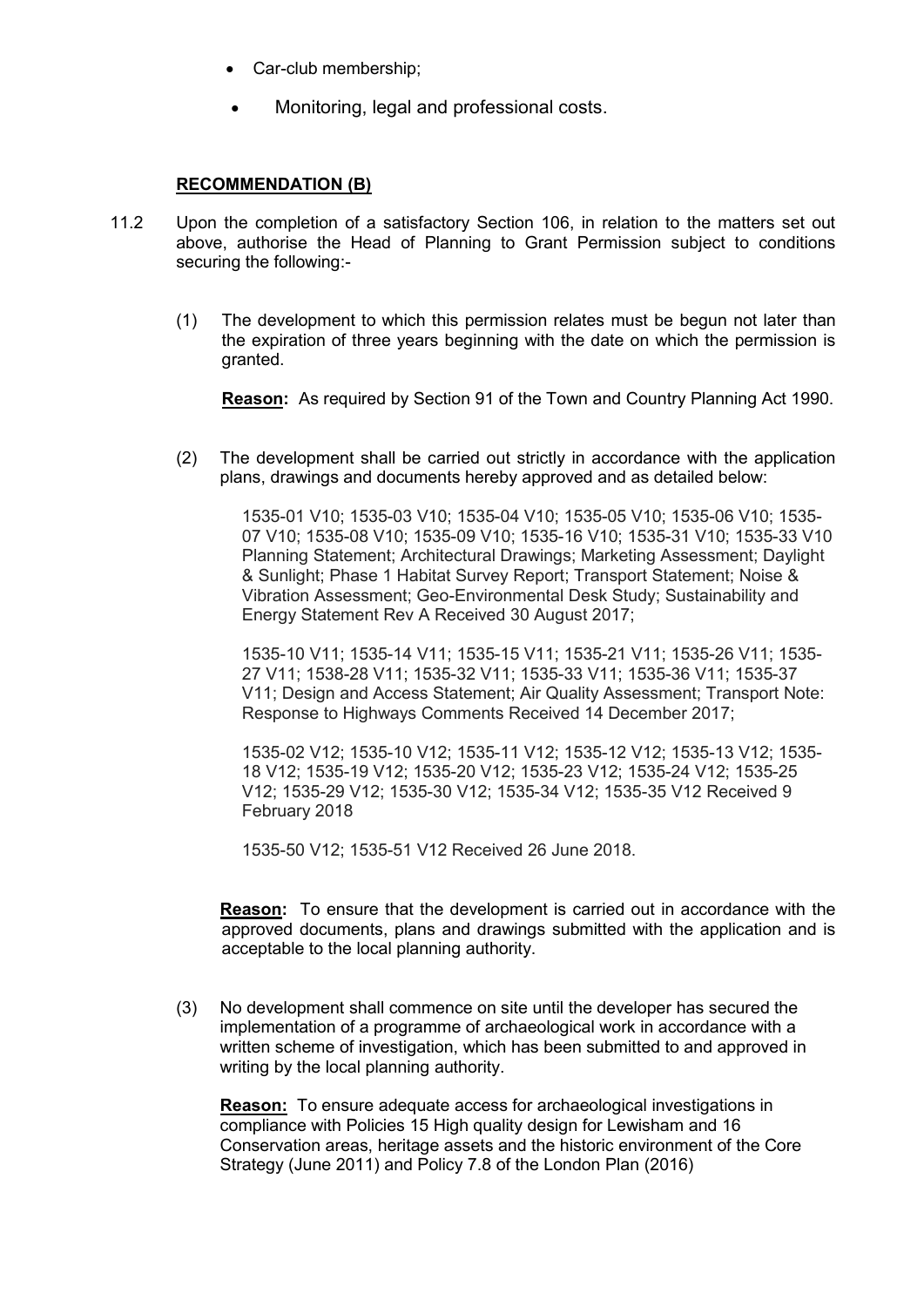- Car-club membership;
- Monitoring, legal and professional costs.

## **RECOMMENDATION (B)**

- 11.2 Upon the completion of a satisfactory Section 106, in relation to the matters set out above, authorise the Head of Planning to Grant Permission subject to conditions securing the following:-
	- (1) The development to which this permission relates must be begun not later than the expiration of three years beginning with the date on which the permission is granted.

**Reason:** As required by Section 91 of the Town and Country Planning Act 1990.

(2) The development shall be carried out strictly in accordance with the application plans, drawings and documents hereby approved and as detailed below:

> 1535-01 V10; 1535-03 V10; 1535-04 V10; 1535-05 V10; 1535-06 V10; 1535- 07 V10; 1535-08 V10; 1535-09 V10; 1535-16 V10; 1535-31 V10; 1535-33 V10 Planning Statement; Architectural Drawings; Marketing Assessment; Daylight & Sunlight; Phase 1 Habitat Survey Report; Transport Statement; Noise & Vibration Assessment; Geo-Environmental Desk Study; Sustainability and Energy Statement Rev A Received 30 August 2017;

1535-10 V11; 1535-14 V11; 1535-15 V11; 1535-21 V11; 1535-26 V11; 1535- 27 V11; 1538-28 V11; 1535-32 V11; 1535-33 V11; 1535-36 V11; 1535-37 V11; Design and Access Statement; Air Quality Assessment; Transport Note: Response to Highways Comments Received 14 December 2017;

1535-02 V12; 1535-10 V12; 1535-11 V12; 1535-12 V12; 1535-13 V12; 1535- 18 V12; 1535-19 V12; 1535-20 V12; 1535-23 V12; 1535-24 V12; 1535-25 V12; 1535-29 V12; 1535-30 V12; 1535-34 V12; 1535-35 V12 Received 9 February 2018

1535-50 V12; 1535-51 V12 Received 26 June 2018.

**Reason:** To ensure that the development is carried out in accordance with the approved documents, plans and drawings submitted with the application and is acceptable to the local planning authority.

(3) No development shall commence on site until the developer has secured the implementation of a programme of archaeological work in accordance with a written scheme of investigation, which has been submitted to and approved in writing by the local planning authority.

**Reason:** To ensure adequate access for archaeological investigations in compliance with Policies 15 High quality design for Lewisham and 16 Conservation areas, heritage assets and the historic environment of the Core Strategy (June 2011) and Policy 7.8 of the London Plan (2016)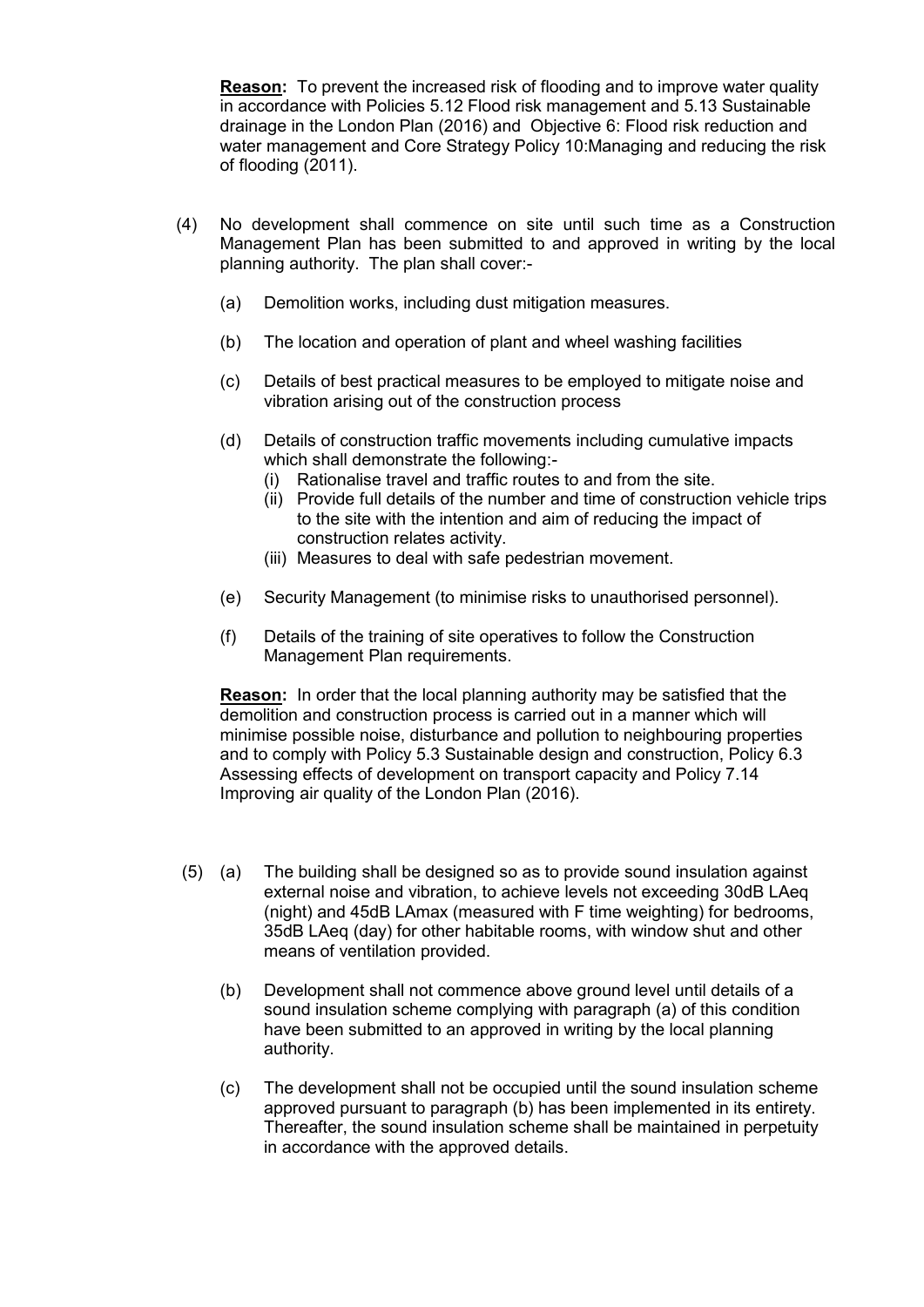**Reason:** To prevent the increased risk of flooding and to improve water quality in accordance with Policies 5.12 Flood risk management and 5.13 Sustainable drainage in the London Plan (2016) and Objective 6: Flood risk reduction and water management and Core Strategy Policy 10:Managing and reducing the risk of flooding (2011).

- (4) No development shall commence on site until such time as a Construction Management Plan has been submitted to and approved in writing by the local planning authority. The plan shall cover:-
	- (a) Demolition works, including dust mitigation measures.
	- (b) The location and operation of plant and wheel washing facilities
	- (c) Details of best practical measures to be employed to mitigate noise and vibration arising out of the construction process
	- (d) Details of construction traffic movements including cumulative impacts which shall demonstrate the following:-
		- (i) Rationalise travel and traffic routes to and from the site.
		- (ii) Provide full details of the number and time of construction vehicle trips to the site with the intention and aim of reducing the impact of construction relates activity.
		- (iii) Measures to deal with safe pedestrian movement.
	- (e) Security Management (to minimise risks to unauthorised personnel).
	- (f) Details of the training of site operatives to follow the Construction Management Plan requirements.

**Reason:** In order that the local planning authority may be satisfied that the demolition and construction process is carried out in a manner which will minimise possible noise, disturbance and pollution to neighbouring properties and to comply with Policy 5.3 Sustainable design and construction, Policy 6.3 Assessing effects of development on transport capacity and Policy 7.14 Improving air quality of the London Plan (2016).

- (5) (a) The building shall be designed so as to provide sound insulation against external noise and vibration, to achieve levels not exceeding 30dB LAeq (night) and 45dB LAmax (measured with F time weighting) for bedrooms, 35dB LAeq (day) for other habitable rooms, with window shut and other means of ventilation provided.
	- (b) Development shall not commence above ground level until details of a sound insulation scheme complying with paragraph (a) of this condition have been submitted to an approved in writing by the local planning authority.
	- (c) The development shall not be occupied until the sound insulation scheme approved pursuant to paragraph (b) has been implemented in its entirety. Thereafter, the sound insulation scheme shall be maintained in perpetuity in accordance with the approved details.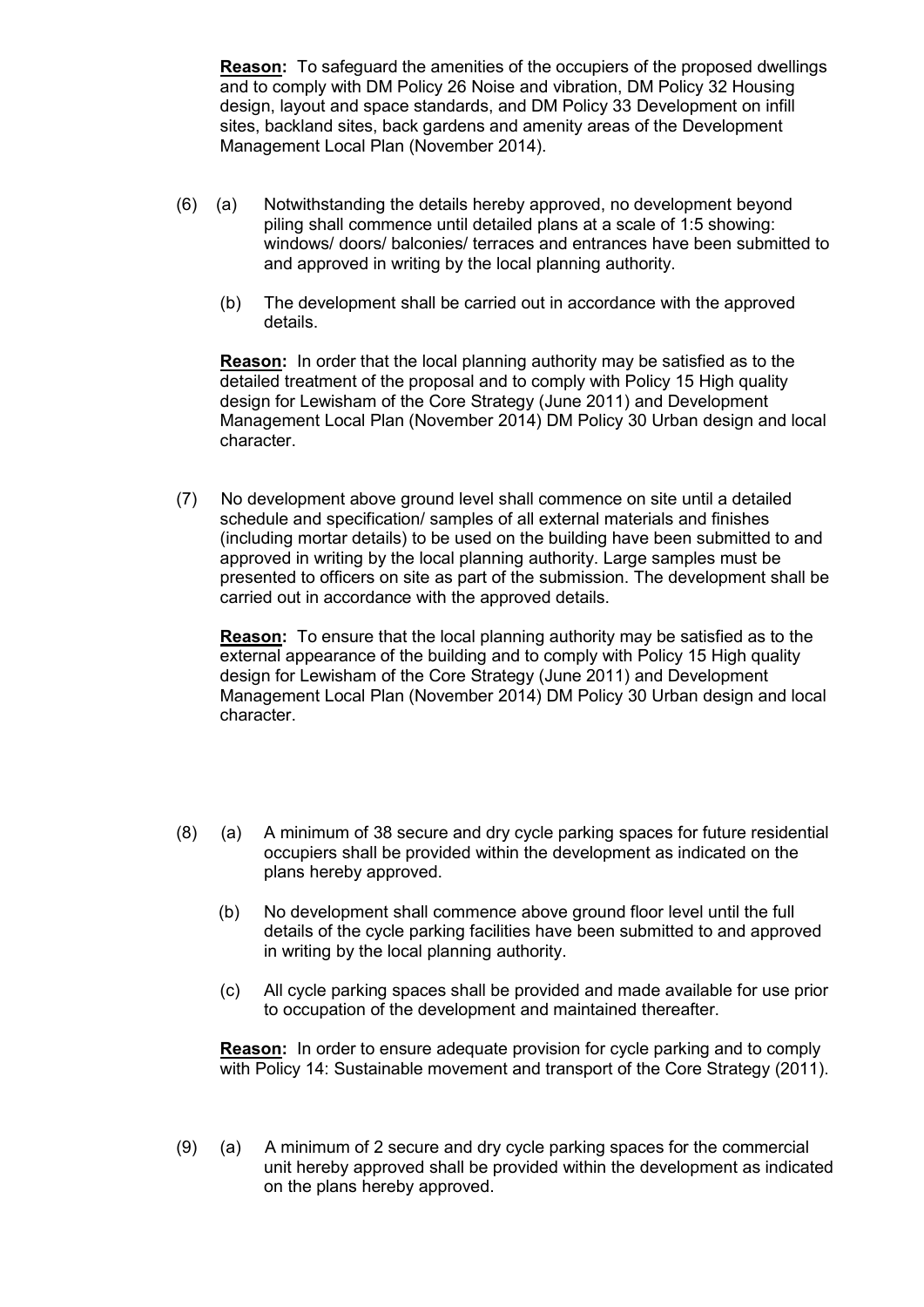**Reason:** To safeguard the amenities of the occupiers of the proposed dwellings and to comply with DM Policy 26 Noise and vibration, DM Policy 32 Housing design, layout and space standards, and DM Policy 33 Development on infill sites, backland sites, back gardens and amenity areas of the Development Management Local Plan (November 2014).

- (6) (a) Notwithstanding the details hereby approved, no development beyond piling shall commence until detailed plans at a scale of 1:5 showing: windows/ doors/ balconies/ terraces and entrances have been submitted to and approved in writing by the local planning authority.
	- (b) The development shall be carried out in accordance with the approved details.

**Reason:** In order that the local planning authority may be satisfied as to the detailed treatment of the proposal and to comply with Policy 15 High quality design for Lewisham of the Core Strategy (June 2011) and Development Management Local Plan (November 2014) DM Policy 30 Urban design and local character.

(7) No development above ground level shall commence on site until a detailed schedule and specification/ samples of all external materials and finishes (including mortar details) to be used on the building have been submitted to and approved in writing by the local planning authority. Large samples must be presented to officers on site as part of the submission. The development shall be carried out in accordance with the approved details.

**Reason:** To ensure that the local planning authority may be satisfied as to the external appearance of the building and to comply with Policy 15 High quality design for Lewisham of the Core Strategy (June 2011) and Development Management Local Plan (November 2014) DM Policy 30 Urban design and local character.

- (8) (a) A minimum of 38 secure and dry cycle parking spaces for future residential occupiers shall be provided within the development as indicated on the plans hereby approved.
	- (b) No development shall commence above ground floor level until the full details of the cycle parking facilities have been submitted to and approved in writing by the local planning authority.
	- (c) All cycle parking spaces shall be provided and made available for use prior to occupation of the development and maintained thereafter.

**Reason:** In order to ensure adequate provision for cycle parking and to comply with Policy 14: Sustainable movement and transport of the Core Strategy (2011).

(9) (a) A minimum of 2 secure and dry cycle parking spaces for the commercial unit hereby approved shall be provided within the development as indicated on the plans hereby approved.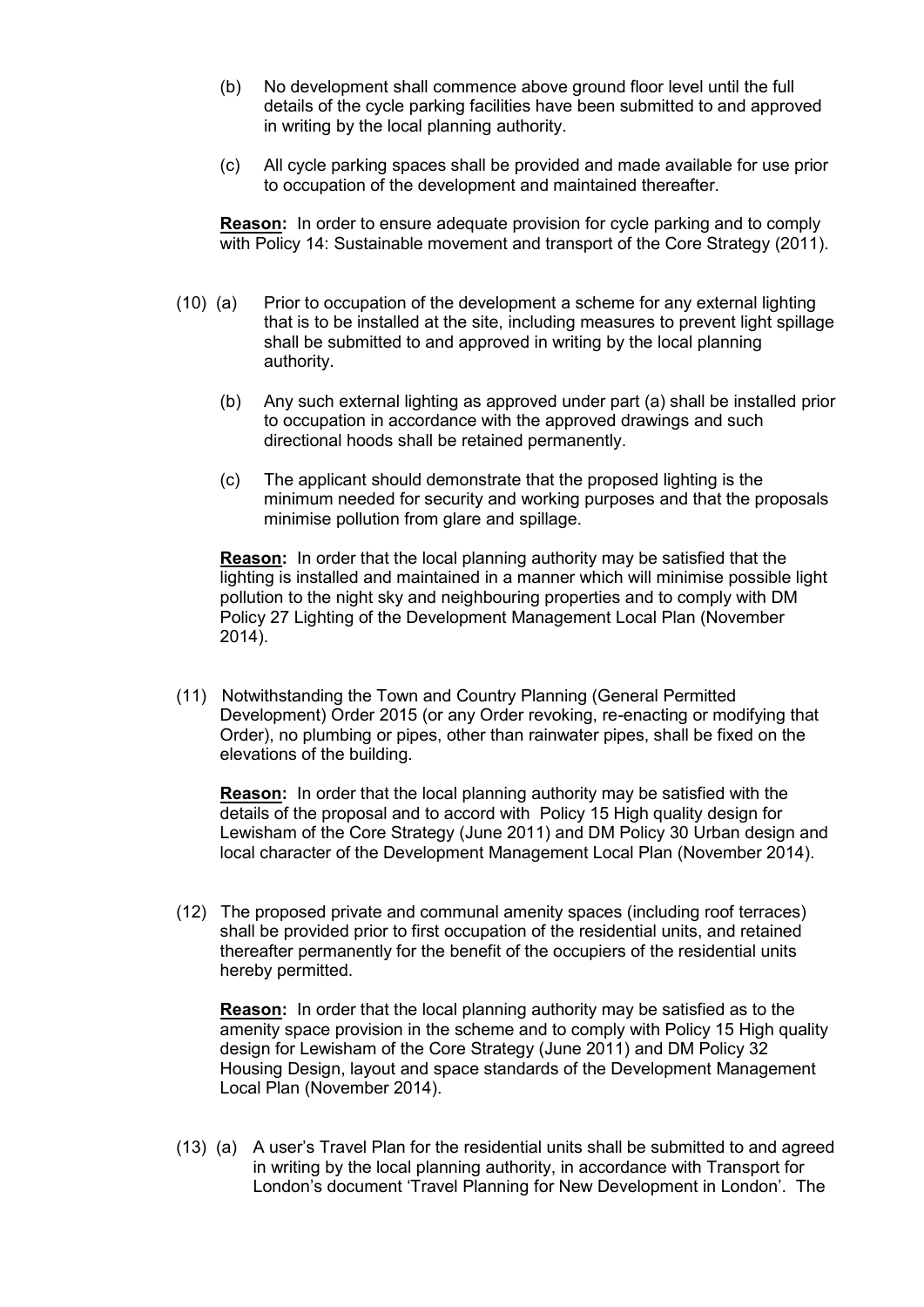- (b) No development shall commence above ground floor level until the full details of the cycle parking facilities have been submitted to and approved in writing by the local planning authority.
- (c) All cycle parking spaces shall be provided and made available for use prior to occupation of the development and maintained thereafter.

**Reason:** In order to ensure adequate provision for cycle parking and to comply with Policy 14: Sustainable movement and transport of the Core Strategy (2011).

- (10) (a) Prior to occupation of the development a scheme for any external lighting that is to be installed at the site, including measures to prevent light spillage shall be submitted to and approved in writing by the local planning authority.
	- (b) Any such external lighting as approved under part (a) shall be installed prior to occupation in accordance with the approved drawings and such directional hoods shall be retained permanently.
	- (c) The applicant should demonstrate that the proposed lighting is the minimum needed for security and working purposes and that the proposals minimise pollution from glare and spillage.

**Reason:** In order that the local planning authority may be satisfied that the lighting is installed and maintained in a manner which will minimise possible light pollution to the night sky and neighbouring properties and to comply with DM Policy 27 Lighting of the Development Management Local Plan (November 2014).

(11) Notwithstanding the Town and Country Planning (General Permitted Development) Order 2015 (or any Order revoking, re-enacting or modifying that Order), no plumbing or pipes, other than rainwater pipes, shall be fixed on the elevations of the building.

**Reason:** In order that the local planning authority may be satisfied with the details of the proposal and to accord with Policy 15 High quality design for Lewisham of the Core Strategy (June 2011) and DM Policy 30 Urban design and local character of the Development Management Local Plan (November 2014).

(12) The proposed private and communal amenity spaces (including roof terraces) shall be provided prior to first occupation of the residential units, and retained thereafter permanently for the benefit of the occupiers of the residential units hereby permitted.

**Reason:** In order that the local planning authority may be satisfied as to the amenity space provision in the scheme and to comply with Policy 15 High quality design for Lewisham of the Core Strategy (June 2011) and DM Policy 32 Housing Design, layout and space standards of the Development Management Local Plan (November 2014).

(13) (a) A user's Travel Plan for the residential units shall be submitted to and agreed in writing by the local planning authority, in accordance with Transport for London's document 'Travel Planning for New Development in London'. The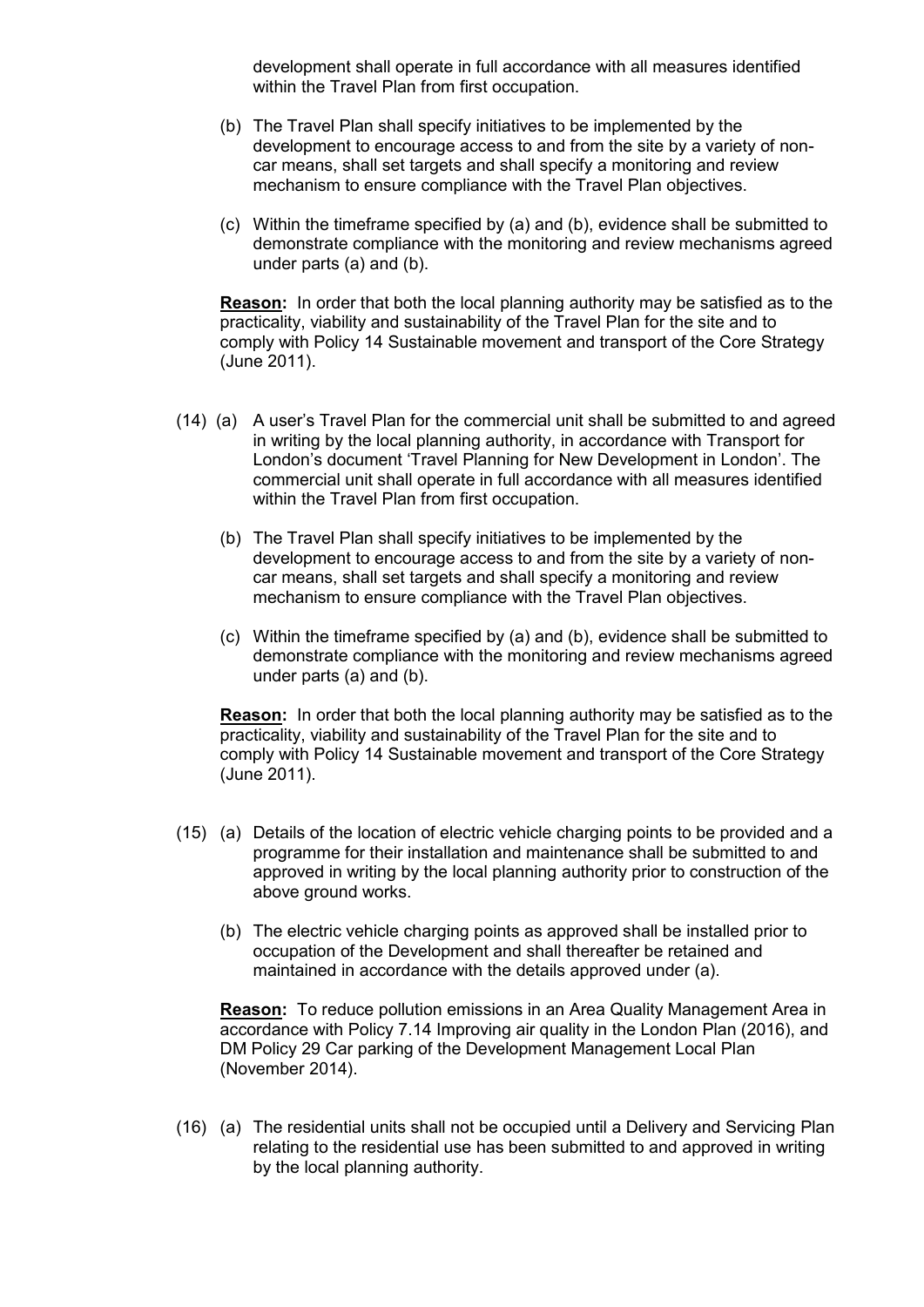development shall operate in full accordance with all measures identified within the Travel Plan from first occupation.

- (b) The Travel Plan shall specify initiatives to be implemented by the development to encourage access to and from the site by a variety of noncar means, shall set targets and shall specify a monitoring and review mechanism to ensure compliance with the Travel Plan objectives.
- (c) Within the timeframe specified by (a) and (b), evidence shall be submitted to demonstrate compliance with the monitoring and review mechanisms agreed under parts (a) and (b).

**Reason:** In order that both the local planning authority may be satisfied as to the practicality, viability and sustainability of the Travel Plan for the site and to comply with Policy 14 Sustainable movement and transport of the Core Strategy (June 2011).

- (14) (a) A user's Travel Plan for the commercial unit shall be submitted to and agreed in writing by the local planning authority, in accordance with Transport for London's document 'Travel Planning for New Development in London'. The commercial unit shall operate in full accordance with all measures identified within the Travel Plan from first occupation.
	- (b) The Travel Plan shall specify initiatives to be implemented by the development to encourage access to and from the site by a variety of noncar means, shall set targets and shall specify a monitoring and review mechanism to ensure compliance with the Travel Plan objectives.
	- (c) Within the timeframe specified by (a) and (b), evidence shall be submitted to demonstrate compliance with the monitoring and review mechanisms agreed under parts (a) and (b).

**Reason:** In order that both the local planning authority may be satisfied as to the practicality, viability and sustainability of the Travel Plan for the site and to comply with Policy 14 Sustainable movement and transport of the Core Strategy (June 2011).

- (15) (a) Details of the location of electric vehicle charging points to be provided and a programme for their installation and maintenance shall be submitted to and approved in writing by the local planning authority prior to construction of the above ground works.
	- (b) The electric vehicle charging points as approved shall be installed prior to occupation of the Development and shall thereafter be retained and maintained in accordance with the details approved under (a).

**Reason:** To reduce pollution emissions in an Area Quality Management Area in accordance with Policy 7.14 Improving air quality in the London Plan (2016), and DM Policy 29 Car parking of the Development Management Local Plan (November 2014).

(16) (a) The residential units shall not be occupied until a Delivery and Servicing Plan relating to the residential use has been submitted to and approved in writing by the local planning authority.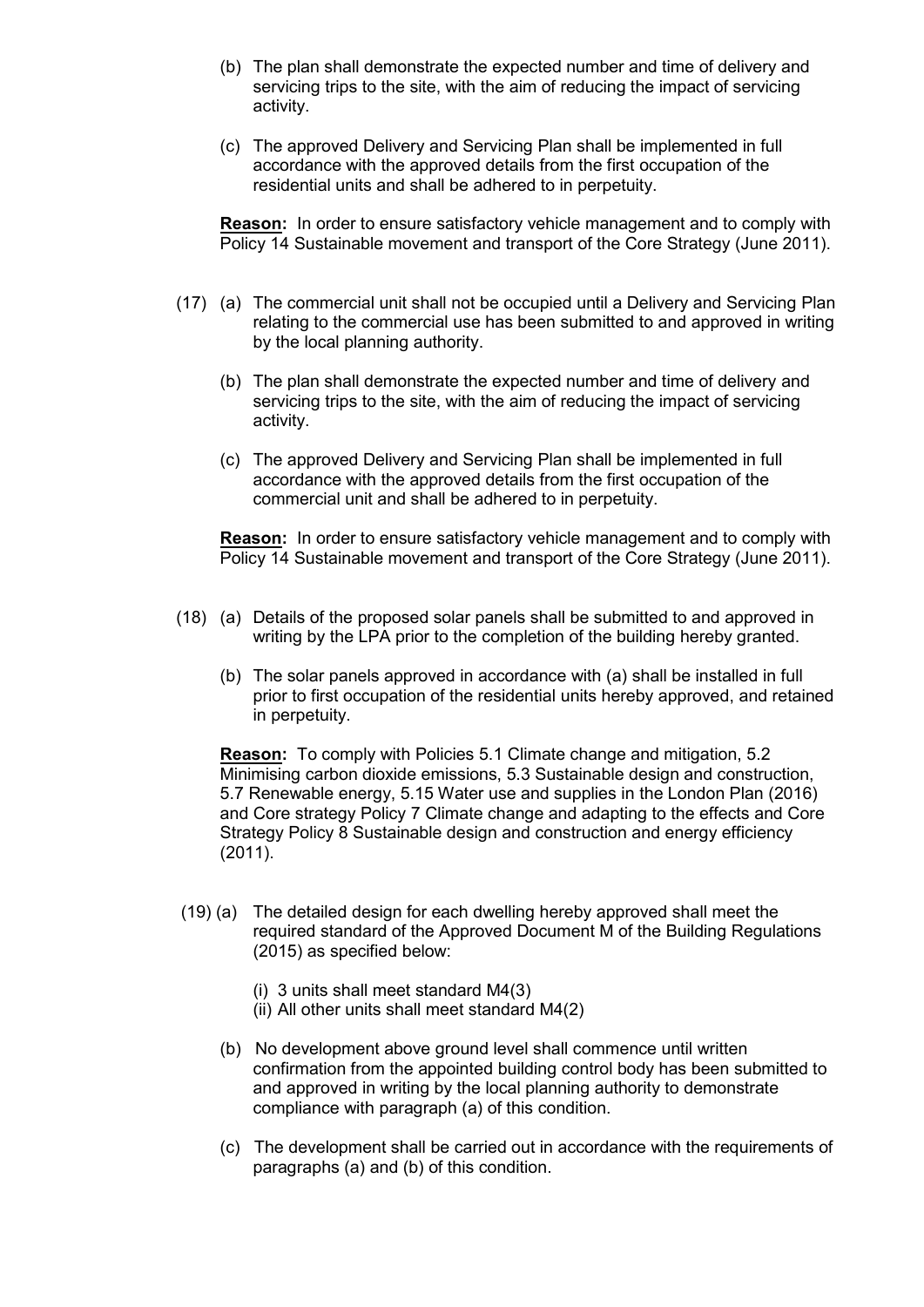- (b) The plan shall demonstrate the expected number and time of delivery and servicing trips to the site, with the aim of reducing the impact of servicing activity.
- (c) The approved Delivery and Servicing Plan shall be implemented in full accordance with the approved details from the first occupation of the residential units and shall be adhered to in perpetuity.

**Reason:** In order to ensure satisfactory vehicle management and to comply with Policy 14 Sustainable movement and transport of the Core Strategy (June 2011).

- (17) (a) The commercial unit shall not be occupied until a Delivery and Servicing Plan relating to the commercial use has been submitted to and approved in writing by the local planning authority.
	- (b) The plan shall demonstrate the expected number and time of delivery and servicing trips to the site, with the aim of reducing the impact of servicing activity.
	- (c) The approved Delivery and Servicing Plan shall be implemented in full accordance with the approved details from the first occupation of the commercial unit and shall be adhered to in perpetuity.

**Reason:** In order to ensure satisfactory vehicle management and to comply with Policy 14 Sustainable movement and transport of the Core Strategy (June 2011).

- (18) (a) Details of the proposed solar panels shall be submitted to and approved in writing by the LPA prior to the completion of the building hereby granted.
	- (b) The solar panels approved in accordance with (a) shall be installed in full prior to first occupation of the residential units hereby approved, and retained in perpetuity.

**Reason:** To comply with Policies 5.1 Climate change and mitigation, 5.2 Minimising carbon dioxide emissions, 5.3 Sustainable design and construction, 5.7 Renewable energy, 5.15 Water use and supplies in the London Plan (2016) and Core strategy Policy 7 Climate change and adapting to the effects and Core Strategy Policy 8 Sustainable design and construction and energy efficiency (2011).

- (19) (a) The detailed design for each dwelling hereby approved shall meet the required standard of the Approved Document M of the Building Regulations (2015) as specified below:
	- (i) 3 units shall meet standard M4(3)
	- (ii) All other units shall meet standard M4(2)
	- (b) No development above ground level shall commence until written confirmation from the appointed building control body has been submitted to and approved in writing by the local planning authority to demonstrate compliance with paragraph (a) of this condition.
	- (c) The development shall be carried out in accordance with the requirements of paragraphs (a) and (b) of this condition.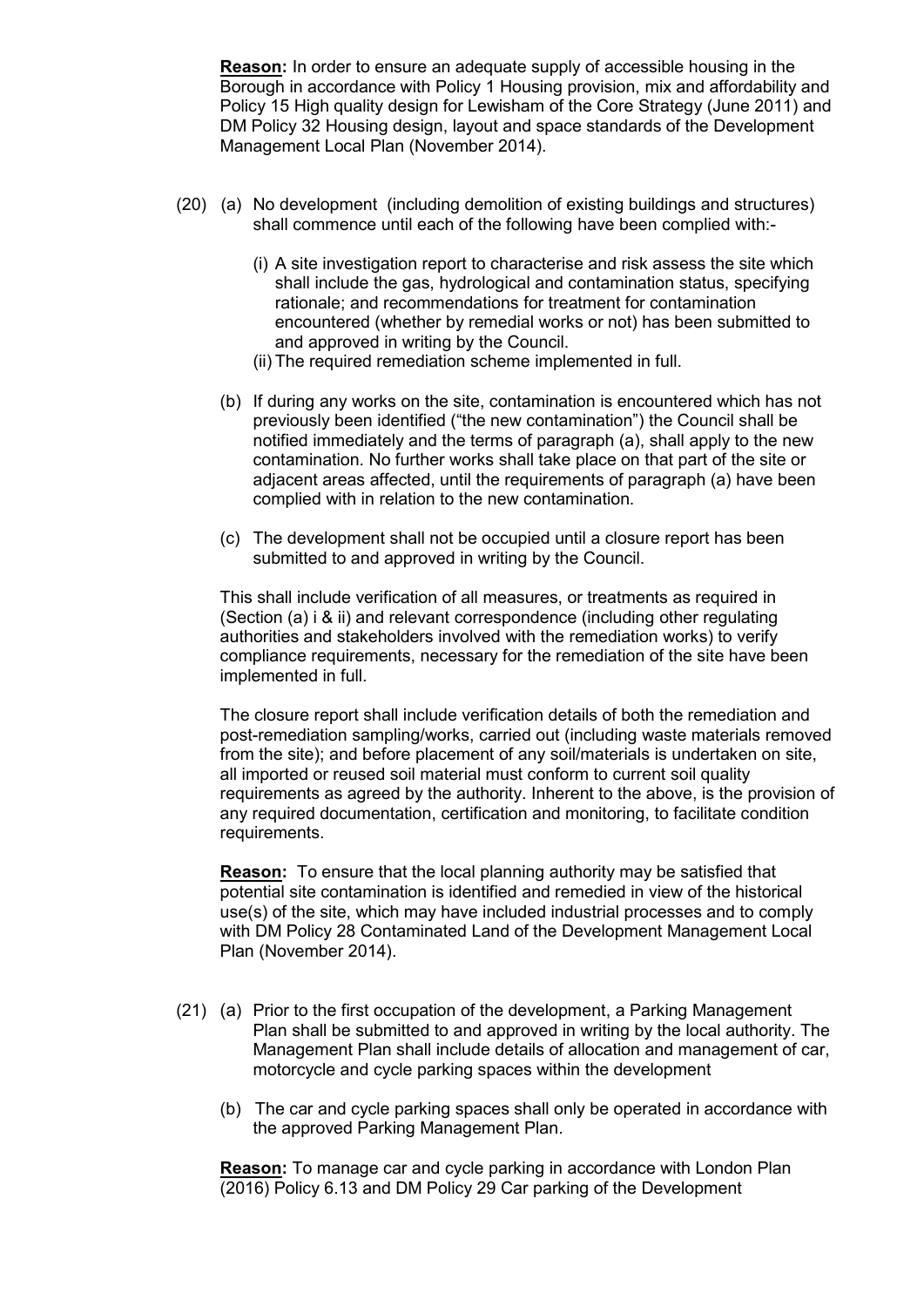**Reason:** In order to ensure an adequate supply of accessible housing in the Borough in accordance with Policy 1 Housing provision, mix and affordability and Policy 15 High quality design for Lewisham of the Core Strategy (June 2011) and DM Policy 32 Housing design, layout and space standards of the Development Management Local Plan (November 2014).

- (20) (a) No development (including demolition of existing buildings and structures) shall commence until each of the following have been complied with:-
	- (i) A site investigation report to characterise and risk assess the site which shall include the gas, hydrological and contamination status, specifying rationale; and recommendations for treatment for contamination encountered (whether by remedial works or not) has been submitted to and approved in writing by the Council.
	- (ii) The required remediation scheme implemented in full.
	- (b) If during any works on the site, contamination is encountered which has not previously been identified ("the new contamination") the Council shall be notified immediately and the terms of paragraph (a), shall apply to the new contamination. No further works shall take place on that part of the site or adjacent areas affected, until the requirements of paragraph (a) have been complied with in relation to the new contamination.
	- (c) The development shall not be occupied until a closure report has been submitted to and approved in writing by the Council.

This shall include verification of all measures, or treatments as required in (Section (a) i & ii) and relevant correspondence (including other regulating authorities and stakeholders involved with the remediation works) to verify compliance requirements, necessary for the remediation of the site have been implemented in full.

The closure report shall include verification details of both the remediation and post-remediation sampling/works, carried out (including waste materials removed from the site); and before placement of any soil/materials is undertaken on site, all imported or reused soil material must conform to current soil quality requirements as agreed by the authority. Inherent to the above, is the provision of any required documentation, certification and monitoring, to facilitate condition requirements.

**Reason:** To ensure that the local planning authority may be satisfied that potential site contamination is identified and remedied in view of the historical use(s) of the site, which may have included industrial processes and to comply with DM Policy 28 Contaminated Land of the Development Management Local Plan (November 2014).

- (21) (a) Prior to the first occupation of the development, a Parking Management Plan shall be submitted to and approved in writing by the local authority. The Management Plan shall include details of allocation and management of car, motorcycle and cycle parking spaces within the development
	- (b) The car and cycle parking spaces shall only be operated in accordance with the approved Parking Management Plan.

**Reason:** To manage car and cycle parking in accordance with London Plan (2016) Policy 6.13 and DM Policy 29 Car parking of the Development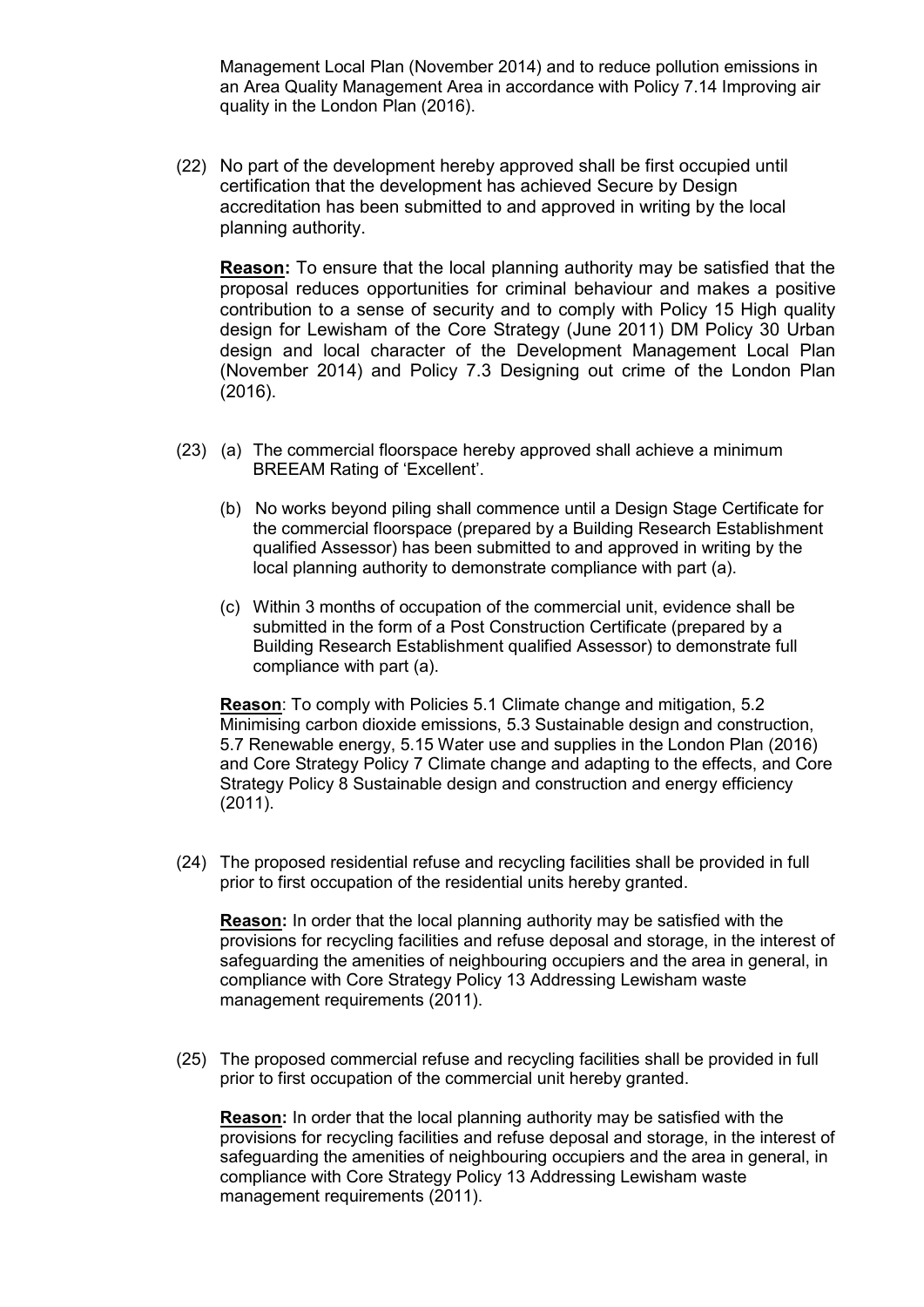Management Local Plan (November 2014) and to reduce pollution emissions in an Area Quality Management Area in accordance with Policy 7.14 Improving air quality in the London Plan (2016).

(22) No part of the development hereby approved shall be first occupied until certification that the development has achieved Secure by Design accreditation has been submitted to and approved in writing by the local planning authority.

**Reason:** To ensure that the local planning authority may be satisfied that the proposal reduces opportunities for criminal behaviour and makes a positive contribution to a sense of security and to comply with Policy 15 High quality design for Lewisham of the Core Strategy (June 2011) DM Policy 30 Urban design and local character of the Development Management Local Plan (November 2014) and Policy 7.3 Designing out crime of the London Plan (2016).

- (23) (a) The commercial floorspace hereby approved shall achieve a minimum BREEAM Rating of 'Excellent'.
	- (b) No works beyond piling shall commence until a Design Stage Certificate for the commercial floorspace (prepared by a Building Research Establishment qualified Assessor) has been submitted to and approved in writing by the local planning authority to demonstrate compliance with part (a).
	- (c) Within 3 months of occupation of the commercial unit, evidence shall be submitted in the form of a Post Construction Certificate (prepared by a Building Research Establishment qualified Assessor) to demonstrate full compliance with part (a).

**Reason**: To comply with Policies 5.1 Climate change and mitigation, 5.2 Minimising carbon dioxide emissions, 5.3 Sustainable design and construction, 5.7 Renewable energy, 5.15 Water use and supplies in the London Plan (2016) and Core Strategy Policy 7 Climate change and adapting to the effects, and Core Strategy Policy 8 Sustainable design and construction and energy efficiency (2011).

(24) The proposed residential refuse and recycling facilities shall be provided in full prior to first occupation of the residential units hereby granted.

**Reason:** In order that the local planning authority may be satisfied with the provisions for recycling facilities and refuse deposal and storage, in the interest of safeguarding the amenities of neighbouring occupiers and the area in general, in compliance with Core Strategy Policy 13 Addressing Lewisham waste management requirements (2011).

(25) The proposed commercial refuse and recycling facilities shall be provided in full prior to first occupation of the commercial unit hereby granted.

**Reason:** In order that the local planning authority may be satisfied with the provisions for recycling facilities and refuse deposal and storage, in the interest of safeguarding the amenities of neighbouring occupiers and the area in general, in compliance with Core Strategy Policy 13 Addressing Lewisham waste management requirements (2011).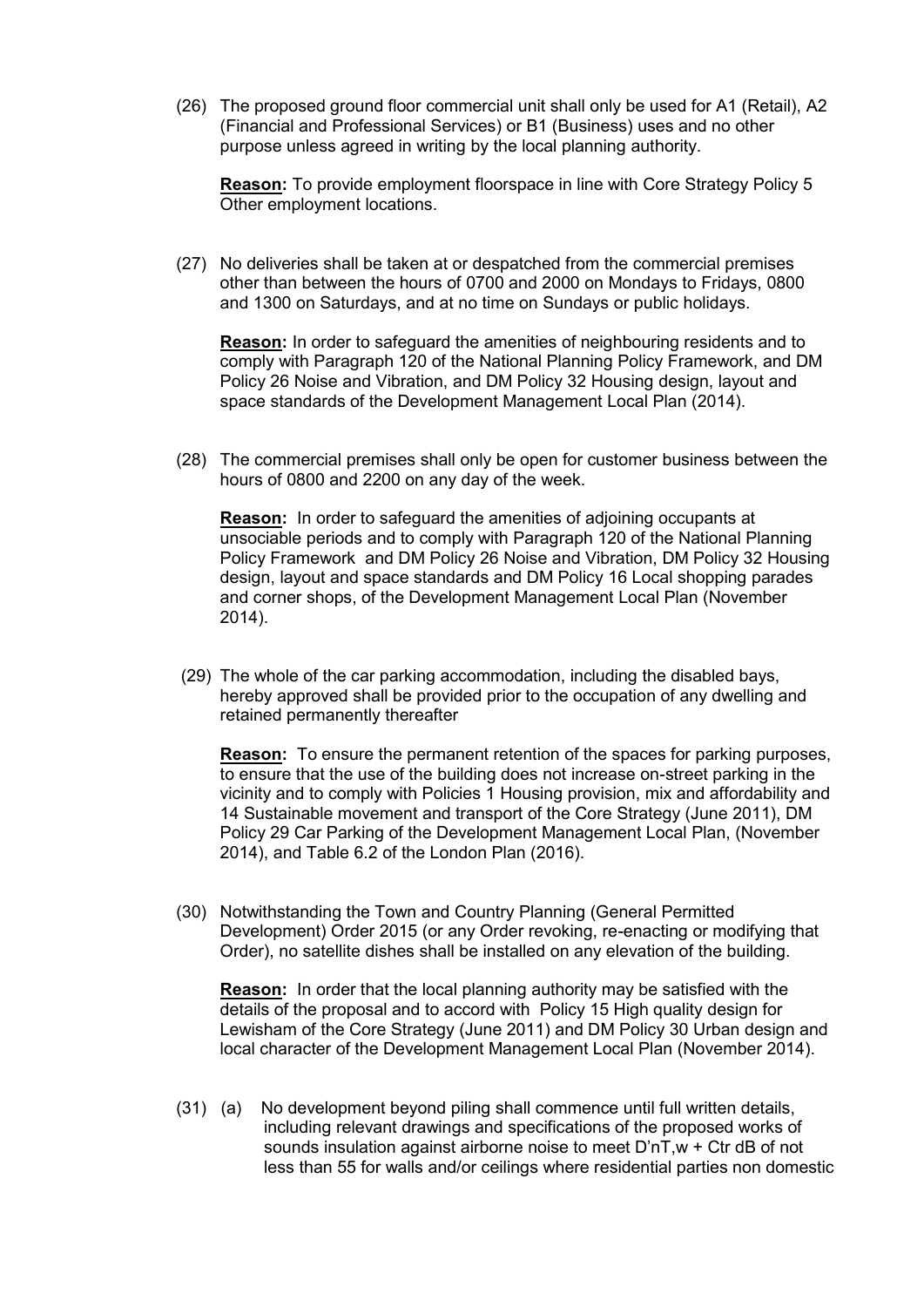(26) The proposed ground floor commercial unit shall only be used for A1 (Retail), A2 (Financial and Professional Services) or B1 (Business) uses and no other purpose unless agreed in writing by the local planning authority.

**Reason:** To provide employment floorspace in line with Core Strategy Policy 5 Other employment locations.

(27) No deliveries shall be taken at or despatched from the commercial premises other than between the hours of 0700 and 2000 on Mondays to Fridays, 0800 and 1300 on Saturdays, and at no time on Sundays or public holidays.

**Reason:** In order to safeguard the amenities of neighbouring residents and to comply with Paragraph 120 of the National Planning Policy Framework, and DM Policy 26 Noise and Vibration, and DM Policy 32 Housing design, layout and space standards of the Development Management Local Plan (2014).

(28) The commercial premises shall only be open for customer business between the hours of 0800 and 2200 on any day of the week.

**Reason:** In order to safeguard the amenities of adjoining occupants at unsociable periods and to comply with Paragraph 120 of the National Planning Policy Framework and DM Policy 26 Noise and Vibration, DM Policy 32 Housing design, layout and space standards and DM Policy 16 Local shopping parades and corner shops, of the Development Management Local Plan (November 2014).

(29) The whole of the car parking accommodation, including the disabled bays, hereby approved shall be provided prior to the occupation of any dwelling and retained permanently thereafter

**Reason:** To ensure the permanent retention of the spaces for parking purposes, to ensure that the use of the building does not increase on-street parking in the vicinity and to comply with Policies 1 Housing provision, mix and affordability and 14 Sustainable movement and transport of the Core Strategy (June 2011), DM Policy 29 Car Parking of the Development Management Local Plan, (November 2014), and Table 6.2 of the London Plan (2016).

(30) Notwithstanding the Town and Country Planning (General Permitted Development) Order 2015 (or any Order revoking, re-enacting or modifying that Order), no satellite dishes shall be installed on any elevation of the building.

**Reason:** In order that the local planning authority may be satisfied with the details of the proposal and to accord with Policy 15 High quality design for Lewisham of the Core Strategy (June 2011) and DM Policy 30 Urban design and local character of the Development Management Local Plan (November 2014).

(31) (a) No development beyond piling shall commence until full written details, including relevant drawings and specifications of the proposed works of sounds insulation against airborne noise to meet D'nT,w + Ctr dB of not less than 55 for walls and/or ceilings where residential parties non domestic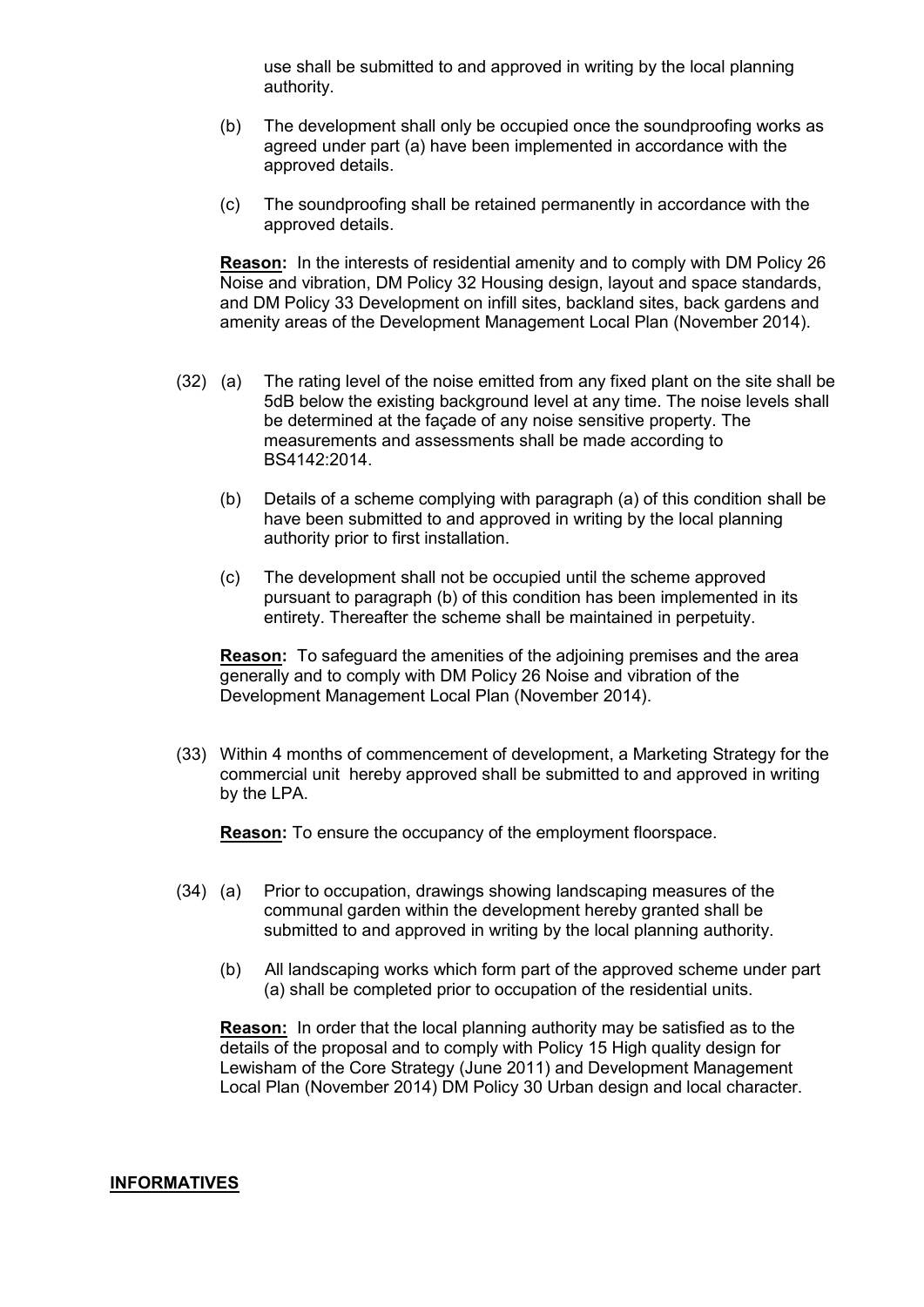use shall be submitted to and approved in writing by the local planning authority.

- (b) The development shall only be occupied once the soundproofing works as agreed under part (a) have been implemented in accordance with the approved details.
- (c) The soundproofing shall be retained permanently in accordance with the approved details.

**Reason:** In the interests of residential amenity and to comply with DM Policy 26 Noise and vibration, DM Policy 32 Housing design, layout and space standards, and DM Policy 33 Development on infill sites, backland sites, back gardens and amenity areas of the Development Management Local Plan (November 2014).

- (32) (a) The rating level of the noise emitted from any fixed plant on the site shall be 5dB below the existing background level at any time. The noise levels shall be determined at the façade of any noise sensitive property. The measurements and assessments shall be made according to BS4142:2014.
	- (b) Details of a scheme complying with paragraph (a) of this condition shall be have been submitted to and approved in writing by the local planning authority prior to first installation.
	- (c) The development shall not be occupied until the scheme approved pursuant to paragraph (b) of this condition has been implemented in its entirety. Thereafter the scheme shall be maintained in perpetuity.

**Reason:** To safeguard the amenities of the adjoining premises and the area generally and to comply with DM Policy 26 Noise and vibration of the Development Management Local Plan (November 2014).

(33) Within 4 months of commencement of development, a Marketing Strategy for the commercial unit hereby approved shall be submitted to and approved in writing by the LPA.

**Reason:** To ensure the occupancy of the employment floorspace.

- (34) (a) Prior to occupation, drawings showing landscaping measures of the communal garden within the development hereby granted shall be submitted to and approved in writing by the local planning authority.
	- (b) All landscaping works which form part of the approved scheme under part (a) shall be completed prior to occupation of the residential units.

**Reason:** In order that the local planning authority may be satisfied as to the details of the proposal and to comply with Policy 15 High quality design for Lewisham of the Core Strategy (June 2011) and Development Management Local Plan (November 2014) DM Policy 30 Urban design and local character.

#### **INFORMATIVES**